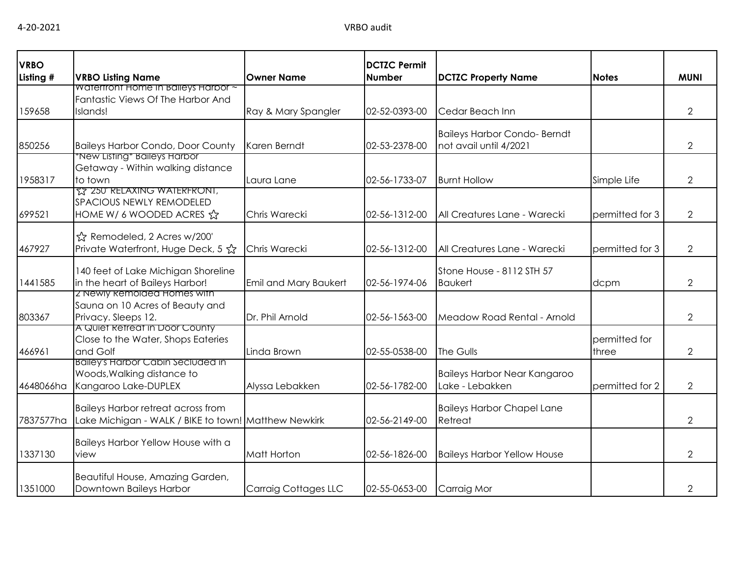| <b>VRBO</b> |                                                                 |                             | <b>DCTZC Permit</b><br><b>Number</b> |                                     |                 | <b>MUNI</b>    |
|-------------|-----------------------------------------------------------------|-----------------------------|--------------------------------------|-------------------------------------|-----------------|----------------|
| Listing #   | <b>VRBO Listing Name</b><br>Watertront Home In Balleys Harbor ~ | <b>Owner Name</b>           |                                      | <b>DCTZC Property Name</b>          | <b>Notes</b>    |                |
|             | Fantastic Views Of The Harbor And                               |                             |                                      |                                     |                 |                |
| 159658      | Islands!                                                        | Ray & Mary Spangler         | 02-52-0393-00                        | Cedar Beach Inn                     |                 | $\overline{2}$ |
|             |                                                                 |                             |                                      | <b>Baileys Harbor Condo- Berndt</b> |                 |                |
| 850256      | <b>Baileys Harbor Condo, Door County</b>                        | Karen Berndt                | 02-53-2378-00                        | not avail until 4/2021              |                 | $\overline{2}$ |
|             | "New Listing" Baileys Harbor                                    |                             |                                      |                                     |                 |                |
| 1958317     | Getaway - Within walking distance<br>to town                    | Laura Lane                  | 02-56-1733-07                        | <b>Burnt Hollow</b>                 | Simple Life     | 2              |
|             | <b>TZ 250 RELAXING WATERFRONT,</b>                              |                             |                                      |                                     |                 |                |
|             | <b>SPACIOUS NEWLY REMODELED</b>                                 |                             |                                      |                                     |                 |                |
| 699521      | HOME W/ 6 WOODED ACRES &                                        | Chris Warecki               | 02-56-1312-00                        | All Creatures Lane - Warecki        | permitted for 3 | $\overline{2}$ |
|             | ☆ Remodeled, 2 Acres w/200'                                     |                             |                                      |                                     |                 |                |
| 467927      | Private Waterfront, Huge Deck, 5 ☆                              | Chris Warecki               | 02-56-1312-00                        | All Creatures Lane - Warecki        | permitted for 3 | $\overline{2}$ |
|             |                                                                 |                             |                                      |                                     |                 |                |
|             | 140 feet of Lake Michigan Shoreline                             |                             |                                      | Stone House - 8112 STH 57           |                 |                |
| 1441585     | in the heart of Baileys Harbor!                                 | Emil and Mary Baukert       | 02-56-1974-06                        | <b>Baukert</b>                      | dcpm            | 2              |
|             | Z Newly Remolded Homes with<br>Sauna on 10 Acres of Beauty and  |                             |                                      |                                     |                 |                |
| 803367      | Privacy. Sleeps 12.                                             | Dr. Phil Arnold             | 02-56-1563-00                        | Meadow Road Rental - Arnold         |                 | 2              |
|             | A Quiet Retreat in Door County                                  |                             |                                      |                                     |                 |                |
|             | Close to the Water, Shops Eateries                              |                             |                                      |                                     | permitted for   |                |
| 466961      | and Golf<br>Balley's Harbor Cabin Seciuded in                   | Linda Brown                 | 02-55-0538-00                        | The Gulls                           | three           | 2              |
|             | Woods, Walking distance to                                      |                             |                                      | Baileys Harbor Near Kangaroo        |                 |                |
| 4648066ha   | Kangaroo Lake-DUPLEX                                            | Alyssa Lebakken             | 02-56-1782-00                        | Lake - Lebakken                     | permitted for 2 | $\overline{2}$ |
|             |                                                                 |                             |                                      |                                     |                 |                |
|             | <b>Baileys Harbor retreat across from</b>                       |                             |                                      | <b>Baileys Harbor Chapel Lane</b>   |                 |                |
| 7837577ha   | Lake Michigan - WALK / BIKE to town! Matthew Newkirk            |                             | 02-56-2149-00                        | Retreat                             |                 | $\overline{2}$ |
|             | Baileys Harbor Yellow House with a                              |                             |                                      |                                     |                 |                |
| 1337130     | view                                                            | <b>Matt Horton</b>          | 02-56-1826-00                        | <b>Baileys Harbor Yellow House</b>  |                 | 2              |
|             |                                                                 |                             |                                      |                                     |                 |                |
| 1351000     | Beautiful House, Amazing Garden,<br>Downtown Baileys Harbor     | <b>Carraig Cottages LLC</b> | 02-55-0653-00                        | <b>Carraig Mor</b>                  |                 | 2              |
|             |                                                                 |                             |                                      |                                     |                 |                |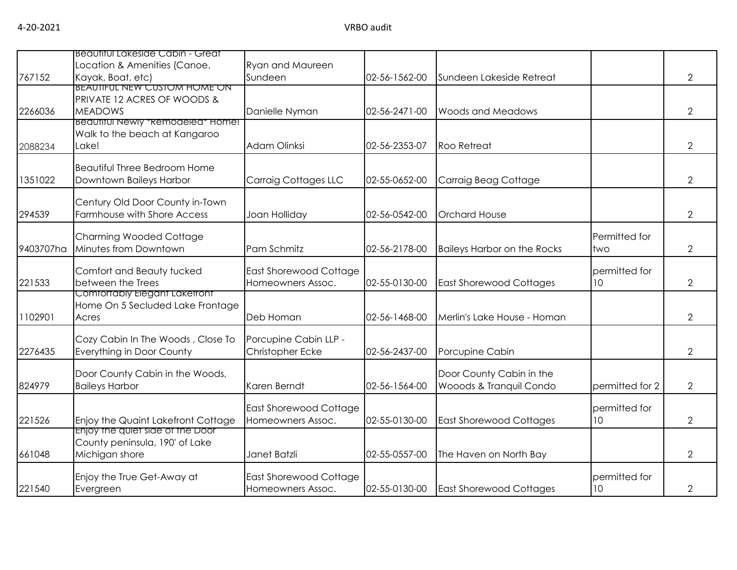|           | Beautiful Lakeside Cabin - Great    |                               |               |                                    |                 |                |
|-----------|-------------------------------------|-------------------------------|---------------|------------------------------------|-----------------|----------------|
|           | Location & Amenities (Canoe,        | <b>Ryan and Maureen</b>       |               |                                    |                 |                |
| 767152    | Kayak, Boat, etc)                   | Sundeen                       | 02-56-1562-00 | Sundeen Lakeside Retreat           |                 | $\overline{2}$ |
|           | <b>BEAUTIFUL NEW CUSTOM HOME ON</b> |                               |               |                                    |                 |                |
|           | PRIVATE 12 ACRES OF WOODS &         |                               |               |                                    |                 |                |
| 2266036   | <b>MEADOWS</b>                      | Danielle Nyman                | 02-56-2471-00 | <b>Woods and Meadows</b>           |                 | $\overline{2}$ |
|           | Beautiful Newly *Remodeled* Home!   |                               |               |                                    |                 |                |
|           | Walk to the beach at Kangaroo       |                               |               |                                    |                 |                |
| 2088234   | Lake!                               | Adam Olinksi                  | 02-56-2353-07 | <b>Roo Retreat</b>                 |                 | $\overline{2}$ |
|           | <b>Beautiful Three Bedroom Home</b> |                               |               |                                    |                 |                |
| 1351022   | Downtown Baileys Harbor             | <b>Carraig Cottages LLC</b>   | 02-55-0652-00 | Carraig Beag Cottage               |                 | $\overline{2}$ |
|           |                                     |                               |               |                                    |                 |                |
|           | Century Old Door County in-Town     |                               |               |                                    |                 |                |
| 294539    | Farmhouse with Shore Access         | Joan Holliday                 | 02-56-0542-00 | <b>Orchard House</b>               |                 | $\overline{2}$ |
|           |                                     |                               |               |                                    |                 |                |
|           | <b>Charming Wooded Cottage</b>      |                               |               |                                    | Permitted for   |                |
| 9403707ha | Minutes from Downtown               | Pam Schmitz                   | 02-56-2178-00 | <b>Baileys Harbor on the Rocks</b> | two             | $\overline{2}$ |
|           | Comfort and Beauty tucked           | <b>East Shorewood Cottage</b> |               |                                    | permitted for   |                |
| 221533    | between the Trees                   | Homeowners Assoc.             | 02-55-0130-00 | <b>East Shorewood Cottages</b>     | 10 <sup>°</sup> | $\overline{2}$ |
|           | Comfortably Elegant Laketront       |                               |               |                                    |                 |                |
|           | Home On 5 Secluded Lake Frontage    |                               |               |                                    |                 |                |
| 1102901   | Acres                               | Deb Homan                     | 02-56-1468-00 | Merlin's Lake House - Homan        |                 | $\overline{2}$ |
|           |                                     |                               |               |                                    |                 |                |
|           | Cozy Cabin In The Woods, Close To   | Porcupine Cabin LLP -         |               |                                    |                 |                |
| 2276435   | Everything in Door County           | Christopher Ecke              | 02-56-2437-00 | Porcupine Cabin                    |                 | $\overline{2}$ |
|           | Door County Cabin in the Woods,     |                               |               | Door County Cabin in the           |                 |                |
| 824979    | <b>Baileys Harbor</b>               | Karen Berndt                  | 02-56-1564-00 | Wooods & Tranquil Condo            | permitted for 2 | $\overline{2}$ |
|           |                                     |                               |               |                                    |                 |                |
|           |                                     | <b>East Shorewood Cottage</b> |               |                                    | permitted for   |                |
| 221526    | Enjoy the Quaint Lakefront Cottage  | Homeowners Assoc.             | 02-55-0130-00 | <b>East Shorewood Cottages</b>     | 10              | $\overline{2}$ |
|           | Enjoy the quiet side of the Door    |                               |               |                                    |                 |                |
|           | County peninsula, 190' of Lake      |                               |               |                                    |                 |                |
| 661048    | Michigan shore                      | Janet Batzli                  | 02-55-0557-00 | The Haven on North Bay             |                 | $\overline{2}$ |
|           | Enjoy the True Get-Away at          | East Shorewood Cottage        |               |                                    | permitted for   |                |
| 221540    | Evergreen                           | Homeowners Assoc.             | 02-55-0130-00 | <b>East Shorewood Cottages</b>     | 10 <sup>°</sup> | $\mathbf{2}$   |
|           |                                     |                               |               |                                    |                 |                |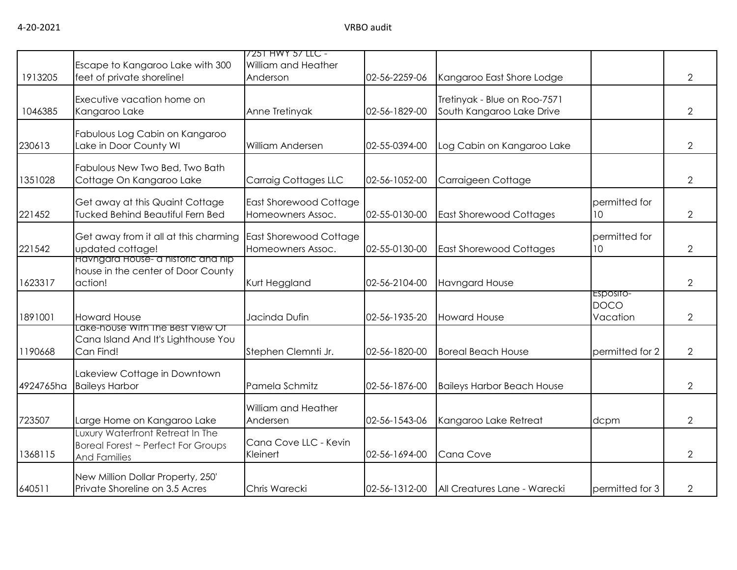|           | Escape to Kangaroo Lake with 300                                                              | 7251 HWY 57 LLC -<br>William and Heather           |               |                                                           |                                      |                |
|-----------|-----------------------------------------------------------------------------------------------|----------------------------------------------------|---------------|-----------------------------------------------------------|--------------------------------------|----------------|
| 1913205   | feet of private shoreline!                                                                    | Anderson                                           | 02-56-2259-06 | Kangaroo East Shore Lodge                                 |                                      | $\overline{2}$ |
| 1046385   | Executive vacation home on<br>Kangaroo Lake                                                   | Anne Tretinyak                                     | 02-56-1829-00 | Tretinyak - Blue on Roo-7571<br>South Kangaroo Lake Drive |                                      | $\overline{2}$ |
| 230613    | Fabulous Log Cabin on Kangaroo<br>Lake in Door County WI                                      | William Andersen                                   | 02-55-0394-00 | Log Cabin on Kangaroo Lake                                |                                      | $\overline{2}$ |
| 1351028   | Fabulous New Two Bed, Two Bath<br>Cottage On Kangaroo Lake                                    | Carraig Cottages LLC                               | 02-56-1052-00 | Carraigeen Cottage                                        |                                      | $\overline{2}$ |
| 221452    | Get away at this Quaint Cottage<br><b>Tucked Behind Beautiful Fern Bed</b>                    | East Shorewood Cottage<br>Homeowners Assoc.        | 02-55-0130-00 | <b>East Shorewood Cottages</b>                            | permitted for<br>10                  | $\overline{2}$ |
| 221542    | Get away from it all at this charming<br>updated cottage!                                     | <b>East Shorewood Cottage</b><br>Homeowners Assoc. | 02-55-0130-00 | <b>East Shorewood Cottages</b>                            | permitted for<br>10                  | $\overline{2}$ |
| 1623317   | Havngard House- a historic and hip<br>house in the center of Door County<br>action!           | Kurt Heggland                                      | 02-56-2104-00 | <b>Havngard House</b>                                     |                                      | $\overline{2}$ |
| 1891001   | <b>Howard House</b>                                                                           | Jacinda Dufin                                      | 02-56-1935-20 | <b>Howard House</b>                                       | ESPOSITO-<br><b>DOCO</b><br>Vacation | $\overline{2}$ |
| 1190668   | Lake-house With the Best View Of<br>Cana Island And It's Lighthouse You<br>Can Find!          | Stephen Clemnti Jr.                                | 02-56-1820-00 | <b>Boreal Beach House</b>                                 | permitted for 2                      | $\overline{2}$ |
| 4924765ha | Lakeview Cottage in Downtown<br><b>Baileys Harbor</b>                                         | Pamela Schmitz                                     | 02-56-1876-00 | <b>Baileys Harbor Beach House</b>                         |                                      | $\overline{2}$ |
| 723507    | Large Home on Kangaroo Lake                                                                   | William and Heather<br>Andersen                    | 02-56-1543-06 | Kangaroo Lake Retreat                                     | dcpm                                 | $\overline{2}$ |
| 1368115   | Luxury Waterfront Retreat In The<br>Boreal Forest ~ Perfect For Groups<br><b>And Families</b> | Cana Cove LLC - Kevin<br>Kleinert                  | 02-56-1694-00 | Cana Cove                                                 |                                      | $\overline{2}$ |
| 640511    | New Million Dollar Property, 250'<br>Private Shoreline on 3.5 Acres                           | Chris Warecki                                      | 02-56-1312-00 | All Creatures Lane - Warecki                              | permitted for 3                      | $\overline{2}$ |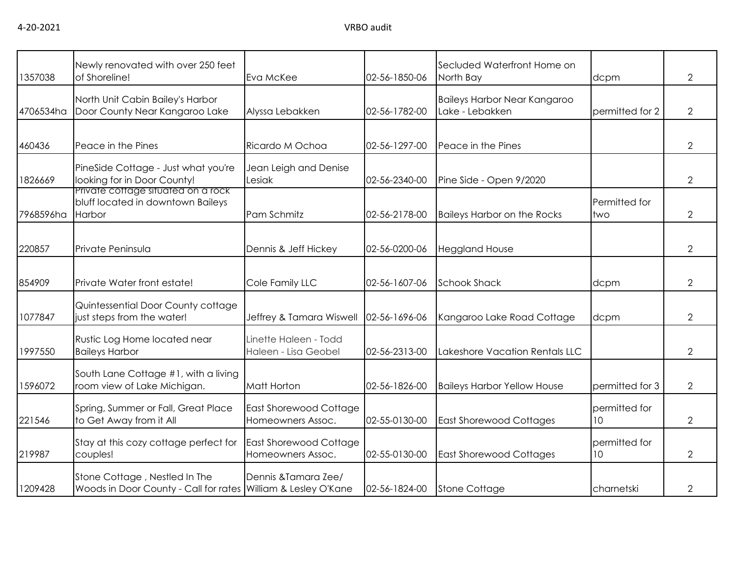| 1357038   | Newly renovated with over 250 feet<br>of Shoreline!                                            | Eva McKee                                          | 02-56-1850-06 | Secluded Waterfront Home on<br>North Bay               | dcpm                 | $\overline{2}$ |
|-----------|------------------------------------------------------------------------------------------------|----------------------------------------------------|---------------|--------------------------------------------------------|----------------------|----------------|
| 4706534ha | North Unit Cabin Bailey's Harbor<br>Door County Near Kangaroo Lake                             | Alyssa Lebakken                                    | 02-56-1782-00 | <b>Baileys Harbor Near Kangaroo</b><br>Lake - Lebakken | permitted for 2      | $\overline{2}$ |
| 460436    | Peace in the Pines                                                                             | Ricardo M Ochoa                                    | 02-56-1297-00 | Peace in the Pines                                     |                      | 2              |
| 1826669   | PineSide Cottage - Just what you're<br>looking for in Door County!                             | Jean Leigh and Denise<br>Lesiak                    | 02-56-2340-00 | Pine Side - Open 9/2020                                |                      | 2              |
| 7968596ha | Private cottage situated on a rock<br>bluff located in downtown Baileys<br><b>Harbor</b>       | Pam Schmitz                                        | 02-56-2178-00 | <b>Baileys Harbor on the Rocks</b>                     | Permitted for<br>two | $\overline{2}$ |
| 220857    | Private Peninsula                                                                              | Dennis & Jeff Hickey                               | 02-56-0200-06 | <b>Heggland House</b>                                  |                      | 2              |
| 854909    | Private Water front estate!                                                                    | Cole Family LLC                                    | 02-56-1607-06 | <b>Schook Shack</b>                                    | dcpm                 | $\overline{2}$ |
| 1077847   | Quintessential Door County cottage<br>just steps from the water!                               | Jeffrey & Tamara Wiswell                           | 02-56-1696-06 | Kangaroo Lake Road Cottage                             | dcpm                 | $\overline{2}$ |
| 1997550   | Rustic Log Home located near<br><b>Baileys Harbor</b>                                          | Linette Haleen - Todd<br>Haleen - Lisa Geobel      | 02-56-2313-00 | Lakeshore Vacation Rentals LLC                         |                      | $\overline{2}$ |
| 1596072   | South Lane Cottage #1, with a living<br>room view of Lake Michigan.                            | Matt Horton                                        | 02-56-1826-00 | <b>Baileys Harbor Yellow House</b>                     | permitted for 3      | $\overline{2}$ |
| 221546    | Spring, Summer or Fall, Great Place<br>to Get Away from it All                                 | <b>East Shorewood Cottage</b><br>Homeowners Assoc. | 02-55-0130-00 | <b>East Shorewood Cottages</b>                         | permitted for<br>10  | $\overline{2}$ |
| 219987    | Stay at this cozy cottage perfect for<br>couples!                                              | East Shorewood Cottage<br>Homeowners Assoc.        | 02-55-0130-00 | <b>East Shorewood Cottages</b>                         | permitted for<br>10  | $\overline{2}$ |
| 1209428   | Stone Cottage, Nestled In The<br>Woods in Door County - Call for rates William & Lesley O'Kane | Dennis & Tamara Zee/                               | 02-56-1824-00 | <b>Stone Cottage</b>                                   | charnetski           | $\mathcal{P}$  |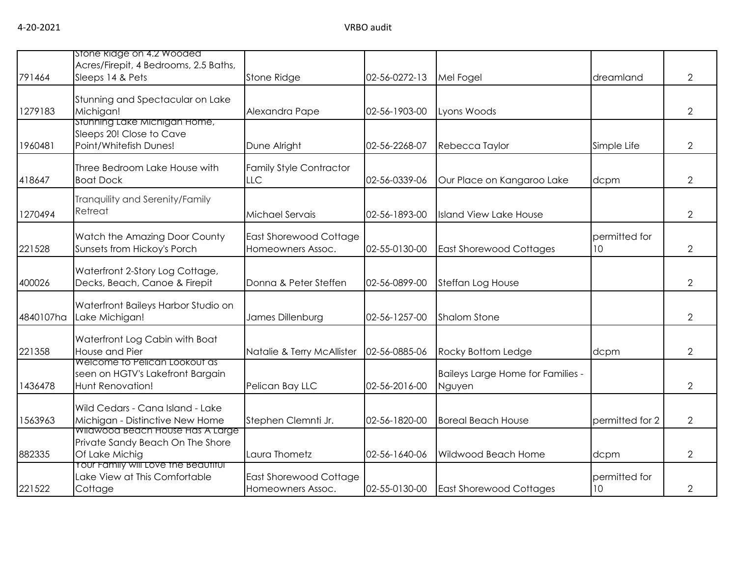|           | stone kidge on 4.2 Wooded                                                              |                                              |               |                                             |                                  |                |
|-----------|----------------------------------------------------------------------------------------|----------------------------------------------|---------------|---------------------------------------------|----------------------------------|----------------|
| 791464    | Acres/Firepit, 4 Bedrooms, 2.5 Baths,<br>Sleeps 14 & Pets                              | Stone Ridge                                  | 02-56-0272-13 | Mel Fogel                                   | dreamland                        | $\overline{2}$ |
| 1279183   | Stunning and Spectacular on Lake<br>Michigan!                                          | Alexandra Pape                               | 02-56-1903-00 | Lyons Woods                                 |                                  | $\overline{2}$ |
| 1960481   | Stunning Lake Michigan Home,<br>Sleeps 20! Close to Cave<br>Point/Whitefish Dunes!     | Dune Alright                                 | 02-56-2268-07 | Rebecca Taylor                              | Simple Life                      | $\overline{2}$ |
| 418647    | Three Bedroom Lake House with<br><b>Boat Dock</b>                                      | <b>Family Style Contractor</b><br><b>LLC</b> | 02-56-0339-06 | Our Place on Kangaroo Lake                  | dcpm                             | 2              |
| 1270494   | Tranquility and Serenity/Family<br>Retreat                                             | Michael Servais                              | 02-56-1893-00 | <b>Island View Lake House</b>               |                                  | $\overline{2}$ |
| 221528    | Watch the Amazing Door County<br>Sunsets from Hickoy's Porch                           | East Shorewood Cottage<br>Homeowners Assoc.  | 02-55-0130-00 | <b>East Shorewood Cottages</b>              | permitted for<br>10 <sup>°</sup> | $\overline{2}$ |
| 400026    | Waterfront 2-Story Log Cottage,<br>Decks, Beach, Canoe & Firepit                       | Donna & Peter Steffen                        | 02-56-0899-00 | Steffan Log House                           |                                  | $\overline{2}$ |
| 4840107ha | Waterfront Baileys Harbor Studio on<br>Lake Michigan!                                  | James Dillenburg                             | 02-56-1257-00 | <b>Shalom Stone</b>                         |                                  | $\overline{2}$ |
| 221358    | Waterfront Log Cabin with Boat<br>House and Pier                                       | Natalie & Terry McAllister                   | 02-56-0885-06 | Rocky Bottom Ledge                          | dcpm                             | $\overline{2}$ |
| 1436478   | Welcome to Pelican Lookout as<br>seen on HGTV's Lakefront Bargain<br>Hunt Renovation!  | Pelican Bay LLC                              | 02-56-2016-00 | Baileys Large Home for Families -<br>Nguyen |                                  | $\overline{2}$ |
| 1563963   | Wild Cedars - Cana Island - Lake<br>Michigan - Distinctive New Home                    | Stephen Clemnti Jr.                          | 02-56-1820-00 | <b>Boreal Beach House</b>                   | permitted for 2                  | $\overline{2}$ |
| 882335    | Wildwood Beach House Has A Large<br>Private Sandy Beach On The Shore<br>Of Lake Michig | Laura Thometz                                | 02-56-1640-06 | Wildwood Beach Home                         | dcpm                             | 2              |
| 221522    | Your Family will Love the Beautiful<br>Lake View at This Comfortable<br>Cottage        | East Shorewood Cottage<br>Homeowners Assoc.  | 02-55-0130-00 | <b>East Shorewood Cottages</b>              | permitted for<br>10              | 2              |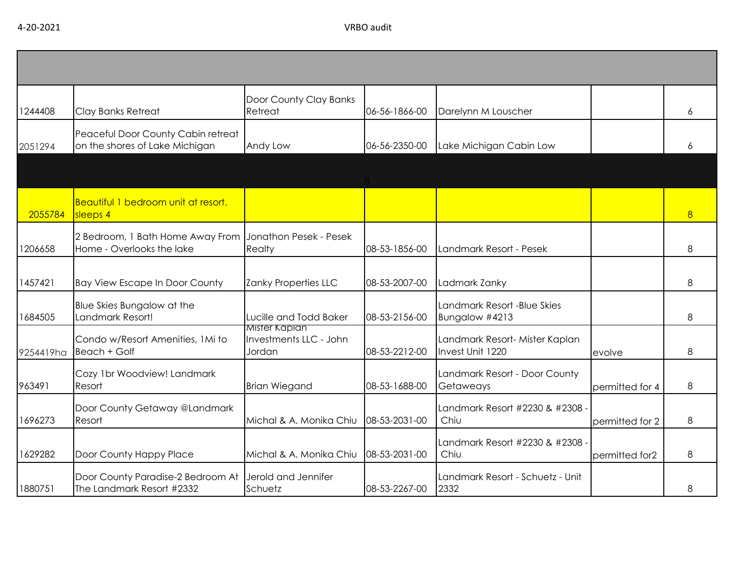| 1244408   | Clay Banks Retreat                                                   | Door County Clay Banks<br>Retreat                 | 06-56-1866-00 | Darelynn M Louscher                                |                 | 6              |
|-----------|----------------------------------------------------------------------|---------------------------------------------------|---------------|----------------------------------------------------|-----------------|----------------|
| 2051294   | Peaceful Door County Cabin retreat<br>on the shores of Lake Michigan | Andy Low                                          | 06-56-2350-00 | Lake Michigan Cabin Low                            |                 | 6              |
|           |                                                                      |                                                   |               |                                                    |                 |                |
| 2055784   | Beautiful 1 bedroom unit at resort,<br>sleeps 4                      |                                                   |               |                                                    |                 | 8 <sup>2</sup> |
| 1206658   | 2 Bedroom, 1 Bath Home Away From<br>Home - Overlooks the lake        | Jonathon Pesek - Pesek<br>Realty                  | 08-53-1856-00 | Landmark Resort - Pesek                            |                 | 8              |
| 1457421   | <b>Bay View Escape In Door County</b>                                | Zanky Properties LLC                              | 08-53-2007-00 | Ladmark Zanky                                      |                 | 8              |
| 1684505   | <b>Blue Skies Bungalow at the</b><br>Landmark Resort!                | Lucille and Todd Baker                            | 08-53-2156-00 | Landmark Resort -Blue Skies<br>Bungalow #4213      |                 | 8              |
| 9254419ha | Condo w/Resort Amenities, 1Mi to<br>Beach + Golf                     | Mister Kaplan<br>Investments LLC - John<br>Jordan | 08-53-2212-00 | Landmark Resort- Mister Kaplan<br>Invest Unit 1220 | evolve          | 8              |
| 963491    | Cozy 1br Woodview! Landmark<br>Resort                                | <b>Brian Wiegand</b>                              | 08-53-1688-00 | Landmark Resort - Door County<br>Getaweays         | permitted for 4 | 8              |
| 1696273   | Door County Getaway @Landmark<br>Resort                              | Michal & A. Monika Chiu                           | 08-53-2031-00 | Landmark Resort #2230 & #2308<br>Chiu              | permitted for 2 | 8              |
| 1629282   | Door County Happy Place                                              | Michal & A. Monika Chiu                           | 08-53-2031-00 | Landmark Resort #2230 & #2308<br>Chiu              | permitted for2  | 8              |
| 1880751   | Door County Paradise-2 Bedroom At<br>The Landmark Resort #2332       | Jerold and Jennifer<br>Schuetz                    | 08-53-2267-00 | Landmark Resort - Schuetz - Unit<br>2332           |                 | 8              |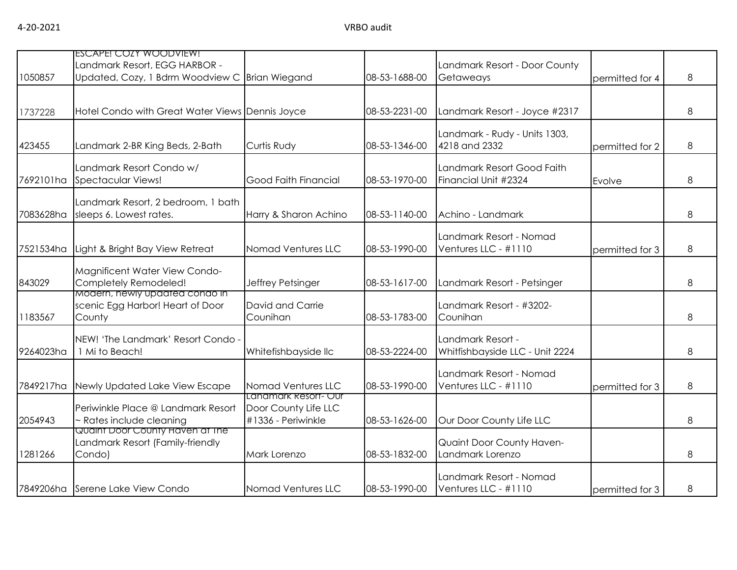|           | ESCAPE! COZY WOODVIEW!<br>Landmark Resort, EGG HARBOR -            |                                            |               | Landmark Resort - Door County                      |                 |   |
|-----------|--------------------------------------------------------------------|--------------------------------------------|---------------|----------------------------------------------------|-----------------|---|
| 1050857   | Updated, Cozy, 1 Bdrm Woodview C Brian Wiegand                     |                                            | 08-53-1688-00 | Getaweays                                          | permitted for 4 | 8 |
|           |                                                                    |                                            |               |                                                    |                 |   |
| 1737228   | Hotel Condo with Great Water Views Dennis Joyce                    |                                            | 08-53-2231-00 | Landmark Resort - Joyce #2317                      |                 | 8 |
|           |                                                                    |                                            |               | Landmark - Rudy - Units 1303,                      |                 |   |
| 423455    | Landmark 2-BR King Beds, 2-Bath                                    | Curtis Rudy                                | 08-53-1346-00 | 4218 and 2332                                      | permitted for 2 | 8 |
| 7692101ha | Landmark Resort Condo w/<br><b>Spectacular Views!</b>              | Good Faith Financial                       | 08-53-1970-00 | Landmark Resort Good Faith<br>Financial Unit #2324 | Evolve          | 8 |
|           |                                                                    |                                            |               |                                                    |                 |   |
| 7083628ha | Landmark Resort, 2 bedroom, 1 bath<br>sleeps 6. Lowest rates.      | Harry & Sharon Achino                      | 08-53-1140-00 | Achino - Landmark                                  |                 | 8 |
|           |                                                                    |                                            |               | Landmark Resort - Nomad                            |                 |   |
| 7521534ha | Light & Bright Bay View Retreat                                    | Nomad Ventures LLC                         | 08-53-1990-00 | Ventures LLC - #1110                               | permitted for 3 | 8 |
|           | Magnificent Water View Condo-                                      |                                            |               |                                                    |                 |   |
| 843029    | Completely Remodeled!                                              | Jeffrey Petsinger                          | 08-53-1617-00 | Landmark Resort - Petsinger                        |                 | 8 |
|           | Modern, newly updated condo in<br>scenic Egg Harbor! Heart of Door | David and Carrie                           |               | Landmark Resort - #3202-                           |                 |   |
| 1183567   | County                                                             | Counihan                                   | 08-53-1783-00 | Counihan                                           |                 | 8 |
|           | NEW! 'The Landmark' Resort Condo -                                 |                                            |               | Landmark Resort -                                  |                 |   |
| 9264023ha | 1 Mi to Beach!                                                     | Whitefishbayside IIc                       | 08-53-2224-00 | Whitfishbayside LLC - Unit 2224                    |                 | 8 |
|           |                                                                    |                                            |               | Landmark Resort - Nomad                            |                 |   |
| 7849217ha | Newly Updated Lake View Escape                                     | Nomad Ventures LLC                         | 08-53-1990-00 | Ventures LLC - #1110                               | permitted for 3 | 8 |
|           | Periwinkle Place @ Landmark Resort                                 | Landmark Resort- Our                       |               |                                                    |                 |   |
| 2054943   | - Rates include cleaning                                           | Door County Life LLC<br>#1336 - Periwinkle | 08-53-1626-00 | Our Door County Life LLC                           |                 | 8 |
|           | Quaint Door County Haven at the                                    |                                            |               |                                                    |                 |   |
| 1281266   | Landmark Resort (Family-friendly<br>Condo)                         | Mark Lorenzo                               | 08-53-1832-00 | Quaint Door County Haven-<br>Landmark Lorenzo      |                 | 8 |
|           |                                                                    |                                            |               |                                                    |                 |   |
|           | 7849206ha Serene Lake View Condo                                   | Nomad Ventures LLC                         | 08-53-1990-00 | Landmark Resort - Nomad<br>Ventures LLC - #1110    |                 | 8 |
|           |                                                                    |                                            |               |                                                    | permitted for 3 |   |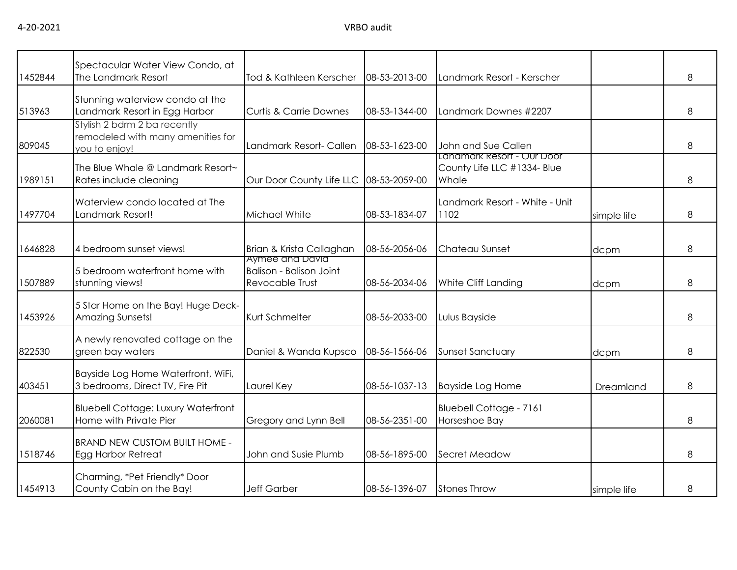| 1452844 | Spectacular Water View Condo, at<br>The Landmark Resort                            | Tod & Kathleen Kerscher                                                     | 08-53-2013-00 | Landmark Resort - Kerscher                                         |             | 8 |
|---------|------------------------------------------------------------------------------------|-----------------------------------------------------------------------------|---------------|--------------------------------------------------------------------|-------------|---|
| 513963  | Stunning waterview condo at the<br>Landmark Resort in Egg Harbor                   | <b>Curtis &amp; Carrie Downes</b>                                           | 08-53-1344-00 | Landmark Downes #2207                                              |             | 8 |
| 809045  | Stylish 2 bdrm 2 ba recently<br>remodeled with many amenities for<br>you to enjoy! | Landmark Resort- Callen                                                     | 08-53-1623-00 | John and Sue Callen                                                |             | 8 |
| 1989151 | The Blue Whale @ Landmark Resort~<br>Rates include cleaning                        | Our Door County Life LLC                                                    | 08-53-2059-00 | Lanamark Resort - Our Door<br>County Life LLC #1334- Blue<br>Whale |             | 8 |
| 1497704 | Waterview condo located at The<br>Landmark Resort!                                 | Michael White                                                               | 08-53-1834-07 | Landmark Resort - White - Unit<br>1102                             | simple life | 8 |
| 1646828 | 4 bedroom sunset views!                                                            | Brian & Krista Callaghan                                                    | 08-56-2056-06 | Chateau Sunset                                                     | dcpm        | 8 |
| 1507889 | 5 bedroom waterfront home with<br>stunning views!                                  | Aymee and David<br><b>Balison - Balison Joint</b><br><b>Revocable Trust</b> | 08-56-2034-06 | White Cliff Landing                                                | dcpm        | 8 |
| 1453926 | 5 Star Home on the Bay! Huge Deck-<br><b>Amazing Sunsets!</b>                      | Kurt Schmelter                                                              | 08-56-2033-00 | Lulus Bayside                                                      |             | 8 |
| 822530  | A newly renovated cottage on the<br>green bay waters                               | Daniel & Wanda Kupsco                                                       | 08-56-1566-06 | <b>Sunset Sanctuary</b>                                            | dcpm        | 8 |
| 403451  | Bayside Log Home Waterfront, WiFi,<br>3 bedrooms, Direct TV, Fire Pit              | Laurel Key                                                                  | 08-56-1037-13 | <b>Bayside Log Home</b>                                            | Dreamland   | 8 |
| 2060081 | <b>Bluebell Cottage: Luxury Waterfront</b><br>Home with Private Pier               | Gregory and Lynn Bell                                                       | 08-56-2351-00 | <b>Bluebell Cottage - 7161</b><br>Horseshoe Bay                    |             | 8 |
| 1518746 | <b>BRAND NEW CUSTOM BUILT HOME -</b><br>Egg Harbor Retreat                         | John and Susie Plumb                                                        | 08-56-1895-00 | Secret Meadow                                                      |             | 8 |
| 1454913 | Charming, *Pet Friendly* Door<br>County Cabin on the Bay!                          | <b>Jeff Garber</b>                                                          | 08-56-1396-07 | <b>Stones Throw</b>                                                | simple life | 8 |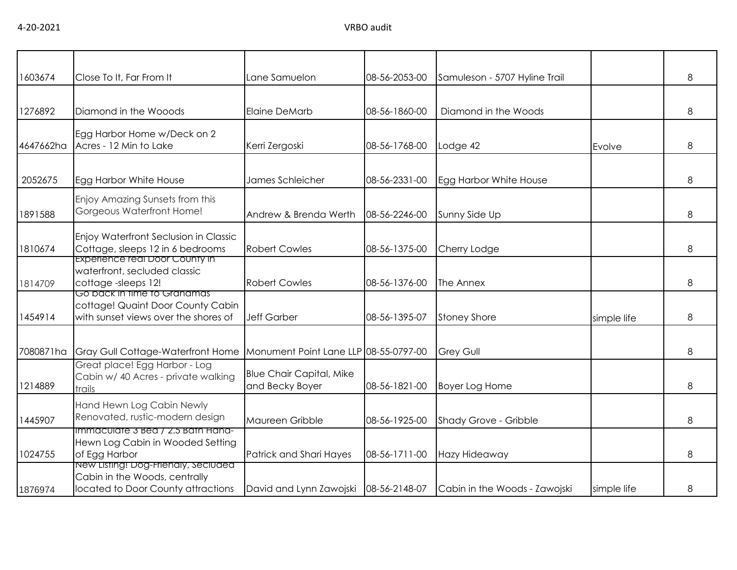| 1603674   | Close To It, Far From It                                                                                        | Lane Samuelon                                      | 08-56-2053-00 | Samuleson - 5707 Hyline Trail |             | 8 |
|-----------|-----------------------------------------------------------------------------------------------------------------|----------------------------------------------------|---------------|-------------------------------|-------------|---|
|           |                                                                                                                 |                                                    |               |                               |             |   |
| 1276892   | Diamond in the Wooods                                                                                           | Elaine DeMarb                                      | 08-56-1860-00 | Diamond in the Woods          |             | 8 |
| 4647662ha | Egg Harbor Home w/Deck on 2<br>Acres - 12 Min to Lake                                                           | Kerri Zergoski                                     | 08-56-1768-00 | Lodge 42                      | Evolve      | 8 |
| 2052675   | Egg Harbor White House                                                                                          | James Schleicher                                   | 08-56-2331-00 | Egg Harbor White House        |             | 8 |
| 1891588   | Enjoy Amazing Sunsets from this<br>Gorgeous Waterfront Home!                                                    | Andrew & Brenda Werth                              | 08-56-2246-00 | Sunny Side Up                 |             | 8 |
| 1810674   | Enjoy Waterfront Seclusion in Classic<br>Cottage, sleeps 12 in 6 bedrooms                                       | <b>Robert Cowles</b>                               | 08-56-1375-00 | Cherry Lodge                  |             | 8 |
| 1814709   | Experience real Door County in<br>waterfront, secluded classic<br>cottage-sleeps 12!                            | <b>Robert Cowles</b>                               | 08-56-1376-00 | The Annex                     |             | 8 |
| 1454914   | <u>Go back in time to Granamas</u><br>cottage! Quaint Door County Cabin<br>with sunset views over the shores of | <b>Jeff Garber</b>                                 | 08-56-1395-07 | <b>Stoney Shore</b>           | simple life | 8 |
| 7080871ha | <b>Gray Gull Cottage-Waterfront Home</b>                                                                        | Monument Point Lane LLP 08-55-0797-00              |               | <b>Grey Gull</b>              |             | 8 |
| 1214889   | Great place! Egg Harbor - Log<br>Cabin w/ 40 Acres - private walking<br>trails                                  | <b>Blue Chair Capital, Mike</b><br>and Becky Boyer | 08-56-1821-00 | <b>Boyer Log Home</b>         |             | 8 |
| 1445907   | Hand Hewn Log Cabin Newly<br>Renovated, rustic-modern design                                                    | Maureen Gribble                                    | 08-56-1925-00 | Shady Grove - Gribble         |             | 8 |
| 1024755   | Immaculate 3 Bed / 2.5 Bath Hand-<br>Hewn Log Cabin in Wooded Setting<br>of Egg Harbor                          | Patrick and Shari Hayes                            | 08-56-1711-00 | Hazy Hideaway                 |             | 8 |
| 1876974   | New Listing! Dog-Frienaly, Seciuded<br>Cabin in the Woods, centrally<br>located to Door County attractions      | David and Lynn Zawojski   08-56-2148-07            |               | Cabin in the Woods - Zawojski | simple life | 8 |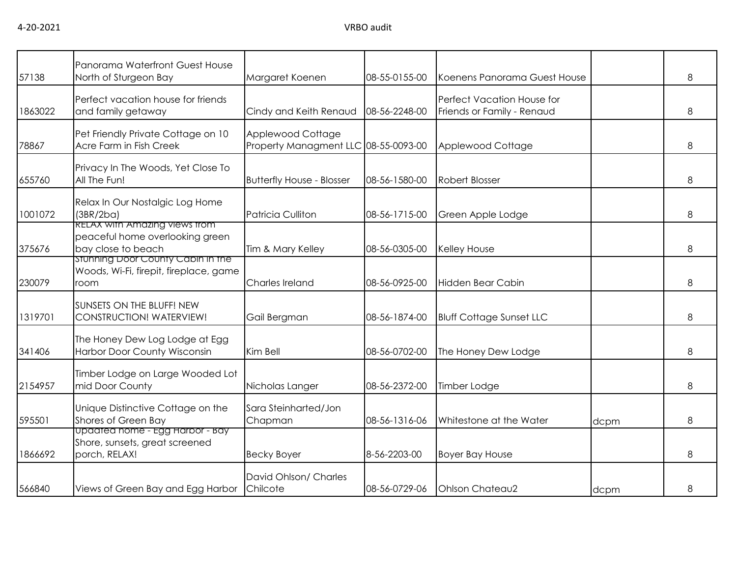| 57138   | Panorama Waterfront Guest House<br>North of Sturgeon Bay                                      | Margaret Koenen                                           | 08-55-0155-00 | Koenens Panorama Guest House                             |      | 8 |
|---------|-----------------------------------------------------------------------------------------------|-----------------------------------------------------------|---------------|----------------------------------------------------------|------|---|
| 1863022 | Perfect vacation house for friends<br>and family getaway                                      | Cindy and Keith Renaud                                    | 08-56-2248-00 | Perfect Vacation House for<br>Friends or Family - Renaud |      | 8 |
| 78867   | Pet Friendly Private Cottage on 10<br>Acre Farm in Fish Creek                                 | Applewood Cottage<br>Property Managment LLC 08-55-0093-00 |               | Applewood Cottage                                        |      | 8 |
| 655760  | Privacy In The Woods, Yet Close To<br>All The Fun!                                            | <b>Butterfly House - Blosser</b>                          | 08-56-1580-00 | <b>Robert Blosser</b>                                    |      | 8 |
| 1001072 | Relax In Our Nostalgic Log Home<br>(3BR/2ba)                                                  | Patricia Culliton                                         | 08-56-1715-00 | Green Apple Lodge                                        |      | 8 |
| 375676  | <b>RELAX with Amazing views from</b><br>peaceful home overlooking green<br>bay close to beach | Tim & Mary Kelley                                         | 08-56-0305-00 | Kelley House                                             |      | 8 |
| 230079  | Stunning Door County Cabin in the<br>Woods, Wi-Fi, firepit, fireplace, game<br>room           | Charles Ireland                                           | 08-56-0925-00 | Hidden Bear Cabin                                        |      | 8 |
| 1319701 | SUNSETS ON THE BLUFF! NEW<br><b>CONSTRUCTION! WATERVIEW!</b>                                  | Gail Bergman                                              | 08-56-1874-00 | <b>Bluff Cottage Sunset LLC</b>                          |      | 8 |
| 341406  | The Honey Dew Log Lodge at Egg<br>Harbor Door County Wisconsin                                | Kim Bell                                                  | 08-56-0702-00 | The Honey Dew Lodge                                      |      | 8 |
| 2154957 | Timber Lodge on Large Wooded Lot<br>mid Door County                                           | Nicholas Langer                                           | 08-56-2372-00 | Timber Lodge                                             |      | 8 |
| 595501  | Unique Distinctive Cottage on the<br>Shores of Green Bay                                      | Sara Steinharted/Jon<br>Chapman                           | 08-56-1316-06 | Whitestone at the Water                                  | dcpm | 8 |
| 1866692 | Updated nome - Egg Harbor - Bay<br>Shore, sunsets, great screened<br>porch, RELAX!            | <b>Becky Boyer</b>                                        | 8-56-2203-00  | <b>Boyer Bay House</b>                                   |      | 8 |
| 566840  | Views of Green Bay and Egg Harbor                                                             | David Ohlson/ Charles<br>Chilcote                         | 08-56-0729-06 | Ohlson Chateau2                                          | dcpm | 8 |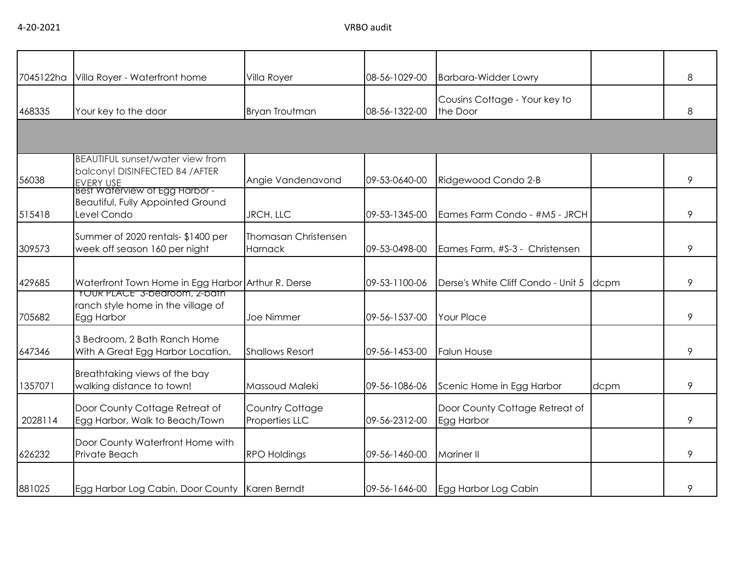| 7045122ha | Villa Royer - Waterfront home                                                                  | Villa Royer                                   | 08-56-1029-00 | <b>Barbara-Widder Lowry</b>                  |      | 8 |
|-----------|------------------------------------------------------------------------------------------------|-----------------------------------------------|---------------|----------------------------------------------|------|---|
| 468335    | Your key to the door                                                                           | <b>Bryan Troutman</b>                         | 08-56-1322-00 | Cousins Cottage - Your key to<br>the Door    |      | 8 |
|           |                                                                                                |                                               |               |                                              |      |   |
| 56038     | <b>BEAUTIFUL sunset/water view from</b><br>balcony! DISINFECTED B4 / AFTER<br><b>EVERY USE</b> | Angie Vandenavond                             | 09-53-0640-00 | Ridgewood Condo 2-B                          |      | 9 |
| 515418    | Best waterview of Egg Harbor -<br><b>Beautiful, Fully Appointed Ground</b><br>Level Condo      | <b>JRCH, LLC</b>                              | 09-53-1345-00 | Eames Farm Condo - #M5 - JRCH                |      | 9 |
| 309573    | Summer of 2020 rentals- \$1400 per<br>week off season 160 per night                            | <b>Thomasan Christensen</b><br><b>Harnack</b> | 09-53-0498-00 | Eames Farm, #S-3 - Christensen               |      | 9 |
| 429685    | Waterfront Town Home in Egg Harbor Arthur R. Derse<br><b>TOUR PLACE" 3-bearoom, 2-bain</b>     |                                               | 09-53-1100-06 | Derse's White Cliff Condo - Unit 5 dcpm      |      | 9 |
| 705682    | ranch style home in the village of<br>Egg Harbor                                               | Joe Nimmer                                    | 09-56-1537-00 | <b>Your Place</b>                            |      | 9 |
| 647346    | 3 Bedroom, 2 Bath Ranch Home<br>With A Great Egg Harbor Location.                              | <b>Shallows Resort</b>                        | 09-56-1453-00 | <b>Falun House</b>                           |      | 9 |
| 1357071   | Breathtaking views of the bay<br>walking distance to town!                                     | Massoud Maleki                                | 09-56-1086-06 | Scenic Home in Egg Harbor                    | dcpm | 9 |
| 2028114   | Door County Cottage Retreat of<br>Egg Harbor, Walk to Beach/Town                               | Country Cottage<br>Properties LLC             | 09-56-2312-00 | Door County Cottage Retreat of<br>Egg Harbor |      | 9 |
| 626232    | Door County Waterfront Home with<br>Private Beach                                              | <b>RPO Holdings</b>                           | 09-56-1460-00 | <b>Mariner II</b>                            |      | 9 |
| 881025    | Egg Harbor Log Cabin, Door County Karen Berndt                                                 |                                               | 09-56-1646-00 | Egg Harbor Log Cabin                         |      | 9 |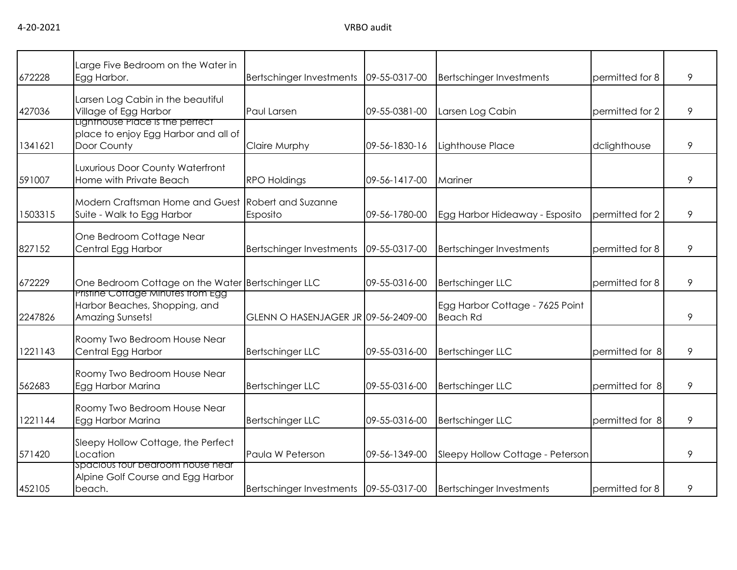4-20-2021 VRBO audit

| 672228  | Large Five Bedroom on the Water in<br>Egg Harbor.                                      | Bertschinger Investments              | 09-55-0317-00 | <b>Bertschinger Investments</b>                    | permitted for 8 | 9 |
|---------|----------------------------------------------------------------------------------------|---------------------------------------|---------------|----------------------------------------------------|-----------------|---|
| 427036  | Larsen Log Cabin in the beautiful<br>Village of Egg Harbor                             | Paul Larsen                           | 09-55-0381-00 | Larsen Log Cabin                                   | permitted for 2 | 9 |
| 1341621 | Lighthouse Place is the perfect<br>place to enjoy Egg Harbor and all of<br>Door County | Claire Murphy                         | 09-56-1830-16 | Lighthouse Place                                   | dclighthouse    | 9 |
| 591007  | Luxurious Door County Waterfront<br>Home with Private Beach                            | <b>RPO Holdings</b>                   | 09-56-1417-00 | Mariner                                            |                 | 9 |
| 1503315 | Modern Craftsman Home and Guest<br>Suite - Walk to Egg Harbor                          | <b>Robert and Suzanne</b><br>Esposito | 09-56-1780-00 | Egg Harbor Hideaway - Esposito                     | permitted for 2 | 9 |
| 827152  | One Bedroom Cottage Near<br>Central Egg Harbor                                         | Bertschinger Investments              | 09-55-0317-00 | <b>Bertschinger Investments</b>                    | permitted for 8 | 9 |
| 672229  | One Bedroom Cottage on the Water Bertschinger LLC                                      |                                       | 09-55-0316-00 | <b>Bertschinger LLC</b>                            | permitted for 8 | 9 |
| 2247826 | Pristine Cottage Minutes from Egg<br>Harbor Beaches, Shopping, and<br>Amazing Sunsets! | GLENN O HASENJAGER JR 09-56-2409-00   |               | Egg Harbor Cottage - 7625 Point<br><b>Beach Rd</b> |                 | 9 |
| 1221143 | Roomy Two Bedroom House Near<br>Central Egg Harbor                                     | <b>Bertschinger LLC</b>               | 09-55-0316-00 | <b>Bertschinger LLC</b>                            | permitted for 8 | 9 |
| 562683  | Roomy Two Bedroom House Near<br>Egg Harbor Marina                                      | <b>Bertschinger LLC</b>               | 09-55-0316-00 | <b>Bertschinger LLC</b>                            | permitted for 8 | 9 |
| 1221144 | Roomy Two Bedroom House Near<br>Egg Harbor Marina                                      | <b>Bertschinger LLC</b>               | 09-55-0316-00 | <b>Bertschinger LLC</b>                            | permitted for 8 | 9 |
| 571420  | Sleepy Hollow Cottage, the Perfect<br>Location                                         | Paula W Peterson                      | 09-56-1349-00 | Sleepy Hollow Cottage - Peterson                   |                 | 9 |
| 452105  | spacious tour bearoom house near<br>Alpine Golf Course and Egg Harbor<br>beach.        | Bertschinger Investments              | 09-55-0317-00 | <b>Bertschinger Investments</b>                    | permitted for 8 | 9 |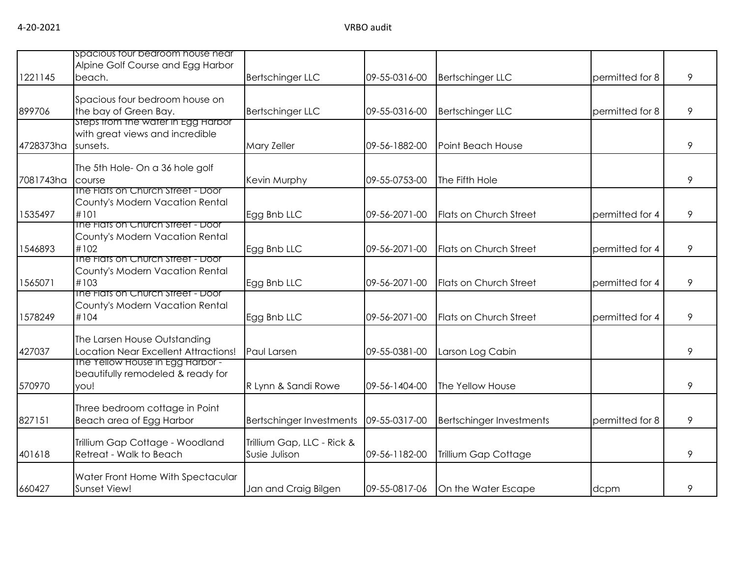| 1221145   | spacious four bearoom house near<br>Alpine Golf Course and Egg Harbor<br>beach.   | <b>Bertschinger LLC</b>                     | 09-55-0316-00 | <b>Bertschinger LLC</b>         | permitted for 8 | 9 |
|-----------|-----------------------------------------------------------------------------------|---------------------------------------------|---------------|---------------------------------|-----------------|---|
| 899706    | Spacious four bedroom house on<br>the bay of Green Bay.                           | <b>Bertschinger LLC</b>                     | 09-55-0316-00 | <b>Bertschinger LLC</b>         | permitted for 8 | 9 |
| 4728373ha | steps trom the water in Egg Harbor<br>with great views and incredible<br>sunsets. | <b>Mary Zeller</b>                          | 09-56-1882-00 | Point Beach House               |                 | 9 |
| 7081743ha | The 5th Hole- On a 36 hole golf<br>course                                         | Kevin Murphy                                | 09-55-0753-00 | The Fifth Hole                  |                 | 9 |
| 1535497   | The Flats on Church Street - Door<br>County's Modern Vacation Rental<br>#101      | Egg Bnb LLC                                 | 09-56-2071-00 | Flats on Church Street          | permitted for 4 | 9 |
| 1546893   | The Flats on Church Street - Door<br>County's Modern Vacation Rental<br>#102      | Egg Bnb LLC                                 | 09-56-2071-00 | Flats on Church Street          | permitted for 4 | 9 |
| 1565071   | The Flats on Church Street - Door<br>County's Modern Vacation Rental<br>#103      | Egg Bnb LLC                                 | 09-56-2071-00 | Flats on Church Street          | permitted for 4 | 9 |
| 1578249   | The Flats on Church Street - Door<br>County's Modern Vacation Rental<br>#104      | Egg Bnb LLC                                 | 09-56-2071-00 | Flats on Church Street          | permitted for 4 | 9 |
| 427037    | The Larsen House Outstanding<br>Location Near Excellent Attractions!              | <b>Paul Larsen</b>                          | 09-55-0381-00 | Larson Log Cabin                |                 | 9 |
| 570970    | The Yellow House in Egg Harbor -<br>beautifully remodeled & ready for<br>you!     | R Lynn & Sandi Rowe                         | 09-56-1404-00 | The Yellow House                |                 | 9 |
| 827151    | Three bedroom cottage in Point<br>Beach area of Egg Harbor                        | Bertschinger Investments                    | 09-55-0317-00 | <b>Bertschinger Investments</b> | permitted for 8 | 9 |
| 401618    | Trillium Gap Cottage - Woodland<br>Retreat - Walk to Beach                        | Trillium Gap, LLC - Rick &<br>Susie Julison | 09-56-1182-00 | Trillium Gap Cottage            |                 | 9 |
| 660427    | Water Front Home With Spectacular<br>Sunset View!                                 | Jan and Craig Bilgen                        | 09-55-0817-06 | On the Water Escape             | dcpm            | 9 |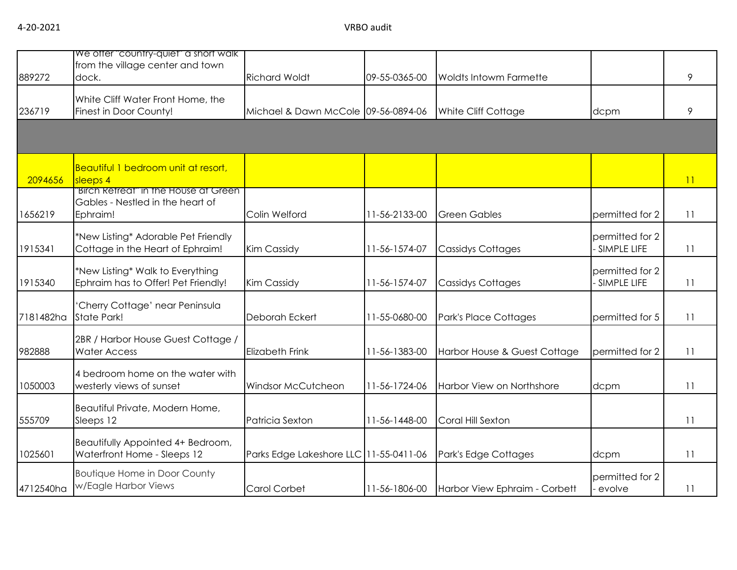| 889272    | We offer "country-quiet" a short walk<br>from the village center and town<br>dock.         | <b>Richard Woldt</b>                   | 09-55-0365-00 | <b>Woldts Intowm Farmette</b> |                                | 9  |
|-----------|--------------------------------------------------------------------------------------------|----------------------------------------|---------------|-------------------------------|--------------------------------|----|
| 236719    | White Cliff Water Front Home, the<br>Finest in Door County!                                | Michael & Dawn McCole 09-56-0894-06    |               | White Cliff Cottage           | dcpm                           | 9  |
|           |                                                                                            |                                        |               |                               |                                |    |
| 2094656   | Beautiful 1 bedroom unit at resort,<br>sleeps 4                                            |                                        |               |                               |                                | 11 |
| 1656219   | <b>Birch Retreat in the House at Green</b><br>Gables - Nestled in the heart of<br>Ephraim! | Colin Welford                          | 11-56-2133-00 | <b>Green Gables</b>           | permitted for 2                | 11 |
| 1915341   | *New Listing* Adorable Pet Friendly<br>Cottage in the Heart of Ephraim!                    | <b>Kim Cassidy</b>                     | 11-56-1574-07 | <b>Cassidys Cottages</b>      | permitted for 2<br>SIMPLE LIFE | 11 |
| 1915340   | *New Listing* Walk to Everything<br>Ephraim has to Offer! Pet Friendly!                    | <b>Kim Cassidy</b>                     | 11-56-1574-07 | <b>Cassidys Cottages</b>      | permitted for 2<br>SIMPLE LIFE | 11 |
| 7181482ha | 'Cherry Cottage' near Peninsula<br>State Park!                                             | Deborah Eckert                         | 11-55-0680-00 | Park's Place Cottages         | permitted for 5                | 11 |
| 982888    | 2BR / Harbor House Guest Cottage /<br><b>Water Access</b>                                  | <b>Elizabeth Frink</b>                 | 11-56-1383-00 | Harbor House & Guest Cottage  | permitted for 2                | 11 |
| 1050003   | 4 bedroom home on the water with<br>westerly views of sunset                               | Windsor McCutcheon                     | 11-56-1724-06 | Harbor View on Northshore     | dcpm                           | 11 |
| 555709    | Beautiful Private, Modern Home,<br>Sleeps 12                                               | Patricia Sexton                        | 11-56-1448-00 | Coral Hill Sexton             |                                | 11 |
| 1025601   | Beautifully Appointed 4+ Bedroom,<br>Waterfront Home - Sleeps 12                           | Parks Edge Lakeshore LLC 11-55-0411-06 |               | Park's Edge Cottages          | dcpm                           | 11 |
| 4712540ha | <b>Boutique Home in Door County</b><br>w/Eagle Harbor Views                                | Carol Corbet                           | 11-56-1806-00 | Harbor View Ephraim - Corbett | permitted for 2<br>evolve      | 11 |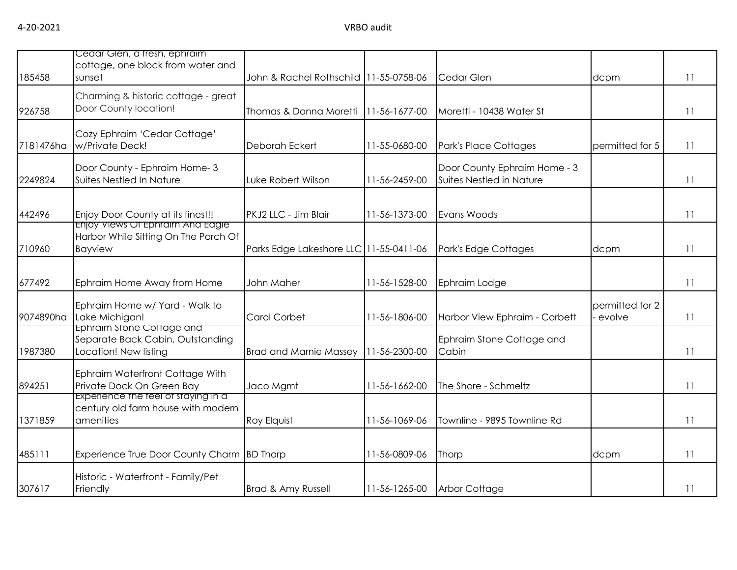| 185458    | Cedar Gien, a tresh, ephraim<br>cottage, one block from water and<br>sunset            | John & Rachel Rothschild 11-55-0758-06 |               | Cedar Glen                                               | dcpm                      | 11 |
|-----------|----------------------------------------------------------------------------------------|----------------------------------------|---------------|----------------------------------------------------------|---------------------------|----|
| 926758    | Charming & historic cottage - great<br>Door County location!                           | Thomas & Donna Moretti                 | 11-56-1677-00 | Moretti - 10438 Water St                                 |                           | 11 |
| 7181476ha | Cozy Ephraim 'Cedar Cottage'<br>w/Private Deck!                                        | Deborah Eckert                         | 11-55-0680-00 | <b>Park's Place Cottages</b>                             | permitted for 5           | 11 |
| 2249824   | Door County - Ephraim Home- 3<br>Suites Nestled In Nature                              | Luke Robert Wilson                     | 11-56-2459-00 | Door County Ephraim Home - 3<br>Suites Nestled in Nature |                           | 11 |
| 442496    | Enjoy Door County at its finest!!<br>Enjoy Views Of Ephraim And Eagle                  | PKJ2 LLC - Jim Blair                   | 11-56-1373-00 | Evans Woods                                              |                           | 11 |
| 710960    | Harbor While Sitting On The Porch Of<br><b>Bayview</b>                                 | Parks Edge Lakeshore LLC 11-55-0411-06 |               | Park's Edge Cottages                                     | dcpm                      | 11 |
| 677492    | Ephraim Home Away from Home                                                            | John Maher                             | 11-56-1528-00 | Ephraim Lodge                                            |                           | 11 |
| 9074890ha | Ephraim Home w/ Yard - Walk to<br>Lake Michigan!                                       | Carol Corbet                           | 11-56-1806-00 | Harbor View Ephraim - Corbett                            | permitted for 2<br>evolve | 11 |
| 1987380   | Ephraim stone Cottage and<br>Separate Back Cabin, Outstanding<br>Location! New listing | <b>Brad and Marnie Massey</b>          | 11-56-2300-00 | Ephraim Stone Cottage and<br>Cabin                       |                           | 11 |
| 894251    | Ephraim Waterfront Cottage With<br>Private Dock On Green Bay                           | Jaco Mgmt                              | 11-56-1662-00 | The Shore - Schmeltz                                     |                           | 11 |
| 1371859   | Experience the teel of staying in a<br>century old farm house with modern<br>amenities | Roy Elquist                            | 11-56-1069-06 | Townline - 9895 Townline Rd                              |                           | 11 |
| 485111    | Experience True Door County Charm BD Thorp                                             |                                        | 11-56-0809-06 | Thorp                                                    | dcpm                      | 11 |
| 307617    | Historic - Waterfront - Family/Pet<br>Friendly                                         | <b>Brad &amp; Amy Russell</b>          | 11-56-1265-00 | Arbor Cottage                                            |                           | 11 |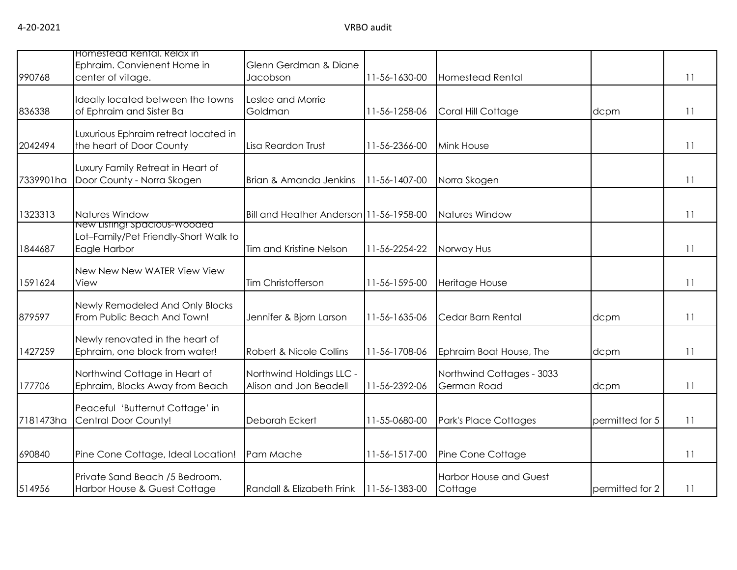| 990768    | Homestead Rental, Relax in<br>Ephraim. Convienent Home in<br>center of village.       | Glenn Gerdman & Diane<br>Jacobson                  | 11-56-1630-00 | Homestead Rental                         |                 | 11 |
|-----------|---------------------------------------------------------------------------------------|----------------------------------------------------|---------------|------------------------------------------|-----------------|----|
| 836338    | Ideally located between the towns<br>of Ephraim and Sister Ba                         | Leslee and Morrie<br>Goldman                       | 11-56-1258-06 | Coral Hill Cottage                       | dcpm            | 11 |
| 2042494   | Luxurious Ephraim retreat located in<br>the heart of Door County                      | Lisa Reardon Trust                                 | 11-56-2366-00 | <b>Mink House</b>                        |                 | 11 |
| 7339901ha | Luxury Family Retreat in Heart of<br>Door County - Norra Skogen                       | Brian & Amanda Jenkins                             | 11-56-1407-00 | Norra Skogen                             |                 | 11 |
| 1323313   | Natures Window                                                                        | Bill and Heather Anderson 11-56-1958-00            |               | Natures Window                           |                 | 11 |
| 1844687   | New Listing! Spacious-Wooded<br>Lot-Family/Pet Friendly-Short Walk to<br>Eagle Harbor | Tim and Kristine Nelson                            | 11-56-2254-22 | Norway Hus                               |                 | 11 |
| 1591624   | New New New WATER View View<br>View                                                   | Tim Christofferson                                 | 11-56-1595-00 | Heritage House                           |                 | 11 |
| 879597    | Newly Remodeled And Only Blocks<br>From Public Beach And Town!                        | Jennifer & Bjorn Larson                            | 11-56-1635-06 | Cedar Barn Rental                        | dcpm            | 11 |
| 1427259   | Newly renovated in the heart of<br>Ephraim, one block from water!                     | Robert & Nicole Collins                            | 11-56-1708-06 | Ephraim Boat House, The                  | dcpm            | 11 |
| 177706    | Northwind Cottage in Heart of<br>Ephraim, Blocks Away from Beach                      | Northwind Holdings LLC -<br>Alison and Jon Beadell | 11-56-2392-06 | Northwind Cottages - 3033<br>German Road | dcpm            | 11 |
| 7181473ha | Peaceful 'Butternut Cottage' in<br>Central Door County!                               | Deborah Eckert                                     | 11-55-0680-00 | Park's Place Cottages                    | permitted for 5 | 11 |
| 690840    | Pine Cone Cottage, Ideal Location!                                                    | Pam Mache                                          | 11-56-1517-00 | Pine Cone Cottage                        |                 | 11 |
| 514956    | Private Sand Beach /5 Bedroom.<br>Harbor House & Guest Cottage                        | Randall & Elizabeth Frink                          | 11-56-1383-00 | <b>Harbor House and Guest</b><br>Cottage | permitted for 2 | 11 |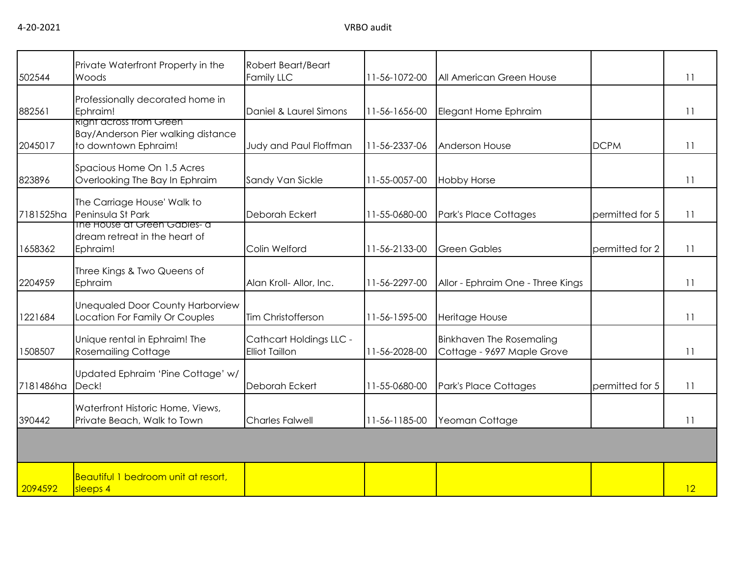| 502544    | Private Waterfront Property in the<br>Woods                                                  | Robert Beart/Beart<br>Family LLC                 | 11-56-1072-00 | All American Green House                                      |                 | 11 |
|-----------|----------------------------------------------------------------------------------------------|--------------------------------------------------|---------------|---------------------------------------------------------------|-----------------|----|
| 882561    | Professionally decorated home in<br>Ephraim!                                                 | Daniel & Laurel Simons                           | 11-56-1656-00 | Elegant Home Ephraim                                          |                 | 11 |
| 2045017   | <b>Right across trom Green</b><br>Bay/Anderson Pier walking distance<br>to downtown Ephraim! | Judy and Paul Floffman                           | 11-56-2337-06 | Anderson House                                                | <b>DCPM</b>     | 11 |
| 823896    | Spacious Home On 1.5 Acres<br>Overlooking The Bay In Ephraim                                 | Sandy Van Sickle                                 | 11-55-0057-00 | <b>Hobby Horse</b>                                            |                 | 11 |
| 7181525ha | The Carriage House' Walk to<br>Peninsula St Park                                             | Deborah Eckert                                   | 11-55-0680-00 | Park's Place Cottages                                         | permitted for 5 | 11 |
| 1658362   | The House at Green Gables- a<br>dream retreat in the heart of<br>Ephraim!                    | Colin Welford                                    | 11-56-2133-00 | <b>Green Gables</b>                                           | permitted for 2 | 11 |
| 2204959   | Three Kings & Two Queens of<br>Ephraim                                                       | Alan Kroll- Allor, Inc.                          | 11-56-2297-00 | Allor - Ephraim One - Three Kings                             |                 | 11 |
| 1221684   | <b>Unequaled Door County Harborview</b><br>Location For Family Or Couples                    | Tim Christofferson                               | 11-56-1595-00 | Heritage House                                                |                 | 11 |
| 1508507   | Unique rental in Ephraim! The<br><b>Rosemailing Cottage</b>                                  | Cathcart Holdings LLC -<br><b>Elliot Taillon</b> | 11-56-2028-00 | <b>Binkhaven The Rosemaling</b><br>Cottage - 9697 Maple Grove |                 | 11 |
| 7181486ha | Updated Ephraim 'Pine Cottage' w/<br>Deck!                                                   | Deborah Eckert                                   | 11-55-0680-00 | Park's Place Cottages                                         | permitted for 5 | 11 |
| 390442    | Waterfront Historic Home, Views,<br>Private Beach, Walk to Town                              | <b>Charles Falwell</b>                           | 11-56-1185-00 | Yeoman Cottage                                                |                 | 11 |
|           |                                                                                              |                                                  |               |                                                               |                 |    |
| 2094592   | Beautiful 1 bedroom unit at resort,<br>sleeps 4                                              |                                                  |               |                                                               |                 | 12 |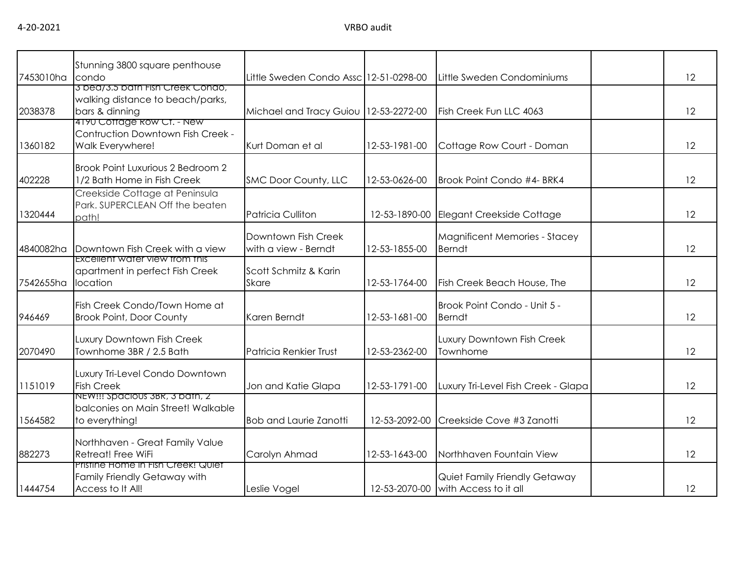4-20-2021 VRBO audit

| 7453010ha condo | Stunning 3800 square penthouse                                                          | Little Sweden Condo Assc 12-51-0298-00      |               | Little Sweden Condominiums                             | 12 |
|-----------------|-----------------------------------------------------------------------------------------|---------------------------------------------|---------------|--------------------------------------------------------|----|
| 2038378         | 3 bea/3.5 bath Fish Creek Condo,<br>walking distance to beach/parks,<br>bars & dinning  | Michael and Tracy Guiou   12-53-2272-00     |               | Fish Creek Fun LLC 4063                                | 12 |
| 1360182         | 4190 Cottage Row Ct. - New<br>Contruction Downtown Fish Creek -<br>Walk Everywhere!     | Kurt Doman et al                            | 12-53-1981-00 | Cottage Row Court - Doman                              | 12 |
| 402228          | Brook Point Luxurious 2 Bedroom 2<br>1/2 Bath Home in Fish Creek                        | SMC Door County, LLC                        | 12-53-0626-00 | Brook Point Condo #4- BRK4                             | 12 |
| 1320444         | Creekside Cottage at Peninsula<br>Park. SUPERCLEAN Off the beaten<br>path!              | Patricia Culliton                           | 12-53-1890-00 | Elegant Creekside Cottage                              | 12 |
| 4840082ha       | Downtown Fish Creek with a view                                                         | Downtown Fish Creek<br>with a view - Berndt | 12-53-1855-00 | Magnificent Memories - Stacey<br><b>Berndt</b>         | 12 |
| 7542655ha       | <b>Excellent water view trom this</b><br>apartment in perfect Fish Creek<br>location    | Scott Schmitz & Karin<br><b>Skare</b>       | 12-53-1764-00 | Fish Creek Beach House, The                            | 12 |
| 946469          | Fish Creek Condo/Town Home at<br><b>Brook Point, Door County</b>                        | Karen Berndt                                | 12-53-1681-00 | Brook Point Condo - Unit 5 -<br><b>Berndt</b>          | 12 |
| 2070490         | Luxury Downtown Fish Creek<br>Townhome 3BR / 2.5 Bath                                   | Patricia Renkier Trust                      | 12-53-2362-00 | Luxury Downtown Fish Creek<br>Townhome                 | 12 |
| 1151019         | Luxury Tri-Level Condo Downtown<br><b>Fish Creek</b>                                    | Jon and Katie Glapa                         | 12-53-1791-00 | Luxury Tri-Level Fish Creek - Glapa                    | 12 |
| 1564582         | NEW!!! Spacious 3BR, 3 bath, 2<br>balconies on Main Street! Walkable<br>to everything!  | <b>Bob and Laurie Zanotti</b>               | 12-53-2092-00 | Creekside Cove #3 Zanotti                              | 12 |
| 882273          | Northhaven - Great Family Value<br><b>Retreat! Free WiFi</b>                            | Carolyn Ahmad                               | 12-53-1643-00 | Northhaven Fountain View                               | 12 |
| 1444754         | Pristine Home in Fish Creek! Quiet<br>Family Friendly Getaway with<br>Access to It All! | Leslie Vogel                                | 12-53-2070-00 | Quiet Family Friendly Getaway<br>with Access to it all | 12 |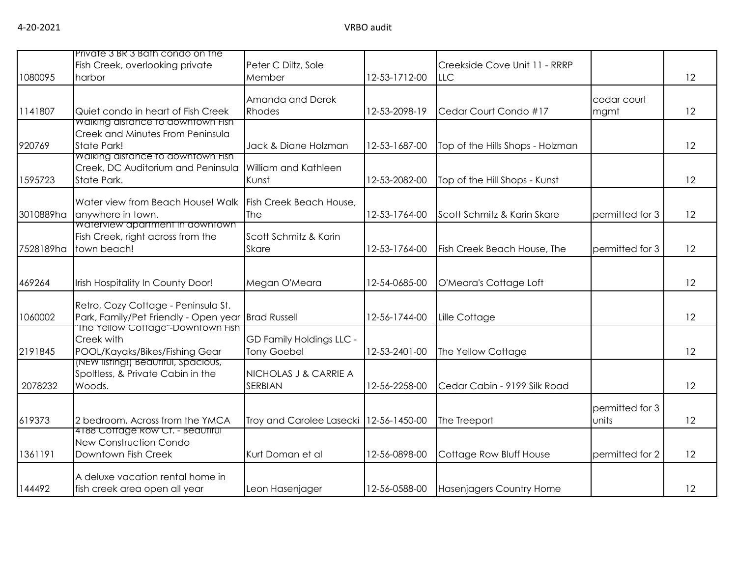|           | Private 3 BR 3 Bath condo on the                                                                                               |                                                       |               |                                              |                          |    |
|-----------|--------------------------------------------------------------------------------------------------------------------------------|-------------------------------------------------------|---------------|----------------------------------------------|--------------------------|----|
| 1080095   | Fish Creek, overlooking private<br>harbor                                                                                      | Peter C Diltz, Sole<br>Member                         | 12-53-1712-00 | Creekside Cove Unit 11 - RRRP<br><b>ILLC</b> |                          | 12 |
| 1141807   | Quiet condo in heart of Fish Creek                                                                                             | Amanda and Derek<br>Rhodes                            | 12-53-2098-19 | Cedar Court Condo #17                        | cedar court<br>mgmt      | 12 |
| 920769    | Walking distance to downtown Fish<br><b>Creek and Minutes From Peninsula</b><br>State Park!                                    | Jack & Diane Holzman                                  | 12-53-1687-00 | Top of the Hills Shops - Holzman             |                          | 12 |
| 1595723   | Walking distance to downtown Fish<br>Creek, DC Auditorium and Peninsula William and Kathleen<br>State Park.                    | Kunst                                                 | 12-53-2082-00 | Top of the Hill Shops - Kunst                |                          | 12 |
| 3010889ha | Water view from Beach House! Walk Fish Creek Beach House,<br>anywhere in town.<br>waterview apartment in downtown              | The                                                   | 12-53-1764-00 | Scott Schmitz & Karin Skare                  | permitted for 3          | 12 |
| 7528189ha | Fish Creek, right across from the<br>town beach!                                                                               | Scott Schmitz & Karin<br><b>Skare</b>                 | 12-53-1764-00 | Fish Creek Beach House, The                  | permitted for 3          | 12 |
| 469264    | Irish Hospitality In County Door!                                                                                              | Megan O'Meara                                         | 12-54-0685-00 | O'Meara's Cottage Loft                       |                          | 12 |
| 1060002   | Retro, Cozy Cottage - Peninsula St.<br>Park, Family/Pet Friendly - Open year Brad Russell<br>The Yellow Cottage"-Downtown Fish |                                                       | 12-56-1744-00 | Lille Cottage                                |                          | 12 |
| 2191845   | Creek with<br>POOL/Kayaks/Bikes/Fishing Gear<br>(NEW listing!) Beautitul, Spacious,                                            | <b>GD Family Holdings LLC -</b><br><b>Tony Goebel</b> | 12-53-2401-00 | The Yellow Cottage                           |                          | 12 |
| 2078232   | Spoltless, & Private Cabin in the<br>Woods.                                                                                    | NICHOLAS J & CARRIE A<br><b>SERBIAN</b>               | 12-56-2258-00 | Cedar Cabin - 9199 Silk Road                 |                          | 12 |
| 619373    | 2 bedroom, Across from the YMCA                                                                                                | Troy and Carolee Lasecki   12-56-1450-00              |               | The Treeport                                 | permitted for 3<br>units | 12 |
| 1361191   | 4188 Cottage Row Ct. - Beautiful<br><b>New Construction Condo</b><br>Downtown Fish Creek                                       | Kurt Doman et al                                      | 12-56-0898-00 | Cottage Row Bluff House                      | permitted for 2          | 12 |
| 144492    | A deluxe vacation rental home in<br>fish creek area open all year                                                              | Leon Hasenjager                                       | 12-56-0588-00 | Hasenjagers Country Home                     |                          | 12 |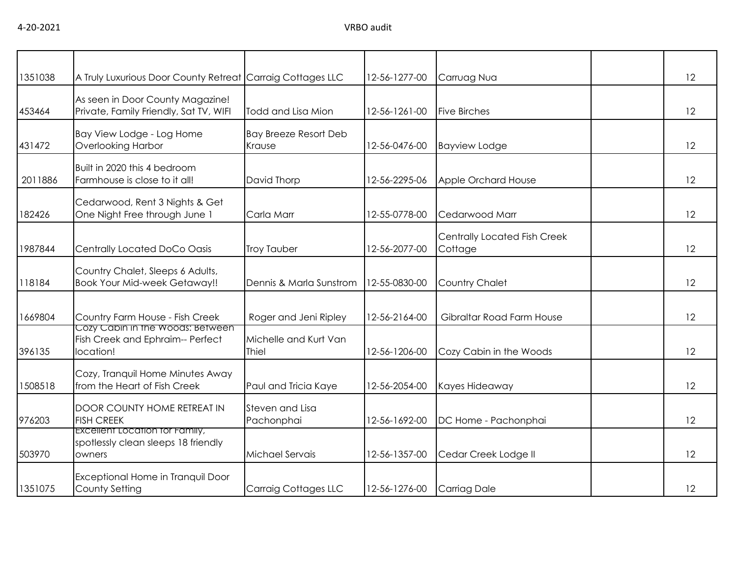| 1351038 | A Truly Luxurious Door County Retreat Carraig Cottages LLC                             |                                        | 12-56-1277-00 | Carruag Nua                                    | 12 |
|---------|----------------------------------------------------------------------------------------|----------------------------------------|---------------|------------------------------------------------|----|
| 453464  | As seen in Door County Magazine!<br>Private, Family Friendly, Sat TV, WIFI             | Todd and Lisa Mion                     | 12-56-1261-00 | <b>Five Birches</b>                            | 12 |
| 431472  | Bay View Lodge - Log Home<br><b>Overlooking Harbor</b>                                 | <b>Bay Breeze Resort Deb</b><br>Krause | 12-56-0476-00 | <b>Bayview Lodge</b>                           | 12 |
| 2011886 | Built in 2020 this 4 bedroom<br>Farmhouse is close to it all!                          | David Thorp                            | 12-56-2295-06 | Apple Orchard House                            | 12 |
| 182426  | Cedarwood, Rent 3 Nights & Get<br>One Night Free through June 1                        | Carla Marr                             | 12-55-0778-00 | Cedarwood Marr                                 | 12 |
| 1987844 | Centrally Located DoCo Oasis                                                           | <b>Troy Tauber</b>                     | 12-56-2077-00 | <b>Centrally Located Fish Creek</b><br>Cottage | 12 |
| 118184  | Country Chalet, Sleeps 6 Adults,<br><b>Book Your Mid-week Getaway!!</b>                | Dennis & Marla Sunstrom                | 12-55-0830-00 | <b>Country Chalet</b>                          | 12 |
| 1669804 | Country Farm House - Fish Creek                                                        | Roger and Jeni Ripley                  | 12-56-2164-00 | Gibraltar Road Farm House                      | 12 |
| 396135  | Cozy Cabin in the Woods: Between<br>Fish Creek and Ephraim-- Perfect<br>location!      | Michelle and Kurt Van<br>Thiel         | 12-56-1206-00 | Cozy Cabin in the Woods                        | 12 |
| 1508518 | Cozy, Tranquil Home Minutes Away<br>from the Heart of Fish Creek                       | Paul and Tricia Kaye                   | 12-56-2054-00 | Kayes Hideaway                                 | 12 |
| 976203  | DOOR COUNTY HOME RETREAT IN<br><b>FISH CREEK</b>                                       | Steven and Lisa<br>Pachonphai          | 12-56-1692-00 | DC Home - Pachonphai                           | 12 |
| 503970  | <b>EXCEILENT LOCATION TOT FAMILY,</b><br>spotlessly clean sleeps 18 friendly<br>owners | Michael Servais                        | 12-56-1357-00 | Cedar Creek Lodge II                           | 12 |
| 1351075 | Exceptional Home in Tranquil Door<br>County Setting                                    | Carraig Cottages LLC                   | 12-56-1276-00 | <b>Carriag Dale</b>                            | 12 |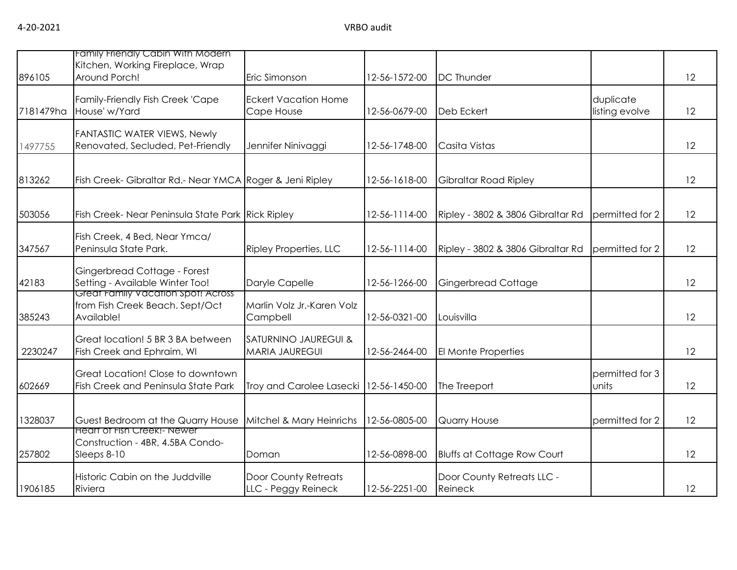| 896105    | Family Frienaly Cabin With Modern<br>Kitchen, Working Fireplace, Wrap<br>Around Porch! | Eric Simonson                                 | 12-56-1572-00 | <b>DC</b> Thunder                     |                             | 12 |
|-----------|----------------------------------------------------------------------------------------|-----------------------------------------------|---------------|---------------------------------------|-----------------------------|----|
| 7181479ha | Family-Friendly Fish Creek 'Cape<br>House' w/Yard                                      | <b>Eckert Vacation Home</b><br>Cape House     | 12-56-0679-00 | <b>Deb Eckert</b>                     | duplicate<br>listing evolve | 12 |
| 1497755   | <b>FANTASTIC WATER VIEWS, Newly</b><br>Renovated, Secluded, Pet-Friendly               | Jennifer Ninivaggi                            | 12-56-1748-00 | Casita Vistas                         |                             | 12 |
| 813262    | Fish Creek- Gibraltar Rd.- Near YMCA Roger & Jeni Ripley                               |                                               | 12-56-1618-00 | Gibraltar Road Ripley                 |                             | 12 |
| 503056    | Fish Creek- Near Peninsula State Park Rick Ripley                                      |                                               | 12-56-1114-00 | Ripley - 3802 & 3806 Gibraltar Rd     | permitted for 2             | 12 |
| 347567    | Fish Creek, 4 Bed, Near Ymca/<br>Peninsula State Park.                                 | <b>Ripley Properties, LLC</b>                 | 12-56-1114-00 | Ripley - 3802 & 3806 Gibraltar Rd     | permitted for 2             | 12 |
| 42183     | Gingerbread Cottage - Forest<br>Setting - Available Winter Too!                        | Daryle Capelle                                | 12-56-1266-00 | Gingerbread Cottage                   |                             | 12 |
| 385243    | Great Family Vacation Spot! Across<br>from Fish Creek Beach. Sept/Oct<br>Available!    | Marlin Volz Jr.-Karen Volz<br>Campbell        | 12-56-0321-00 | Louisvilla                            |                             | 12 |
| 2230247   | Great location! 5 BR 3 BA between<br>Fish Creek and Ephraim, WI                        | SATURNINO JAUREGUI &<br><b>MARIA JAUREGUI</b> | 12-56-2464-00 | El Monte Properties                   |                             | 12 |
| 602669    | Great Location! Close to downtown<br>Fish Creek and Peninsula State Park               | Troy and Carolee Lasecki   12-56-1450-00      |               | The Treeport                          | permitted for 3<br>units    | 12 |
| 1328037   | Guest Bedroom at the Quarry House                                                      | Mitchel & Mary Heinrichs                      | 12-56-0805-00 | Quarry House                          | permitted for 2             | 12 |
| 257802    | <b>Heart of Fish Creek!- Newer</b><br>Construction - 4BR, 4.5BA Condo-<br>Sleeps 8-10  | Doman                                         | 12-56-0898-00 | <b>Bluffs at Cottage Row Court</b>    |                             | 12 |
| 1906185   | Historic Cabin on the Juddville<br>Riviera                                             | Door County Retreats<br>LLC - Peggy Reineck   | 12-56-2251-00 | Door County Retreats LLC -<br>Reineck |                             | 12 |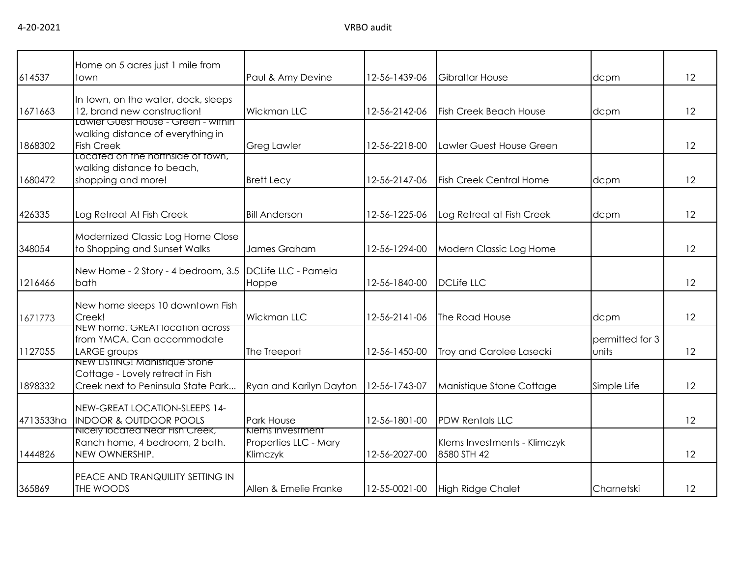|           | Home on 5 acres just 1 mile from                                                                                                   |                                                              |               |                                             |                          |    |
|-----------|------------------------------------------------------------------------------------------------------------------------------------|--------------------------------------------------------------|---------------|---------------------------------------------|--------------------------|----|
| 614537    | town                                                                                                                               | Paul & Amy Devine                                            | 12-56-1439-06 | <b>Gibraltar House</b>                      | dcpm                     | 12 |
| 1671663   | In town, on the water, dock, sleeps<br>12, brand new construction!                                                                 | Wickman LLC                                                  | 12-56-2142-06 | <b>Fish Creek Beach House</b>               | dcpm                     | 12 |
| 1868302   | Lawler Guest House - Green - within<br>walking distance of everything in<br><b>Fish Creek</b><br>Located on the northside of fown, | <b>Greg Lawler</b>                                           | 12-56-2218-00 | Lawler Guest House Green                    |                          | 12 |
| 1680472   | walking distance to beach,<br>shopping and more!                                                                                   | <b>Brett Lecy</b>                                            | 12-56-2147-06 | <b>Fish Creek Central Home</b>              | dcpm                     | 12 |
| 426335    | Log Retreat At Fish Creek                                                                                                          | <b>Bill Anderson</b>                                         | 12-56-1225-06 | Log Retreat at Fish Creek                   | dcpm                     | 12 |
| 348054    | Modernized Classic Log Home Close<br>to Shopping and Sunset Walks                                                                  | James Graham                                                 | 12-56-1294-00 | Modern Classic Log Home                     |                          | 12 |
| 1216466   | New Home - 2 Story - 4 bedroom, 3.5<br>bath                                                                                        | DCLife LLC - Pamela<br>Hoppe                                 | 12-56-1840-00 | <b>DCLife LLC</b>                           |                          | 12 |
| 1671773   | New home sleeps 10 downtown Fish<br>Creek!                                                                                         | <b>Wickman LLC</b>                                           | 12-56-2141-06 | The Road House                              | dcpm                     | 12 |
| 1127055   | NEW home. GREAT location across<br>from YMCA. Can accommodate<br>LARGE groups                                                      | The Treeport                                                 | 12-56-1450-00 | Troy and Carolee Lasecki                    | permitted for 3<br>units | 12 |
| 1898332   | NEW LISTING! Manistique Stone<br>Cottage - Lovely retreat in Fish<br>Creek next to Peninsula State Park                            | Ryan and Karilyn Dayton                                      | 12-56-1743-07 | Manistique Stone Cottage                    | Simple Life              | 12 |
| 4713533ha | NEW-GREAT LOCATION-SLEEPS 14-<br><b>INDOOR &amp; OUTDOOR POOLS</b>                                                                 | Park House                                                   | 12-56-1801-00 | <b>PDW Rentals LLC</b>                      |                          | 12 |
| 1444826   | Nicely located Near Fish Creek,<br>Ranch home, 4 bedroom, 2 bath.<br>NEW OWNERSHIP.                                                | <b>Klems Investment</b><br>Properties LLC - Mary<br>Klimczyk | 12-56-2027-00 | Klems Investments - Klimczyk<br>8580 STH 42 |                          | 12 |
| 365869    | <b>PEACE AND TRANQUILITY SETTING IN</b><br>THE WOODS                                                                               | Allen & Emelie Franke                                        | 12-55-0021-00 | <b>High Ridge Chalet</b>                    | Charnetski               | 12 |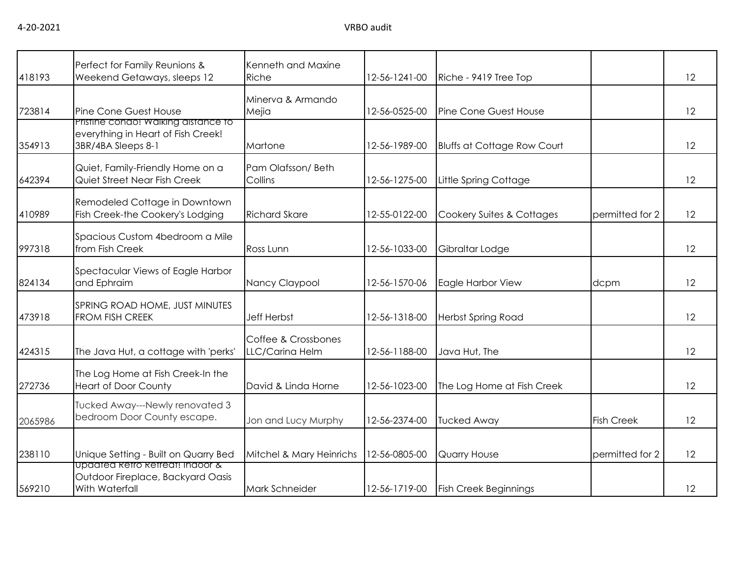|         | Perfect for Family Reunions &                                                                     | Kenneth and Maxine                     |               |                                    |                   |    |
|---------|---------------------------------------------------------------------------------------------------|----------------------------------------|---------------|------------------------------------|-------------------|----|
| 418193  | Weekend Getaways, sleeps 12                                                                       | Riche                                  | 12-56-1241-00 | Riche - 9419 Tree Top              |                   | 12 |
| 723814  | Pine Cone Guest House                                                                             | Minerva & Armando<br>Mejia             | 12-56-0525-00 | Pine Cone Guest House              |                   | 12 |
| 354913  | Pristine condo! Walking distance to<br>everything in Heart of Fish Creek!<br>3BR/4BA Sleeps 8-1   | Martone                                | 12-56-1989-00 | <b>Bluffs at Cottage Row Court</b> |                   | 12 |
| 642394  | Quiet, Family-Friendly Home on a<br>Quiet Street Near Fish Creek                                  | Pam Olafsson/Beth<br>Collins           | 12-56-1275-00 | Little Spring Cottage              |                   | 12 |
| 410989  | Remodeled Cottage in Downtown<br>Fish Creek-the Cookery's Lodging                                 | <b>Richard Skare</b>                   | 12-55-0122-00 | Cookery Suites & Cottages          | permitted for 2   | 12 |
| 997318  | Spacious Custom 4bedroom a Mile<br>from Fish Creek                                                | Ross Lunn                              | 12-56-1033-00 | Gibraltar Lodge                    |                   | 12 |
| 824134  | Spectacular Views of Eagle Harbor<br>and Ephraim                                                  | Nancy Claypool                         | 12-56-1570-06 | Eagle Harbor View                  | dcpm              | 12 |
| 473918  | SPRING ROAD HOME, JUST MINUTES<br>FROM FISH CREEK                                                 | Jeff Herbst                            | 12-56-1318-00 | <b>Herbst Spring Road</b>          |                   | 12 |
| 424315  | The Java Hut, a cottage with 'perks'                                                              | Coffee & Crossbones<br>LLC/Carina Helm | 12-56-1188-00 | Java Hut, The                      |                   | 12 |
| 272736  | The Log Home at Fish Creek-In the<br><b>Heart of Door County</b>                                  | David & Linda Horne                    | 12-56-1023-00 | The Log Home at Fish Creek         |                   | 12 |
| 2065986 | Tucked Away---Newly renovated 3<br>bedroom Door County escape.                                    | Jon and Lucy Murphy                    | 12-56-2374-00 | <b>Tucked Away</b>                 | <b>Fish Creek</b> | 12 |
| 238110  | Unique Setting - Built on Quarry Bed                                                              | Mitchel & Mary Heinrichs               | 12-56-0805-00 | Quarry House                       | permitted for 2   | 12 |
| 569210  | <u>upaatea ketro ketreat! Indoor &amp;</u><br>Outdoor Fireplace, Backyard Oasis<br>With Waterfall | Mark Schneider                         | 12-56-1719-00 | <b>Fish Creek Beginnings</b>       |                   | 12 |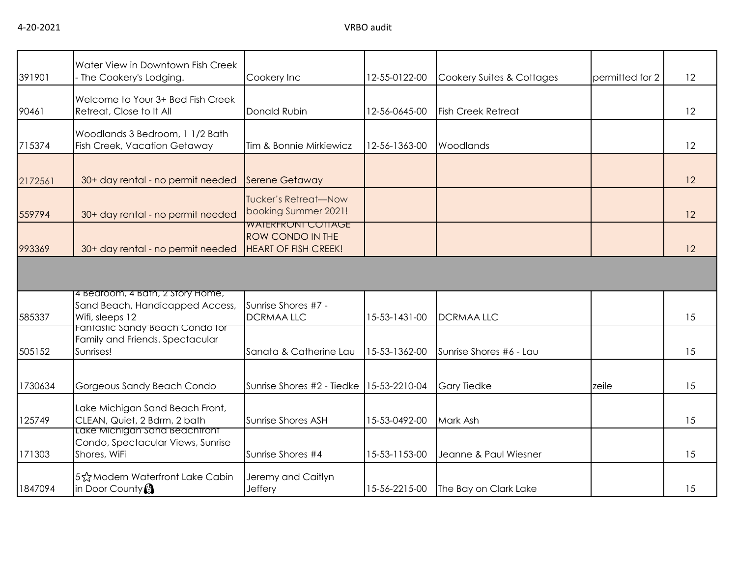| 391901  | Water View in Downtown Fish Creek<br>- The Cookery's Lodging.                          | Cookery Inc                                                                         | 12-55-0122-00 | Cookery Suites & Cottages | permitted for 2 | 12 |
|---------|----------------------------------------------------------------------------------------|-------------------------------------------------------------------------------------|---------------|---------------------------|-----------------|----|
| 90461   | Welcome to Your 3+ Bed Fish Creek<br>Retreat, Close to It All                          | Donald Rubin                                                                        | 12-56-0645-00 | <b>Fish Creek Retreat</b> |                 | 12 |
| 715374  | Woodlands 3 Bedroom, 1 1/2 Bath<br>Fish Creek, Vacation Getaway                        | Tim & Bonnie Mirkiewicz                                                             | 12-56-1363-00 | Woodlands                 |                 | 12 |
| 2172561 | 30+ day rental - no permit needed                                                      | <b>Serene Getaway</b>                                                               |               |                           |                 | 12 |
| 559794  | 30+ day rental - no permit needed                                                      | <b>Tucker's Retreat-Now</b><br>booking Summer 2021!                                 |               |                           |                 | 12 |
| 993369  | 30+ day rental - no permit needed                                                      | <b>WAIERFRONI COTTAGE</b><br><b>ROW CONDO IN THE</b><br><b>HEART OF FISH CREEK!</b> |               |                           |                 | 12 |
|         |                                                                                        |                                                                                     |               |                           |                 |    |
| 585337  | 4 Bedroom, 4 Bath, 2 Story Home,<br>Sand Beach, Handicapped Access,<br>Wifi, sleeps 12 | Sunrise Shores #7 -<br><b>DCRMAALLC</b>                                             | 15-53-1431-00 | <b>DCRMAALLC</b>          |                 | 15 |
| 505152  | Fantastic Sandy Beach Condo for<br>Family and Friends. Spectacular<br>Sunrises!        | Sanata & Catherine Lau                                                              | 15-53-1362-00 | Sunrise Shores #6 - Lau   |                 | 15 |
| 1730634 | Gorgeous Sandy Beach Condo                                                             | Sunrise Shores #2 - Tiedke                                                          | 15-53-2210-04 | <b>Gary Tiedke</b>        | zeile           | 15 |
| 125749  | Lake Michigan Sand Beach Front,<br>CLEAN, Quiet, 2 Bdrm, 2 bath                        | Sunrise Shores ASH                                                                  | 15-53-0492-00 | Mark Ash                  |                 | 15 |
| 171303  | Lake Michigan Sand Beachtront<br>Condo, Spectacular Views, Sunrise<br>Shores, WiFi     | Sunrise Shores #4                                                                   | 15-53-1153-00 | Jeanne & Paul Wiesner     |                 | 15 |
| 1847094 | 5☆Modern Waterfront Lake Cabin<br>in Door County $\Omega$                              | Jeremy and Caitlyn<br>Jeffery                                                       | 15-56-2215-00 | The Bay on Clark Lake     |                 | 15 |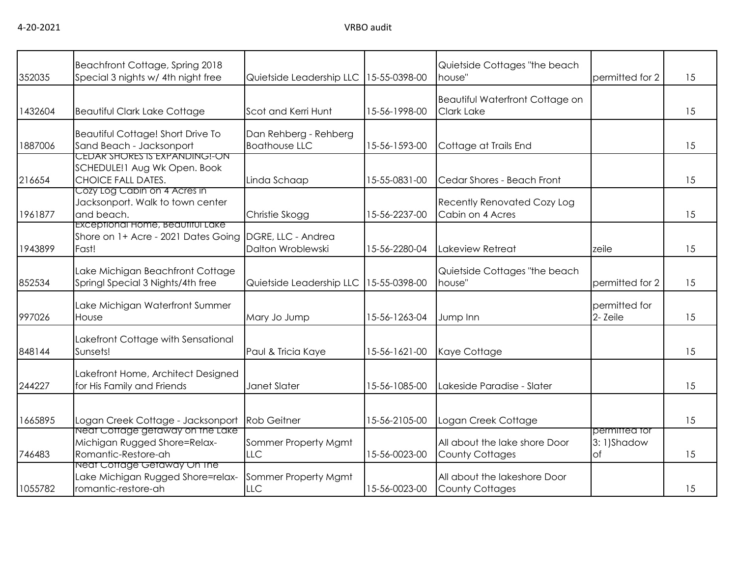| 352035  | Beachfront Cottage, Spring 2018<br>Special 3 nights w/ 4th night free                      | Quietside Leadership LLC                      | 15-55-0398-00 | Quietside Cottages "the beach<br>house"                     | permitted for 2                          | 15 |
|---------|--------------------------------------------------------------------------------------------|-----------------------------------------------|---------------|-------------------------------------------------------------|------------------------------------------|----|
| 1432604 | <b>Beautiful Clark Lake Cottage</b>                                                        | Scot and Kerri Hunt                           | 15-56-1998-00 | <b>Beautiful Waterfront Cottage on</b><br><b>Clark Lake</b> |                                          | 15 |
| 1887006 | Beautiful Cottage! Short Drive To<br>Sand Beach - Jacksonport                              | Dan Rehberg - Rehberg<br><b>Boathouse LLC</b> | 15-56-1593-00 | Cottage at Trails End                                       |                                          | 15 |
| 216654  | CEDAR SHORES IS EXPANDING!-ON<br>SCHEDULE!1 Aug Wk Open. Book<br><b>CHOICE FALL DATES.</b> | Linda Schaap                                  | 15-55-0831-00 | Cedar Shores - Beach Front                                  |                                          | 15 |
| 1961877 | Cozy Log Cabin on 4 Acres in<br>Jacksonport. Walk to town center<br>and beach.             | Christie Skogg                                | 15-56-2237-00 | <b>Recently Renovated Cozy Log</b><br>Cabin on 4 Acres      |                                          | 15 |
| 1943899 | Exceptional Home, Beautiful Lake<br>Shore on 1+ Acre - 2021 Dates Going<br>Fast!           | DGRE, LLC - Andrea<br>Dalton Wroblewski       | 15-56-2280-04 | Lakeview Retreat                                            | zeile                                    | 15 |
| 852534  | Lake Michigan Beachfront Cottage<br>Springl Special 3 Nights/4th free                      | Quietside Leadership LLC                      | 15-55-0398-00 | Quietside Cottages "the beach<br>house"                     | permitted for 2                          | 15 |
| 997026  | Lake Michigan Waterfront Summer<br>House                                                   | Mary Jo Jump                                  | 15-56-1263-04 | Jump Inn                                                    | permitted for<br>2- Zeile                | 15 |
| 848144  | Lakefront Cottage with Sensational<br>Sunsets!                                             | Paul & Tricia Kaye                            | 15-56-1621-00 | Kaye Cottage                                                |                                          | 15 |
| 244227  | Lakefront Home, Architect Designed<br>for His Family and Friends                           | Janet Slater                                  | 15-56-1085-00 | Lakeside Paradise - Slater                                  |                                          | 15 |
| 1665895 | Logan Creek Cottage - Jacksonport                                                          | <b>Rob Geitner</b>                            | 15-56-2105-00 | Logan Creek Cottage                                         |                                          | 15 |
| 746483  | Neat Cottage getaway on the Lake<br>Michigan Rugged Shore=Relax-<br>Romantic-Restore-ah    | Sommer Property Mgmt<br>LLC                   | 15-56-0023-00 | All about the lake shore Door<br><b>County Cottages</b>     | permitted for<br>3:1)Shadow<br><b>of</b> | 15 |
| 1055782 | Neat Cottage Getaway On The<br>Lake Michigan Rugged Shore=relax-<br>romantic-restore-ah    | Sommer Property Mgmt<br>LLC                   | 15-56-0023-00 | All about the lakeshore Door<br><b>County Cottages</b>      |                                          | 15 |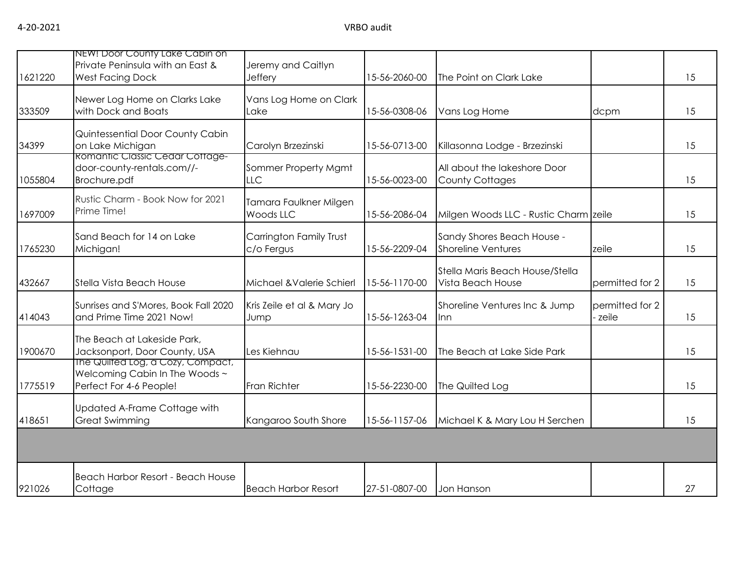| 1621220 | NEW! Door County Lake Cabin on<br>Private Peninsula with an East &<br><b>West Facing Dock</b>  | Jeremy and Caitlyn<br>Jeffery              | 15-56-2060-00 | The Point on Clark Lake                                 |                            | 15 |
|---------|------------------------------------------------------------------------------------------------|--------------------------------------------|---------------|---------------------------------------------------------|----------------------------|----|
| 333509  | Newer Log Home on Clarks Lake<br>with Dock and Boats                                           | Vans Log Home on Clark<br>Lake             | 15-56-0308-06 | Vans Log Home                                           | dcpm                       | 15 |
| 34399   | Quintessential Door County Cabin<br>on Lake Michigan                                           | Carolyn Brzezinski                         | 15-56-0713-00 | Killasonna Lodge - Brzezinski                           |                            | 15 |
| 1055804 | <b>Romantic Classic Cedar Cottage-</b><br>door-county-rentals.com//-<br>Brochure.pdf           | Sommer Property Mgmt<br><b>LLC</b>         | 15-56-0023-00 | All about the lakeshore Door<br><b>County Cottages</b>  |                            | 15 |
| 1697009 | Rustic Charm - Book Now for 2021<br>Prime Time!                                                | Tamara Faulkner Milgen<br><b>Woods LLC</b> | 15-56-2086-04 | Milgen Woods LLC - Rustic Charm zeile                   |                            | 15 |
| 1765230 | Sand Beach for 14 on Lake<br>Michigan!                                                         | Carrington Family Trust<br>c/o Fergus      | 15-56-2209-04 | Sandy Shores Beach House -<br><b>Shoreline Ventures</b> | zeile                      | 15 |
| 432667  | Stella Vista Beach House                                                                       | Michael & Valerie Schierl                  | 15-56-1170-00 | Stella Maris Beach House/Stella<br>Vista Beach House    | permitted for 2            | 15 |
| 414043  | Sunrises and S'Mores, Book Fall 2020<br>and Prime Time 2021 Now!                               | Kris Zeile et al & Mary Jo<br>Jump         | 15-56-1263-04 | Shoreline Ventures Inc & Jump<br>lnn                    | permitted for 2<br>- zeile | 15 |
| 1900670 | The Beach at Lakeside Park,<br>Jacksonport, Door County, USA                                   | Les Kiehnau                                | 15-56-1531-00 | The Beach at Lake Side Park                             |                            | 15 |
| 1775519 | The Quilted Log, a Cozy, Compact,<br>Welcoming Cabin In The Woods ~<br>Perfect For 4-6 People! | Fran Richter                               | 15-56-2230-00 | The Quilted Log                                         |                            | 15 |
| 418651  | Updated A-Frame Cottage with<br><b>Great Swimming</b>                                          | Kangaroo South Shore                       | 15-56-1157-06 | Michael K & Mary Lou H Serchen                          |                            | 15 |
|         |                                                                                                |                                            |               |                                                         |                            |    |
| 921026  | Beach Harbor Resort - Beach House<br>Cottage                                                   | <b>Beach Harbor Resort</b>                 | 27-51-0807-00 | Jon Hanson                                              |                            | 27 |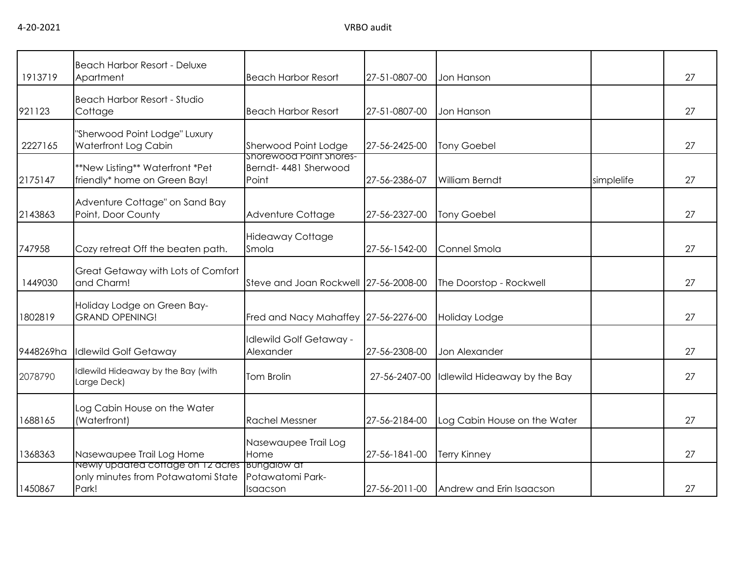|           | <b>Beach Harbor Resort - Deluxe</b>                                                          |                                                 |               |                              |            |    |
|-----------|----------------------------------------------------------------------------------------------|-------------------------------------------------|---------------|------------------------------|------------|----|
| 1913719   | Apartment                                                                                    | <b>Beach Harbor Resort</b>                      | 27-51-0807-00 | Jon Hanson                   |            | 27 |
| 921123    | <b>Beach Harbor Resort - Studio</b><br>Cottage                                               | <b>Beach Harbor Resort</b>                      | 27-51-0807-00 | Jon Hanson                   |            | 27 |
| 2227165   | "Sherwood Point Lodge" Luxury<br>Waterfront Log Cabin                                        | Sherwood Point Lodge<br>Shorewood Point Shores- | 27-56-2425-00 | <b>Tony Goebel</b>           |            | 27 |
| 2175147   | **New Listing** Waterfront *Pet<br>friendly* home on Green Bay!                              | Berndt- 4481 Sherwood<br>Point                  | 27-56-2386-07 | <b>William Berndt</b>        | simplelife | 27 |
| 2143863   | Adventure Cottage" on Sand Bay<br>Point, Door County                                         | Adventure Cottage                               | 27-56-2327-00 | <b>Tony Goebel</b>           |            | 27 |
| 747958    | Cozy retreat Off the beaten path.                                                            | <b>Hideaway Cottage</b><br>Smola                | 27-56-1542-00 | Connel Smola                 |            | 27 |
| 1449030   | Great Getaway with Lots of Comfort<br>and Charm!                                             | Steve and Joan Rockwell 27-56-2008-00           |               | The Doorstop - Rockwell      |            | 27 |
| 1802819   | Holiday Lodge on Green Bay-<br><b>GRAND OPENING!</b>                                         | Fred and Nacy Mahaffey 27-56-2276-00            |               | Holiday Lodge                |            | 27 |
| 9448269ha | <b>Idlewild Golf Getaway</b>                                                                 | <b>Idlewild Golf Getaway -</b><br>Alexander     | 27-56-2308-00 | Jon Alexander                |            | 27 |
| 2078790   | Idlewild Hideaway by the Bay (with<br>Large Deck)                                            | <b>Tom Brolin</b>                               | 27-56-2407-00 | Idlewild Hideaway by the Bay |            | 27 |
| 688165    | Log Cabin House on the Water<br>(Waterfront)                                                 | <b>Rachel Messner</b>                           | 27-56-2184-00 | Log Cabin House on the Water |            | 27 |
| 1368363   | Nasewaupee Trail Log Home                                                                    | Nasewaupee Trail Log<br>Home                    | 27-56-1841-00 | <b>Terry Kinney</b>          |            | 27 |
| 1450867   | Newly updated cottage on 12 acres Bungalow at<br>only minutes from Potawatomi State<br>Park! | Potawatomi Park-<br>Isaacson                    | 27-56-2011-00 | Andrew and Erin Isaacson     |            | 27 |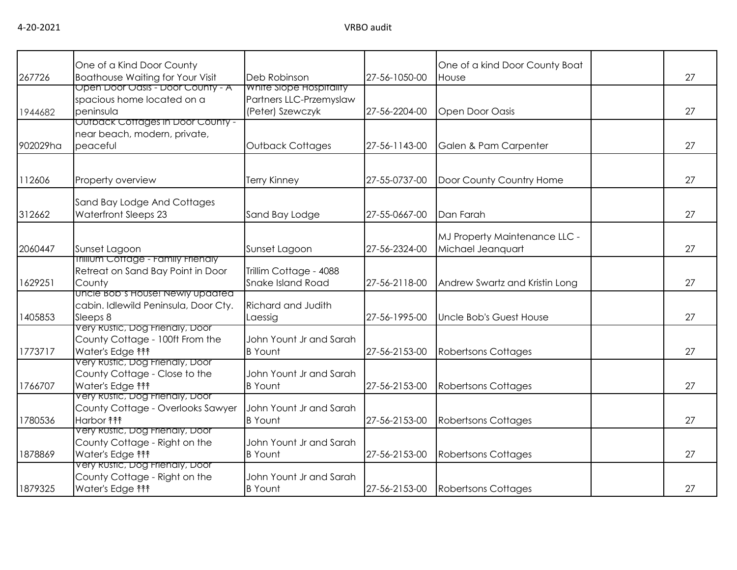| 267726   | One of a Kind Door County<br><b>Boathouse Waiting for Your Visit</b>                             | Deb Robinson                                                           | 27-56-1050-00 | One of a kind Door County Boat<br>House            | 27 |
|----------|--------------------------------------------------------------------------------------------------|------------------------------------------------------------------------|---------------|----------------------------------------------------|----|
| 1944682  | Open Door Oasis - Door County - A<br>spacious home located on a<br>peninsula                     | White Slope Hospitality<br>Partners LLC-Przemyslaw<br>(Peter) Szewczyk | 27-56-2204-00 | Open Door Oasis                                    | 27 |
| 902029ha | Outback Cottages in Door County -<br>near beach, modern, private,<br>peaceful                    | <b>Outback Cottages</b>                                                | 27-56-1143-00 | Galen & Pam Carpenter                              | 27 |
| 112606   | Property overview                                                                                | <b>Terry Kinney</b>                                                    | 27-55-0737-00 | Door County Country Home                           | 27 |
| 312662   | Sand Bay Lodge And Cottages<br>Waterfront Sleeps 23                                              | Sand Bay Lodge                                                         | 27-55-0667-00 | Dan Farah                                          | 27 |
| 2060447  | Sunset Lagoon                                                                                    | Sunset Lagoon                                                          | 27-56-2324-00 | MJ Property Maintenance LLC -<br>Michael Jeanquart | 27 |
| 1629251  | <b>Irillium Cottage - Family Friendly</b><br>Retreat on Sand Bay Point in Door<br>County         | Trillim Cottage - 4088<br>Snake Island Road                            | 27-56-2118-00 | Andrew Swartz and Kristin Long                     | 27 |
| 1405853  | <u>UNCIE BOD'S HOUSE! Newly updated</u><br>cabin. Idlewild Peninsula, Door Cty.<br>Sleeps 8      | Richard and Judith<br>Laessig                                          | 27-56-1995-00 | Uncle Bob's Guest House                            | 27 |
| 1773717  | Very Rustic, Dog Frienaly, Door<br>County Cottage - 100ft From the<br>Water's Edge <sup>11</sup> | John Yount Jr and Sarah<br><b>B</b> Yount                              | 27-56-2153-00 | <b>Robertsons Cottages</b>                         | 27 |
| 1766707  | Very Rustic, Dog Friendly, Door<br>County Cottage - Close to the<br>Water's Edge <sup>11</sup>   | John Yount Jr and Sarah<br><b>B</b> Yount                              | 27-56-2153-00 | <b>Robertsons Cottages</b>                         | 27 |
| 1780536  | Very Rustic, Dog Friendly, Door<br>County Cottage - Overlooks Sawyer<br>Harbor <b>fff</b>        | John Yount Jr and Sarah<br><b>B</b> Yount                              | 27-56-2153-00 | Robertsons Cottages                                | 27 |
| 1878869  | Very Rustic, Dog Friendly, Door<br>County Cottage - Right on the<br>Water's Edge <sup>11</sup>   | John Yount Jr and Sarah<br><b>B</b> Yount                              | 27-56-2153-00 | <b>Robertsons Cottages</b>                         | 27 |
| 1879325  | Very Rustic, Dog Frienaly, Door<br>County Cottage - Right on the<br>Water's Edge <sup>11</sup>   | John Yount Jr and Sarah<br><b>B</b> Yount                              | 27-56-2153-00 | <b>Robertsons Cottages</b>                         | 27 |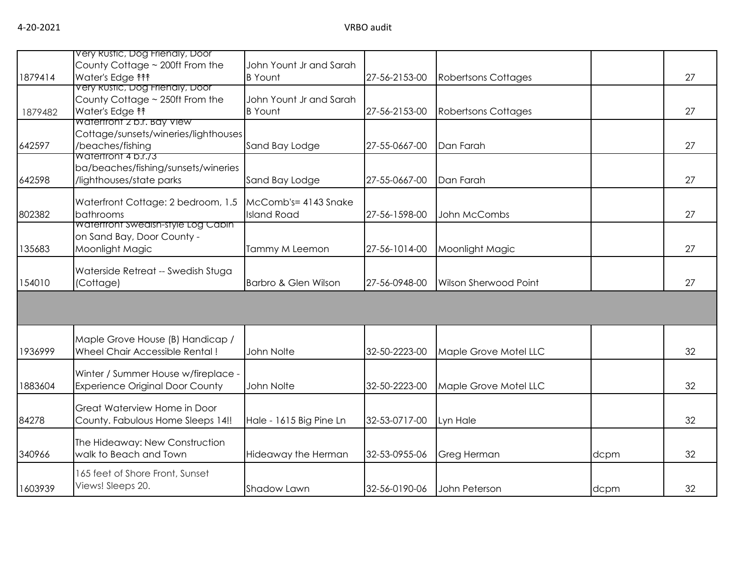|         | Very Rustic, Dog Friendly, Door           |                                 |               |                              |      |    |
|---------|-------------------------------------------|---------------------------------|---------------|------------------------------|------|----|
|         | County Cottage ~ 200ft From the           | John Yount Jr and Sarah         |               |                              |      |    |
| 1879414 | Water's Edge <sup>11</sup>                | <b>B</b> Yount                  | 27-56-2153-00 | <b>Robertsons Cottages</b>   |      | 27 |
|         | Very Rustic, Dog Frienaly, Door           |                                 |               |                              |      |    |
|         | County Cottage ~ 250ft From the           | John Yount Jr and Sarah         |               |                              |      |    |
| 1879482 | Water's Edge <sup>1</sup>                 | <b>B</b> Yount                  | 27-56-2153-00 | <b>Robertsons Cottages</b>   |      | 27 |
|         | Watertront 2 b.r. Bay View                |                                 |               |                              |      |    |
|         | Cottage/sunsets/wineries/lighthouses      |                                 |               |                              |      |    |
| 642597  | /beaches/fishing                          | Sand Bay Lodge                  | 27-55-0667-00 | Dan Farah                    |      | 27 |
|         | Waterfront 4 b.r.73                       |                                 |               |                              |      |    |
|         | ba/beaches/fishing/sunsets/wineries       |                                 |               |                              |      |    |
| 642598  | /lighthouses/state parks                  | Sand Bay Lodge                  | 27-55-0667-00 | Dan Farah                    |      | 27 |
|         |                                           |                                 |               |                              |      |    |
|         | Waterfront Cottage: 2 bedroom, 1.5        | McComb's= 4143 Snake            |               |                              |      |    |
| 802382  | bathrooms                                 | <b>Island Road</b>              | 27-56-1598-00 | John McCombs                 |      | 27 |
|         | <b>Watertront Swedish-style Log Cabin</b> |                                 |               |                              |      |    |
|         | on Sand Bay, Door County -                |                                 |               |                              |      |    |
| 135683  | Moonlight Magic                           | Tammy M Leemon                  | 27-56-1014-00 | Moonlight Magic              |      | 27 |
|         | Waterside Retreat -- Swedish Stuga        |                                 |               |                              |      |    |
| 154010  | (Cottage)                                 | <b>Barbro &amp; Glen Wilson</b> | 27-56-0948-00 | <b>Wilson Sherwood Point</b> |      | 27 |
|         |                                           |                                 |               |                              |      |    |
|         |                                           |                                 |               |                              |      |    |
|         |                                           |                                 |               |                              |      |    |
|         |                                           |                                 |               |                              |      |    |
|         | Maple Grove House (B) Handicap /          |                                 |               |                              |      |    |
| 1936999 | Wheel Chair Accessible Rental!            | John Nolte                      | 32-50-2223-00 | Maple Grove Motel LLC        |      | 32 |
|         |                                           |                                 |               |                              |      |    |
|         | Winter / Summer House w/fireplace -       |                                 |               |                              |      |    |
| 1883604 | <b>Experience Original Door County</b>    | John Nolte                      | 32-50-2223-00 | Maple Grove Motel LLC        |      | 32 |
|         |                                           |                                 |               |                              |      |    |
|         | Great Waterview Home in Door              |                                 |               |                              |      |    |
| 84278   | County. Fabulous Home Sleeps 14!!         | Hale - 1615 Big Pine Ln         | 32-53-0717-00 | Lyn Hale                     |      | 32 |
|         |                                           |                                 |               |                              |      |    |
|         | The Hideaway: New Construction            |                                 |               |                              |      |    |
| 340966  | walk to Beach and Town                    | Hideaway the Herman             | 32-53-0955-06 | Greg Herman                  | dcpm | 32 |
|         | 165 feet of Shore Front, Sunset           |                                 |               |                              |      |    |
| 1603939 | Views! Sleeps 20.                         | Shadow Lawn                     | 32-56-0190-06 | John Peterson                |      | 32 |
|         |                                           |                                 |               |                              | dcpm |    |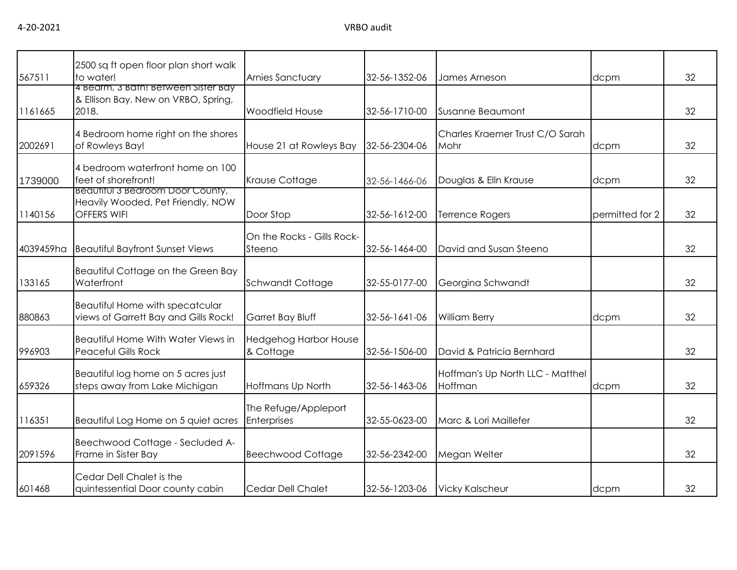| 567511    | 2500 sq ft open floor plan short walk<br>to water!                                          | Arnies Sanctuary                          | 32-56-1352-06 | James Arneson                               | dcpm            | 32 |
|-----------|---------------------------------------------------------------------------------------------|-------------------------------------------|---------------|---------------------------------------------|-----------------|----|
| 1161665   | 4 Bearm, 3 Bath! Between Sister Bay<br>& Ellison Bay. New on VRBO, Spring,<br>2018.         | <b>Woodfield House</b>                    | 32-56-1710-00 | Susanne Beaumont                            |                 | 32 |
| 2002691   | 4 Bedroom home right on the shores<br>of Rowleys Bay!                                       | House 21 at Rowleys Bay                   | 32-56-2304-06 | Charles Kraemer Trust C/O Sarah<br>Mohr     | dcpm            | 32 |
| 1739000   | 4 bedroom waterfront home on 100<br>feet of shorefront!                                     | Krause Cottage                            | 32-56-1466-06 | Douglas & Elln Krause                       | dcpm            | 32 |
| 1140156   | Beautiful 3 Bearoom Door County,<br>Heavily Wooded, Pet Friendly, NOW<br><b>OFFERS WIFI</b> | Door Stop                                 | 32-56-1612-00 | <b>Terrence Rogers</b>                      | permitted for 2 | 32 |
| 4039459ha | <b>Beautiful Bayfront Sunset Views</b>                                                      | On the Rocks - Gills Rock-<br>Steeno      | 32-56-1464-00 | David and Susan Steeno                      |                 | 32 |
| 133165    | Beautiful Cottage on the Green Bay<br>Waterfront                                            | <b>Schwandt Cottage</b>                   | 32-55-0177-00 | Georgina Schwandt                           |                 | 32 |
| 880863    | Beautiful Home with specatcular<br>views of Garrett Bay and Gills Rock!                     | Garret Bay Bluff                          | 32-56-1641-06 | <b>William Berry</b>                        | dcpm            | 32 |
| 996903    | Beautiful Home With Water Views in<br><b>Peaceful Gills Rock</b>                            | <b>Hedgehog Harbor House</b><br>& Cottage | 32-56-1506-00 | David & Patricia Bernhard                   |                 | 32 |
| 659326    | Beautiful log home on 5 acres just<br>steps away from Lake Michigan                         | Hoffmans Up North                         | 32-56-1463-06 | Hoffman's Up North LLC - Matthel<br>Hoffman | dcpm            | 32 |
| 116351    | Beautiful Log Home on 5 quiet acres                                                         | The Refuge/Appleport<br>Enterprises       | 32-55-0623-00 | Marc & Lori Maillefer                       |                 | 32 |
| 2091596   | Beechwood Cottage - Secluded A-<br>Frame in Sister Bay                                      | <b>Beechwood Cottage</b>                  | 32-56-2342-00 | Megan Welter                                |                 | 32 |
| 601468    | Cedar Dell Chalet is the<br>quintessential Door county cabin                                | Cedar Dell Chalet                         | 32-56-1203-06 | <b>Vicky Kalscheur</b>                      | dcpm            | 32 |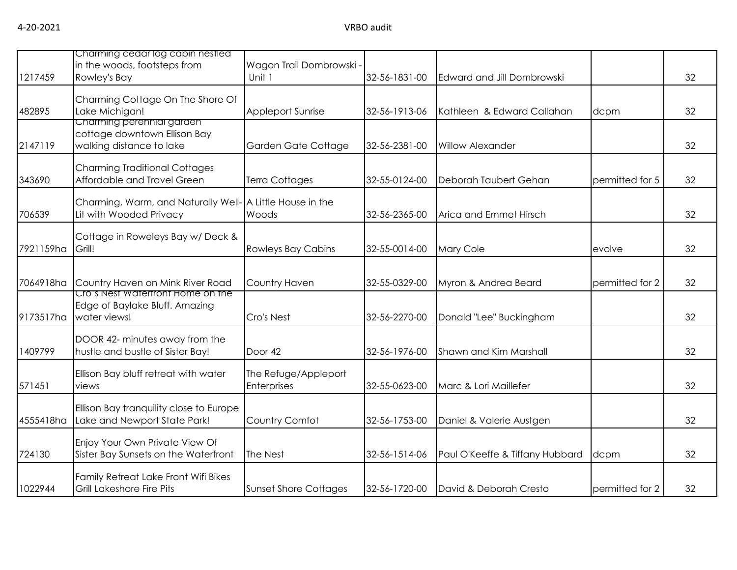| 1217459   | Charming cedar log cabin nestled<br>in the woods, footsteps from<br>Rowley's Bay      | Wagon Trail Dombrowski -<br>Unit 1         | 32-56-1831-00 | Edward and Jill Dombrowski      |                 | 32 |
|-----------|---------------------------------------------------------------------------------------|--------------------------------------------|---------------|---------------------------------|-----------------|----|
| 482895    | Charming Cottage On The Shore Of<br>Lake Michigan!                                    | <b>Appleport Sunrise</b>                   | 32-56-1913-06 | Kathleen & Edward Callahan      | dcpm            | 32 |
| 2147119   | Charming perennial garden<br>cottage downtown Ellison Bay<br>walking distance to lake | Garden Gate Cottage                        | 32-56-2381-00 | <b>Willow Alexander</b>         |                 | 32 |
| 343690    | <b>Charming Traditional Cottages</b><br>Affordable and Travel Green                   | <b>Terra Cottages</b>                      | 32-55-0124-00 | Deborah Taubert Gehan           | permitted for 5 | 32 |
| 706539    | Charming, Warm, and Naturally Well- A Little House in the<br>Lit with Wooded Privacy  | Woods                                      | 32-56-2365-00 | Arica and Emmet Hirsch          |                 | 32 |
| 7921159ha | Cottage in Roweleys Bay w/ Deck &<br>Grill!                                           | <b>Rowleys Bay Cabins</b>                  | 32-55-0014-00 | Mary Cole                       | evolve          | 32 |
| 7064918ha | Country Haven on Mink River Road                                                      | Country Haven                              | 32-55-0329-00 | Myron & Andrea Beard            | permitted for 2 | 32 |
| 9173517ha | Cro's Nest Watertront Home on the<br>Edge of Baylake Bluff. Amazing<br>water views!   | Cro's Nest                                 | 32-56-2270-00 | Donald "Lee" Buckingham         |                 | 32 |
| 1409799   | DOOR 42- minutes away from the<br>hustle and bustle of Sister Bay!                    | Door 42                                    | 32-56-1976-00 | Shawn and Kim Marshall          |                 | 32 |
| 571451    | Ellison Bay bluff retreat with water<br>views                                         | The Refuge/Appleport<br><b>Enterprises</b> | 32-55-0623-00 | Marc & Lori Maillefer           |                 | 32 |
| 4555418ha | Ellison Bay tranquility close to Europe<br>Lake and Newport State Park!               | Country Comfot                             | 32-56-1753-00 | Daniel & Valerie Austgen        |                 | 32 |
| 724130    | Enjoy Your Own Private View Of<br>Sister Bay Sunsets on the Waterfront                | The Nest                                   | 32-56-1514-06 | Paul O'Keeffe & Tiffany Hubbard | dcpm            | 32 |
| 1022944   | Family Retreat Lake Front Wifi Bikes<br><b>Grill Lakeshore Fire Pits</b>              | <b>Sunset Shore Cottages</b>               | 32-56-1720-00 | David & Deborah Cresto          | permitted for 2 | 32 |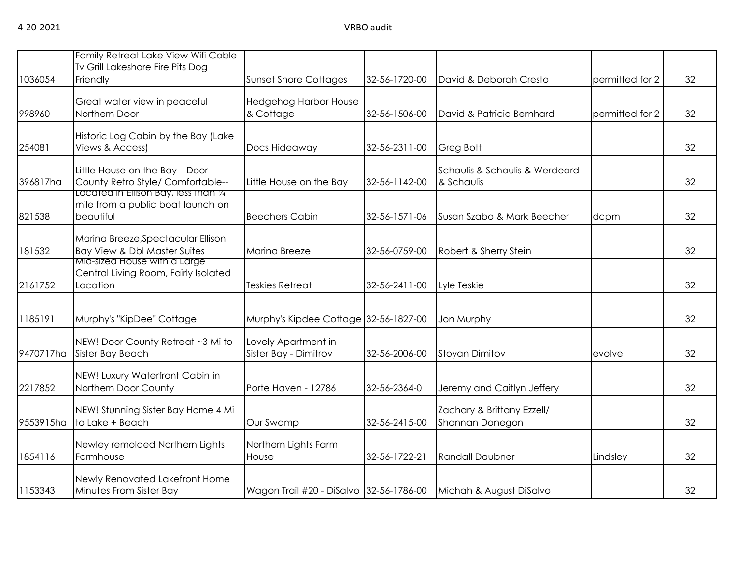| 1036054   | Family Retreat Lake View Wifi Cable<br>Tv Grill Lakeshore Fire Pits Dog<br>Friendly     | <b>Sunset Shore Cottages</b>                 | 32-56-1720-00 | David & Deborah Cresto                        | permitted for 2 | 32 |
|-----------|-----------------------------------------------------------------------------------------|----------------------------------------------|---------------|-----------------------------------------------|-----------------|----|
| 998960    | Great water view in peaceful<br>Northern Door                                           | Hedgehog Harbor House<br>& Cottage           | 32-56-1506-00 | David & Patricia Bernhard                     | permitted for 2 | 32 |
| 254081    | Historic Log Cabin by the Bay (Lake<br>Views & Access)                                  | Docs Hideaway                                | 32-56-2311-00 | Greg Bott                                     |                 | 32 |
| 396817ha  | Little House on the Bay---Door<br>County Retro Style/ Comfortable--                     | Little House on the Bay                      | 32-56-1142-00 | Schaulis & Schaulis & Werdeard<br>& Schaulis  |                 | 32 |
| 821538    | Located in Ellison Bay, less than 1/4<br>mile from a public boat launch on<br>beautiful | <b>Beechers Cabin</b>                        | 32-56-1571-06 | Susan Szabo & Mark Beecher                    | dcpm            | 32 |
| 181532    | Marina Breeze, Spectacular Ellison<br>Bay View & Dbl Master Suites                      | Marina Breeze                                | 32-56-0759-00 | Robert & Sherry Stein                         |                 | 32 |
| 2161752   | Mid-sized House with a Large<br>Central Living Room, Fairly Isolated<br>Location        | <b>Teskies Retreat</b>                       | 32-56-2411-00 | Lyle Teskie                                   |                 | 32 |
| 1185191   | Murphy's "KipDee" Cottage                                                               | Murphy's Kipdee Cottage 32-56-1827-00        |               | Jon Murphy                                    |                 | 32 |
| 9470717ha | NEW! Door County Retreat ~3 Mi to<br>Sister Bay Beach                                   | Lovely Apartment in<br>Sister Bay - Dimitrov | 32-56-2006-00 | <b>Stoyan Dimitov</b>                         | evolve          | 32 |
| 2217852   | NEW! Luxury Waterfront Cabin in<br>Northern Door County                                 | Porte Haven - 12786                          | 32-56-2364-0  | Jeremy and Caitlyn Jeffery                    |                 | 32 |
| 9553915ha | NEW! Stunning Sister Bay Home 4 Mi<br>to Lake + Beach                                   | Our Swamp                                    | 32-56-2415-00 | Zachary & Brittany Ezzell/<br>Shannan Donegon |                 | 32 |
| 1854116   | Newley remolded Northern Lights<br>Farmhouse                                            | Northern Lights Farm<br>House                | 32-56-1722-21 | <b>Randall Daubner</b>                        | Lindsley        | 32 |
| 1153343   | Newly Renovated Lakefront Home<br>Minutes From Sister Bay                               | Wagon Trail #20 - DiSalvo 32-56-1786-00      |               | Michah & August DiSalvo                       |                 | 32 |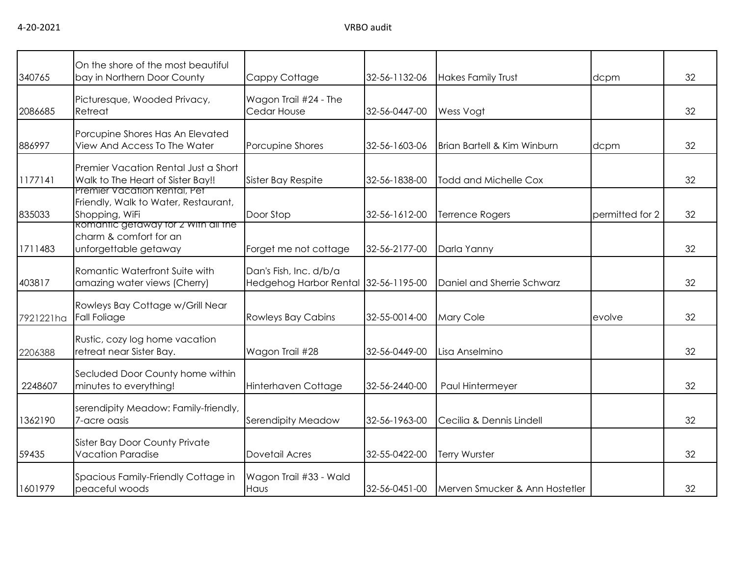| 340765    | On the shore of the most beautiful<br>bay in Northern Door County                      | Cappy Cottage                                                  | 32-56-1132-06 | <b>Hakes Family Trust</b>      | dcpm            | 32 |
|-----------|----------------------------------------------------------------------------------------|----------------------------------------------------------------|---------------|--------------------------------|-----------------|----|
| 2086685   | Picturesque, Wooded Privacy,<br>Retreat                                                | Wagon Trail #24 - The<br>Cedar House                           | 32-56-0447-00 | Wess Vogt                      |                 | 32 |
| 886997    | Porcupine Shores Has An Elevated<br>View And Access To The Water                       | Porcupine Shores                                               | 32-56-1603-06 | Brian Bartell & Kim Winburn    | dcpm            | 32 |
| 1177141   | Premier Vacation Rental Just a Short<br>Walk to The Heart of Sister Bay!!              | Sister Bay Respite                                             | 32-56-1838-00 | Todd and Michelle Cox          |                 | 32 |
| 835033    | Premier Vacation Rental, Pet<br>Friendly, Walk to Water, Restaurant,<br>Shopping, WiFi | Door Stop                                                      | 32-56-1612-00 | Terrence Rogers                | permitted for 2 | 32 |
| 1711483   | Romantic getaway for 2 With all the<br>charm & comfort for an<br>unforgettable getaway | Forget me not cottage                                          | 32-56-2177-00 | Darla Yanny                    |                 | 32 |
| 403817    | Romantic Waterfront Suite with<br>amazing water views (Cherry)                         | Dan's Fish, Inc. d/b/a<br>Hedgehog Harbor Rental 32-56-1195-00 |               | Daniel and Sherrie Schwarz     |                 | 32 |
| 7921221ha | Rowleys Bay Cottage w/Grill Near<br><b>Fall Foliage</b>                                | <b>Rowleys Bay Cabins</b>                                      | 32-55-0014-00 | Mary Cole                      | evolve          | 32 |
| 2206388   | Rustic, cozy log home vacation<br>retreat near Sister Bay.                             | Wagon Trail #28                                                | 32-56-0449-00 | Lisa Anselmino                 |                 | 32 |
| 2248607   | Secluded Door County home within<br>minutes to everything!                             | Hinterhaven Cottage                                            | 32-56-2440-00 | Paul Hintermeyer               |                 | 32 |
| 1362190   | serendipity Meadow: Family-friendly,<br>7-acre oasis                                   | Serendipity Meadow                                             | 32-56-1963-00 | Cecilia & Dennis Lindell       |                 | 32 |
| 59435     | Sister Bay Door County Private<br><b>Vacation Paradise</b>                             | Dovetail Acres                                                 | 32-55-0422-00 | <b>Terry Wurster</b>           |                 | 32 |
| 1601979   | Spacious Family-Friendly Cottage in<br>peaceful woods                                  | Wagon Trail #33 - Wald<br>Haus                                 | 32-56-0451-00 | Merven Smucker & Ann Hostetler |                 | 32 |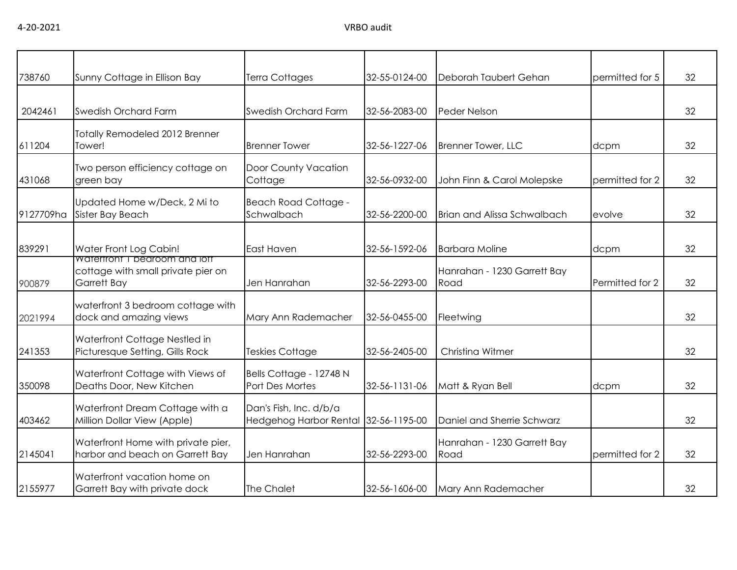| 738760    | Sunny Cottage in Ellison Bay                                                       | <b>Terra Cottages</b>                                   | 32-55-0124-00 | Deborah Taubert Gehan               | permitted for 5 | 32 |
|-----------|------------------------------------------------------------------------------------|---------------------------------------------------------|---------------|-------------------------------------|-----------------|----|
|           |                                                                                    |                                                         |               |                                     |                 |    |
| 2042461   | <b>Swedish Orchard Farm</b>                                                        | Swedish Orchard Farm                                    | 32-56-2083-00 | Peder Nelson                        |                 | 32 |
| 611204    | <b>Totally Remodeled 2012 Brenner</b><br>Tower!                                    | <b>Brenner Tower</b>                                    | 32-56-1227-06 | Brenner Tower, LLC                  | dcpm            | 32 |
| 431068    | Two person efficiency cottage on<br>green bay                                      | Door County Vacation<br>Cottage                         | 32-56-0932-00 | John Finn & Carol Molepske          | permitted for 2 | 32 |
| 9127709ha | Updated Home w/Deck, 2 Mi to<br>Sister Bay Beach                                   | <b>Beach Road Cottage -</b><br>Schwalbach               | 32-56-2200-00 | Brian and Alissa Schwalbach         | evolve          | 32 |
| 839291    | Water Front Log Cabin!                                                             | <b>East Haven</b>                                       | 32-56-1592-06 | <b>Barbara Moline</b>               | dcpm            | 32 |
| 900879    | Watertront I bedroom and lott<br>cottage with small private pier on<br>Garrett Bay | Jen Hanrahan                                            | 32-56-2293-00 | Hanrahan - 1230 Garrett Bay<br>Road | Permitted for 2 | 32 |
| 2021994   | waterfront 3 bedroom cottage with<br>dock and amazing views                        | Mary Ann Rademacher                                     | 32-56-0455-00 | Fleetwing                           |                 | 32 |
| 241353    | Waterfront Cottage Nestled in<br>Picturesque Setting, Gills Rock                   | <b>Teskies Cottage</b>                                  | 32-56-2405-00 | Christina Witmer                    |                 | 32 |
| 350098    | Waterfront Cottage with Views of<br>Deaths Door, New Kitchen                       | Bells Cottage - 12748 N<br>Port Des Mortes              | 32-56-1131-06 | Matt & Ryan Bell                    | dcpm            | 32 |
| 403462    | Waterfront Dream Cottage with a<br>Million Dollar View (Apple)                     | Dan's Fish, Inc. d/b/a<br><b>Hedgehog Harbor Rental</b> | 32-56-1195-00 | Daniel and Sherrie Schwarz          |                 | 32 |
| 2145041   | Waterfront Home with private pier,<br>harbor and beach on Garrett Bay              | Jen Hanrahan                                            | 32-56-2293-00 | Hanrahan - 1230 Garrett Bay<br>Road | permitted for 2 | 32 |
| 2155977   | Waterfront vacation home on<br>Garrett Bay with private dock                       | The Chalet                                              | 32-56-1606-00 | Mary Ann Rademacher                 |                 | 32 |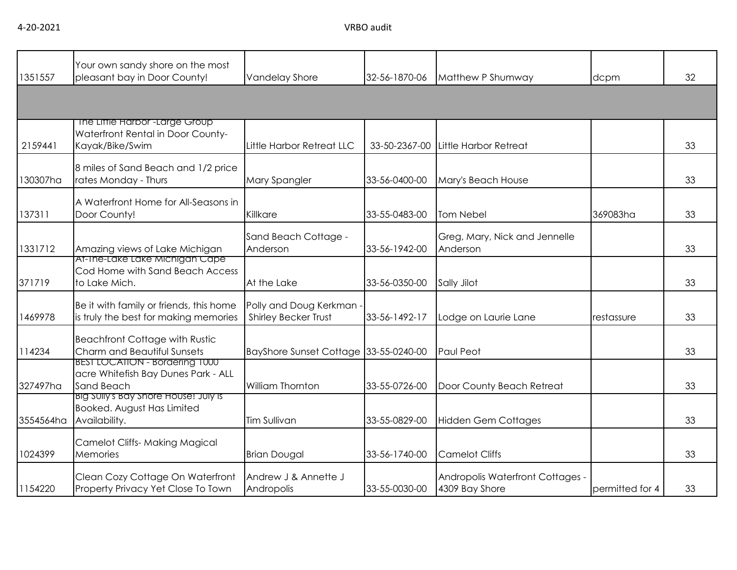| 1351557   | Your own sandy shore on the most<br>pleasant bay in Door County!                                  | <b>Vandelay Shore</b>                                   | 32-56-1870-06 | Matthew P Shumway                                  | dcpm                | 32 |
|-----------|---------------------------------------------------------------------------------------------------|---------------------------------------------------------|---------------|----------------------------------------------------|---------------------|----|
|           |                                                                                                   |                                                         |               |                                                    |                     |    |
| 2159441   | The Liffle Harbor <sup>-Large</sup> Group<br>Waterfront Rental in Door County-<br>Kayak/Bike/Swim | Little Harbor Retreat LLC                               | 33-50-2367-00 | Little Harbor Retreat                              |                     | 33 |
| 130307ha  | 8 miles of Sand Beach and 1/2 price<br>rates Monday - Thurs                                       | Mary Spangler                                           | 33-56-0400-00 | Mary's Beach House                                 |                     | 33 |
| 137311    | A Waterfront Home for All-Seasons in<br>Door County!                                              | Killkare                                                | 33-55-0483-00 | Tom Nebel                                          | 369083ha            | 33 |
| 1331712   | Amazing views of Lake Michigan                                                                    | Sand Beach Cottage -<br>Anderson                        | 33-56-1942-00 | Greg, Mary, Nick and Jennelle<br>Anderson          |                     | 33 |
| 371719    | At-The-Lake Lake Michigan Cape<br>Cod Home with Sand Beach Access<br>to Lake Mich.                | At the Lake                                             | 33-56-0350-00 | Sally Jilot                                        |                     | 33 |
| 1469978   | Be it with family or friends, this home<br>is truly the best for making memories                  | Polly and Doug Kerkman -<br><b>Shirley Becker Trust</b> | 33-56-1492-17 | Lodge on Laurie Lane                               | <b>I</b> restassure | 33 |
| 114234    | <b>Beachfront Cottage with Rustic</b><br>Charm and Beautiful Sunsets                              | BayShore Sunset Cottage 33-55-0240-00                   |               | Paul Peot                                          |                     | 33 |
| 327497ha  | BEST LOCATION - Bordering T000<br>acre Whitefish Bay Dunes Park - ALL<br>Sand Beach               | William Thornton                                        | 33-55-0726-00 | Door County Beach Retreat                          |                     | 33 |
| 3554564ha | Big Sully's Bay Shore House! July is<br>Booked. August Has Limited<br>Availability.               | <b>Tim Sullivan</b>                                     | 33-55-0829-00 | <b>Hidden Gem Cottages</b>                         |                     | 33 |
| 1024399   | <b>Camelot Cliffs- Making Magical</b><br>Memories                                                 | <b>Brian Dougal</b>                                     | 33-56-1740-00 | <b>Camelot Cliffs</b>                              |                     | 33 |
| 1154220   | Clean Cozy Cottage On Waterfront<br>Property Privacy Yet Close To Town                            | Andrew J & Annette J<br>Andropolis                      | 33-55-0030-00 | Andropolis Waterfront Cottages -<br>4309 Bay Shore | permitted for 4     | 33 |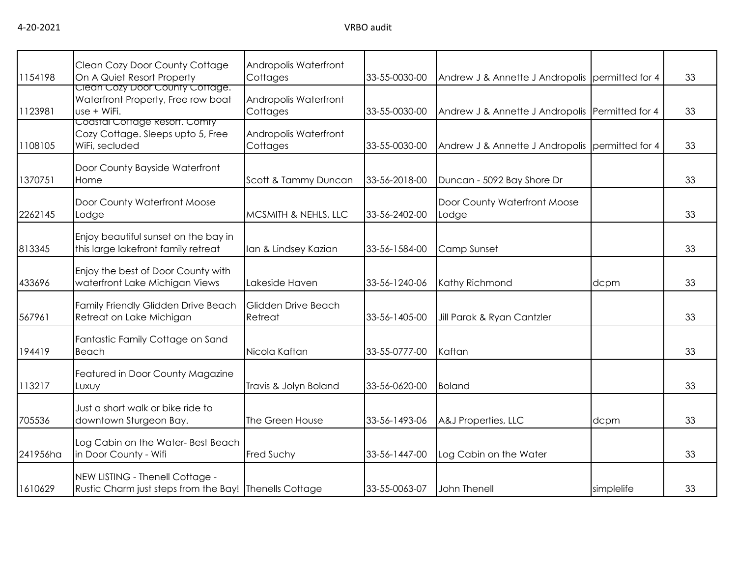| 1154198  | Clean Cozy Door County Cottage<br>On A Quiet Resort Property                              | Andropolis Waterfront<br>Cottages | 33-55-0030-00 | Andrew J & Annette J Andropolis permitted for 4 |            | 33 |
|----------|-------------------------------------------------------------------------------------------|-----------------------------------|---------------|-------------------------------------------------|------------|----|
| 1123981  | Clean Cozy Door County Cottage.<br>Waterfront Property, Free row boat<br>use + WiFi.      | Andropolis Waterfront<br>Cottages | 33-55-0030-00 | Andrew J & Annette J Andropolis Permitted for 4 |            | 33 |
| 1108105  | Coastal Cottage Resort. Comty<br>Cozy Cottage. Sleeps upto 5, Free<br>WiFi, secluded      | Andropolis Waterfront<br>Cottages | 33-55-0030-00 | Andrew J & Annette J Andropolis permitted for 4 |            | 33 |
| 1370751  | Door County Bayside Waterfront<br>Home                                                    | Scott & Tammy Duncan              | 33-56-2018-00 | Duncan - 5092 Bay Shore Dr                      |            | 33 |
| 2262145  | Door County Waterfront Moose<br>Lodge                                                     | MCSMITH & NEHLS, LLC              | 33-56-2402-00 | Door County Waterfront Moose<br>Lodge           |            | 33 |
| 813345   | Enjoy beautiful sunset on the bay in<br>this large lakefront family retreat               | Ian & Lindsey Kazian              | 33-56-1584-00 | Camp Sunset                                     |            | 33 |
| 433696   | Enjoy the best of Door County with<br>waterfront Lake Michigan Views                      | Lakeside Haven                    | 33-56-1240-06 | Kathy Richmond                                  | dcpm       | 33 |
| 567961   | Family Friendly Glidden Drive Beach<br>Retreat on Lake Michigan                           | Glidden Drive Beach<br>Retreat    | 33-56-1405-00 | Jill Parak & Ryan Cantzler                      |            | 33 |
| 194419   | Fantastic Family Cottage on Sand<br>Beach                                                 | Nicola Kaftan                     | 33-55-0777-00 | Kaftan                                          |            | 33 |
| 113217   | Featured in Door County Magazine<br>Luxuy                                                 | Travis & Jolyn Boland             | 33-56-0620-00 | <b>Boland</b>                                   |            | 33 |
| 705536   | Just a short walk or bike ride to<br>downtown Sturgeon Bay.                               | The Green House                   | 33-56-1493-06 | A&J Properties, LLC                             | dcpm       | 33 |
| 241956ha | Log Cabin on the Water- Best Beach<br>in Door County - Wifi                               | <b>Fred Suchy</b>                 | 33-56-1447-00 | Log Cabin on the Water                          |            | 33 |
| 1610629  | NEW LISTING - Thenell Cottage -<br>Rustic Charm just steps from the Bay! Thenells Cottage |                                   | 33-55-0063-07 | John Thenell                                    | simplelife | 33 |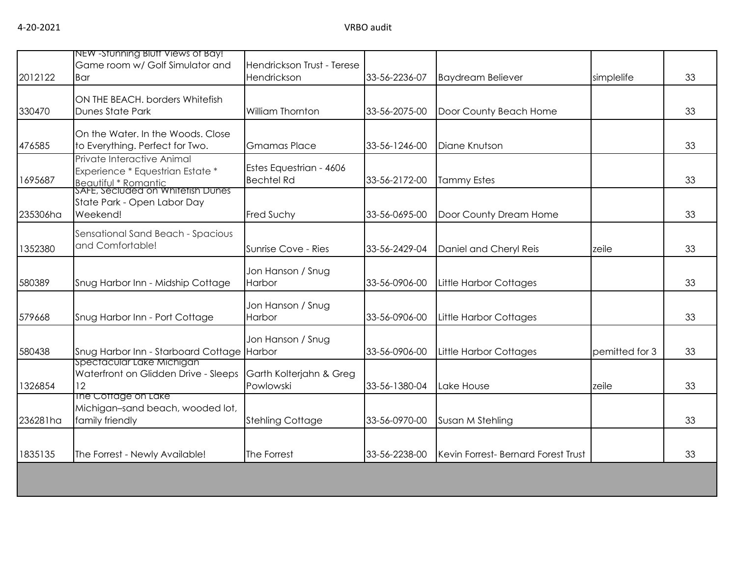| 2012122  | NEW -Stunning Blutt Views of Bay!<br>Game room w/ Golf Simulator and<br>Bar                                                 | Hendrickson Trust - Terese<br>Hendrickson    | 33-56-2236-07 | <b>Baydream Believer</b>            | simplelife     | 33 |  |  |
|----------|-----------------------------------------------------------------------------------------------------------------------------|----------------------------------------------|---------------|-------------------------------------|----------------|----|--|--|
| 330470   | ON THE BEACH. borders Whitefish<br><b>Dunes State Park</b>                                                                  | William Thornton                             | 33-56-2075-00 | Door County Beach Home              |                | 33 |  |  |
| 476585   | On the Water. In the Woods. Close<br>to Everything. Perfect for Two.                                                        | <b>Gmamas Place</b>                          | 33-56-1246-00 | Diane Knutson                       |                | 33 |  |  |
| 1695687  | Private Interactive Animal<br>Experience * Equestrian Estate *<br>Beautiful * Romantic<br>SAFE, Seciuded on Whitetish Dunes | Estes Equestrian - 4606<br><b>Bechtel Rd</b> | 33-56-2172-00 | <b>Tammy Estes</b>                  |                | 33 |  |  |
| 235306ha | State Park - Open Labor Day<br>Weekend!                                                                                     | Fred Suchy                                   | 33-56-0695-00 | Door County Dream Home              |                | 33 |  |  |
| 1352380  | Sensational Sand Beach - Spacious<br>and Comfortable!                                                                       | Sunrise Cove - Ries                          | 33-56-2429-04 | Daniel and Cheryl Reis              | zeile          | 33 |  |  |
| 580389   | Snug Harbor Inn - Midship Cottage                                                                                           | Jon Hanson / Snug<br>Harbor                  | 33-56-0906-00 | <b>Little Harbor Cottages</b>       |                | 33 |  |  |
| 579668   | Snug Harbor Inn - Port Cottage                                                                                              | Jon Hanson / Snug<br>Harbor                  | 33-56-0906-00 | Little Harbor Cottages              |                | 33 |  |  |
| 580438   | Snug Harbor Inn - Starboard Cottage Harbor                                                                                  | Jon Hanson / Snug                            | 33-56-0906-00 | <b>Little Harbor Cottages</b>       | pemitted for 3 | 33 |  |  |
| 1326854  | spectacular Lake Michigan<br>Waterfront on Glidden Drive - Sleeps<br>12                                                     | Garth Kolterjahn & Greg<br>Powlowski         | 33-56-1380-04 | Lake House                          | zeile          | 33 |  |  |
| 236281ha | The Cottage on Lake<br>Michigan-sand beach, wooded lot,<br>family friendly                                                  | <b>Stehling Cottage</b>                      | 33-56-0970-00 | Susan M Stehling                    |                | 33 |  |  |
| 1835135  | The Forrest - Newly Available!                                                                                              | The Forrest                                  | 33-56-2238-00 | Kevin Forrest- Bernard Forest Trust |                | 33 |  |  |
|          |                                                                                                                             |                                              |               |                                     |                |    |  |  |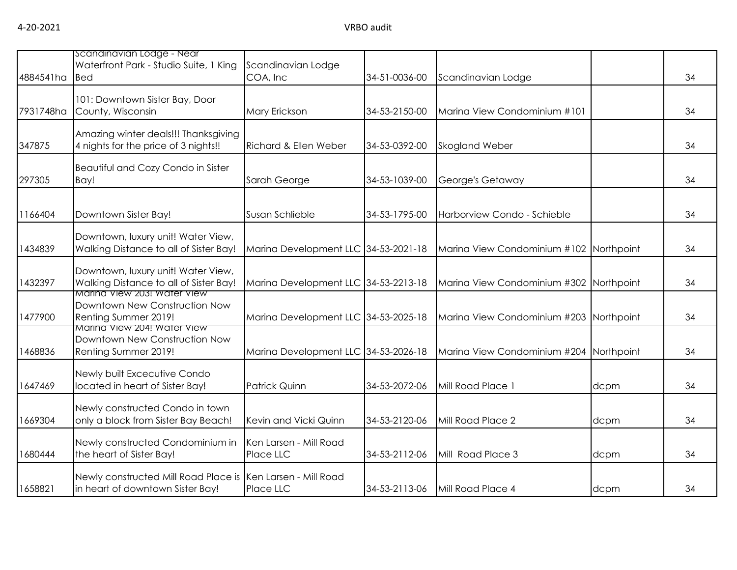| 4884541ha | scandinavian Lodge - Near<br>Waterfront Park - Studio Suite, 1 King<br><b>Bed</b>               | Scandinavian Lodge<br>COA, Inc       | 34-51-0036-00 | Scandinavian Lodge                      |      | 34 |
|-----------|-------------------------------------------------------------------------------------------------|--------------------------------------|---------------|-----------------------------------------|------|----|
| 7931748ha | 101: Downtown Sister Bay, Door<br>County, Wisconsin                                             | Mary Erickson                        | 34-53-2150-00 | Marina View Condominium #101            |      | 34 |
| 347875    | Amazing winter deals!!! Thanksgiving<br>4 nights for the price of 3 nights!!                    | Richard & Ellen Weber                | 34-53-0392-00 | <b>Skogland Weber</b>                   |      | 34 |
| 297305    | Beautiful and Cozy Condo in Sister<br>Bay!                                                      | Sarah George                         | 34-53-1039-00 | George's Getaway                        |      | 34 |
| 1166404   | Downtown Sister Bay!                                                                            | Susan Schlieble                      | 34-53-1795-00 | Harborview Condo - Schieble             |      | 34 |
| 1434839   | Downtown, luxury unit! Water View,<br>Walking Distance to all of Sister Bay!                    | Marina Development LLC 34-53-2021-18 |               | Marina View Condominium #102 Northpoint |      | 34 |
| 1432397   | Downtown, luxury unit! Water View,<br>Walking Distance to all of Sister Bay!                    | Marina Development LLC 34-53-2213-18 |               | Marina View Condominium #302 Northpoint |      | 34 |
| 1477900   | Marina View 203! Water View<br>Downtown New Construction Now<br>Renting Summer 2019!            | Marina Development LLC 34-53-2025-18 |               | Marina View Condominium #203 Northpoint |      | 34 |
| 1468836   | Marina View 204! Water View<br>Downtown New Construction Now<br>Renting Summer 2019!            | Marina Development LLC 34-53-2026-18 |               | Marina View Condominium #204 Northpoint |      | 34 |
| 1647469   | Newly built Excecutive Condo<br>located in heart of Sister Bay!                                 | <b>Patrick Quinn</b>                 | 34-53-2072-06 | Mill Road Place 1                       | dcpm | 34 |
| 1669304   | Newly constructed Condo in town<br>only a block from Sister Bay Beach!                          | Kevin and Vicki Quinn                | 34-53-2120-06 | Mill Road Place 2                       | dcpm | 34 |
| 1680444   | Newly constructed Condominium in<br>the heart of Sister Bay!                                    | Ken Larsen - Mill Road<br>Place LLC  | 34-53-2112-06 | Mill Road Place 3                       | dcpm | 34 |
| 1658821   | Newly constructed Mill Road Place is Ken Larsen - Mill Road<br>in heart of downtown Sister Bay! | Place LLC                            | 34-53-2113-06 | Mill Road Place 4                       | dcpm | 34 |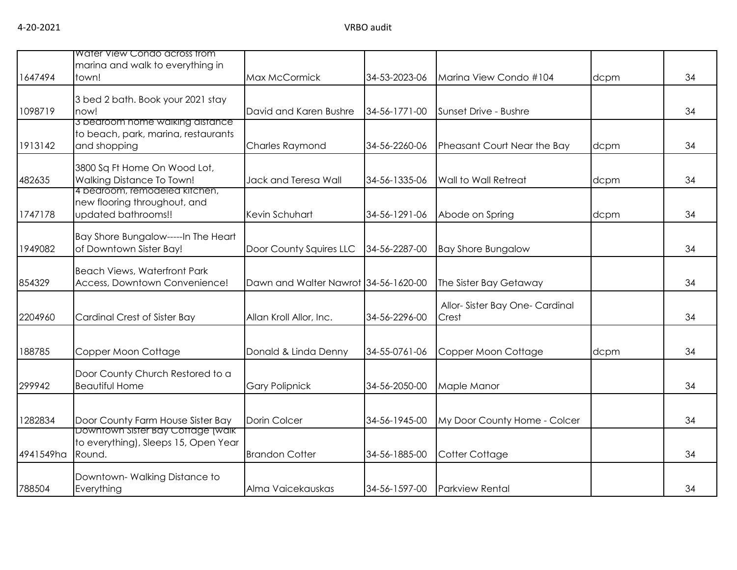|           | Water View Condo across trom                                              |                                      |               |                               |      |    |
|-----------|---------------------------------------------------------------------------|--------------------------------------|---------------|-------------------------------|------|----|
|           | marina and walk to everything in                                          |                                      |               |                               |      |    |
| 1647494   | town!                                                                     | Max McCormick                        | 34-53-2023-06 | Marina View Condo #104        | dcpm | 34 |
|           | 3 bed 2 bath. Book your 2021 stay                                         |                                      |               |                               |      |    |
| 1098719   | now!                                                                      | David and Karen Bushre               | 34-56-1771-00 | Sunset Drive - Bushre         |      | 34 |
|           | 3 bearoom nome walking aistance<br>to beach, park, marina, restaurants    |                                      |               |                               |      |    |
| 1913142   | and shopping                                                              | <b>Charles Raymond</b>               | 34-56-2260-06 | Pheasant Court Near the Bay   | dcpm | 34 |
|           | 3800 Sq Ft Home On Wood Lot,                                              |                                      |               |                               |      |    |
| 482635    | Walking Distance To Town!                                                 | Jack and Teresa Wall                 | 34-56-1335-06 | Wall to Wall Retreat          | dcpm | 34 |
|           | 4 bedroom, remodeled kitchen,<br>new flooring throughout, and             |                                      |               |                               |      |    |
| 1747178   | updated bathrooms!!                                                       | Kevin Schuhart                       | 34-56-1291-06 | Abode on Spring               | dcpm | 34 |
|           | Bay Shore Bungalow-----In The Heart                                       |                                      |               |                               |      |    |
| 1949082   | of Downtown Sister Bay!                                                   | Door County Squires LLC              | 34-56-2287-00 | <b>Bay Shore Bungalow</b>     |      | 34 |
|           | <b>Beach Views, Waterfront Park</b>                                       |                                      |               |                               |      |    |
| 854329    | Access, Downtown Convenience!                                             | Dawn and Walter Nawrot 34-56-1620-00 |               | The Sister Bay Getaway        |      | 34 |
|           |                                                                           |                                      |               | Allor-Sister Bay One-Cardinal |      |    |
| 2204960   | Cardinal Crest of Sister Bay                                              | Allan Kroll Allor, Inc.              | 34-56-2296-00 | Crest                         |      | 34 |
|           |                                                                           |                                      |               |                               |      |    |
| 188785    | Copper Moon Cottage                                                       | Donald & Linda Denny                 | 34-55-0761-06 | Copper Moon Cottage           | dcpm | 34 |
|           | Door County Church Restored to a                                          |                                      |               |                               |      |    |
| 299942    | <b>Beautiful Home</b>                                                     | <b>Gary Polipnick</b>                | 34-56-2050-00 | Maple Manor                   |      | 34 |
|           |                                                                           |                                      |               |                               |      |    |
| 1282834   | Door County Farm House Sister Bay                                         | Dorin Colcer                         | 34-56-1945-00 | My Door County Home - Colcer  |      | 34 |
|           | Downtown Sister Bay Cottage (walk<br>to everything), Sleeps 15, Open Year |                                      |               |                               |      |    |
| 4941549ha | Round.                                                                    | <b>Brandon Cotter</b>                | 34-56-1885-00 | Cotter Cottage                |      | 34 |
|           | Downtown-Walking Distance to                                              |                                      |               |                               |      |    |
| 788504    | Everything                                                                | Alma Vaicekauskas                    | 34-56-1597-00 | <b>Parkview Rental</b>        |      | 34 |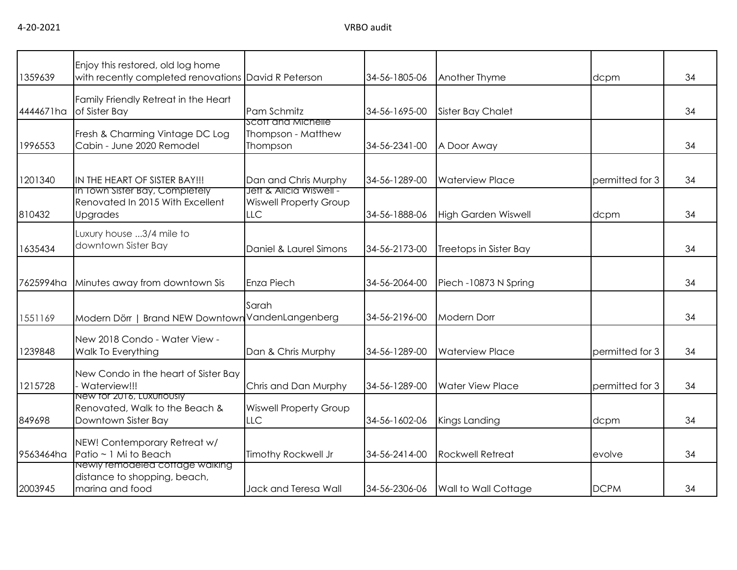| 1359639   | Enjoy this restored, old log home<br>with recently completed renovations David R Peterson |                                                      | 34-56-1805-06 | Another Thyme              | dcpm            | 34 |
|-----------|-------------------------------------------------------------------------------------------|------------------------------------------------------|---------------|----------------------------|-----------------|----|
| 4444671ha | Family Friendly Retreat in the Heart<br>of Sister Bay                                     | Pam Schmitz                                          | 34-56-1695-00 | <b>Sister Bay Chalet</b>   |                 | 34 |
| 1996553   | Fresh & Charming Vintage DC Log<br>Cabin - June 2020 Remodel                              | Scott and Michelle<br>Thompson - Matthew<br>Thompson | 34-56-2341-00 | A Door Away                |                 | 34 |
| 1201340   | IN THE HEART OF SISTER BAY!!!<br>In Town Sister Bay, Completely                           | Dan and Chris Murphy<br>Jett & Alicia Wiswell -      | 34-56-1289-00 | <b>Waterview Place</b>     | permitted for 3 | 34 |
| 810432    | Renovated In 2015 With Excellent<br>Upgrades                                              | <b>Wiswell Property Group</b><br><b>LLC</b>          | 34-56-1888-06 | <b>High Garden Wiswell</b> | dcpm            | 34 |
| 1635434   | Luxury house 3/4 mile to<br>downtown Sister Bay                                           | Daniel & Laurel Simons                               | 34-56-2173-00 | Treetops in Sister Bay     |                 | 34 |
| 7625994ha | Minutes away from downtown Sis                                                            | Enza Piech                                           | 34-56-2064-00 | Piech - 10873 N Spring     |                 | 34 |
| 1551169   | Brand NEW Downtown VandenLangenberg<br>Modern Dörr                                        | Sarah                                                | 34-56-2196-00 | <b>Modern Dorr</b>         |                 | 34 |
| 1239848   | New 2018 Condo - Water View -<br>Walk To Everything                                       | Dan & Chris Murphy                                   | 34-56-1289-00 | <b>Waterview Place</b>     | permitted for 3 | 34 |
| 1215728   | New Condo in the heart of Sister Bay<br>Waterview!!!                                      | Chris and Dan Murphy                                 | 34-56-1289-00 | <b>Water View Place</b>    | permitted for 3 | 34 |
| 849698    | New for 2016, Luxuriously<br>Renovated, Walk to the Beach &<br>Downtown Sister Bay        | <b>Wiswell Property Group</b><br><b>LLC</b>          | 34-56-1602-06 | Kings Landing              | dcpm            | 34 |
| 9563464ha | NEW! Contemporary Retreat w/<br>Patio ~ 1 Mi to Beach                                     | Timothy Rockwell Jr                                  | 34-56-2414-00 | <b>Rockwell Retreat</b>    | evolve          | 34 |
| 2003945   | Newly remodeled coffage walking<br>distance to shopping, beach,<br>marina and food        | Jack and Teresa Wall                                 | 34-56-2306-06 | Wall to Wall Cottage       | <b>DCPM</b>     | 34 |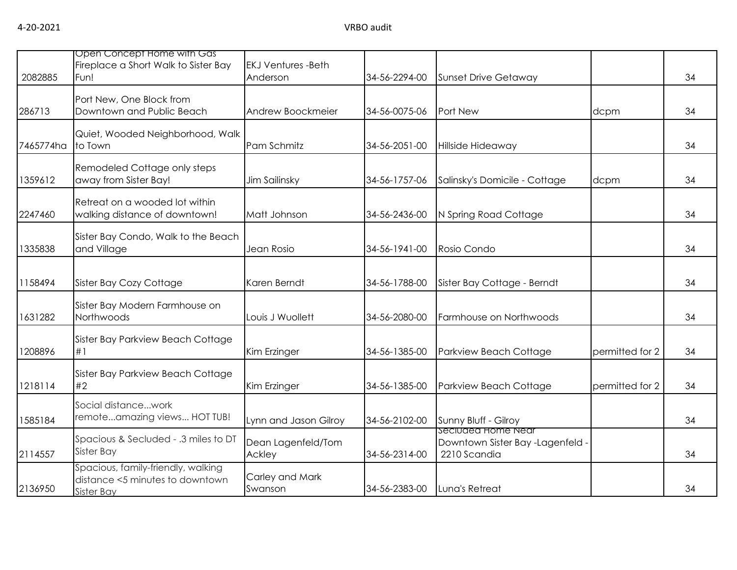| 2082885   | Open Concept Home with Gas<br>Fireplace a Short Walk to Sister Bay<br>Fun!          | <b>EKJ Ventures -Beth</b><br>Anderson | 34-56-2294-00 | <b>Sunset Drive Getaway</b>                                            |                 | 34 |
|-----------|-------------------------------------------------------------------------------------|---------------------------------------|---------------|------------------------------------------------------------------------|-----------------|----|
| 286713    | Port New, One Block from<br>Downtown and Public Beach                               | Andrew Boockmeier                     | 34-56-0075-06 | Port New                                                               | dcpm            | 34 |
| 7465774ha | Quiet, Wooded Neighborhood, Walk<br>to Town                                         | Pam Schmitz                           | 34-56-2051-00 | Hillside Hideaway                                                      |                 | 34 |
| 1359612   | Remodeled Cottage only steps<br>away from Sister Bay!                               | Jim Sailinsky                         | 34-56-1757-06 | Salinsky's Domicile - Cottage                                          | dcpm            | 34 |
| 2247460   | Retreat on a wooded lot within<br>walking distance of downtown!                     | Matt Johnson                          | 34-56-2436-00 | N Spring Road Cottage                                                  |                 | 34 |
| 1335838   | Sister Bay Condo, Walk to the Beach<br>and Village                                  | Jean Rosio                            | 34-56-1941-00 | Rosio Condo                                                            |                 | 34 |
| 1158494   | Sister Bay Cozy Cottage                                                             | Karen Berndt                          | 34-56-1788-00 | Sister Bay Cottage - Berndt                                            |                 | 34 |
| 1631282   | Sister Bay Modern Farmhouse on<br>Northwoods                                        | Louis J Wuollett                      | 34-56-2080-00 | Farmhouse on Northwoods                                                |                 | 34 |
| 1208896   | Sister Bay Parkview Beach Cottage<br>#1                                             | Kim Erzinger                          | 34-56-1385-00 | Parkview Beach Cottage                                                 | permitted for 2 | 34 |
| 1218114   | Sister Bay Parkview Beach Cottage<br>#2                                             | Kim Erzinger                          | 34-56-1385-00 | Parkview Beach Cottage                                                 | permitted for 2 | 34 |
| 1585184   | Social distancework<br>remoteamazing views HOT TUB!                                 | Lynn and Jason Gilroy                 | 34-56-2102-00 | Sunny Bluff - Gilroy                                                   |                 | 34 |
| 2114557   | Spacious & Secluded - .3 miles to DT<br>Sister Bay                                  | Dean Lagenfeld/Tom<br>Ackley          | 34-56-2314-00 | seciuded Home Near<br>Downtown Sister Bay -Lagenfeld ·<br>2210 Scandia |                 | 34 |
| 2136950   | Spacious, family-friendly, walking<br>distance <5 minutes to downtown<br>Sister Bay | Carley and Mark<br>Swanson            | 34-56-2383-00 | Luna's Retreat                                                         |                 | 34 |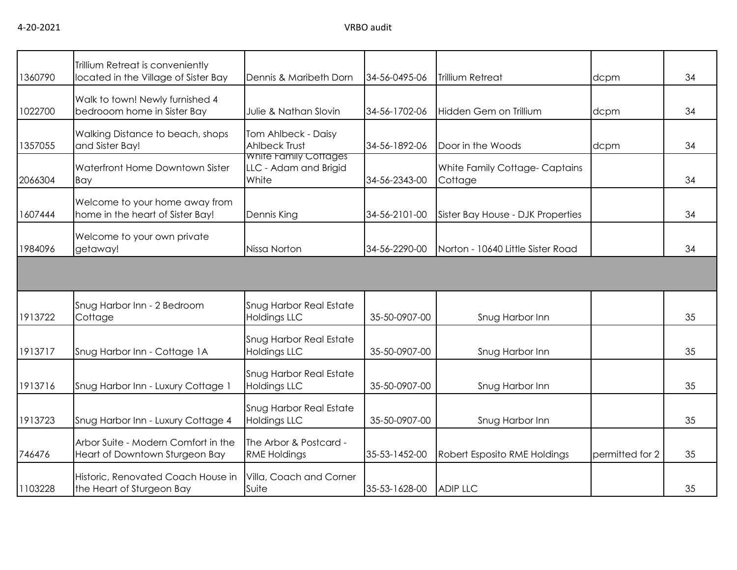| 1360790 | Trillium Retreat is conveniently<br>located in the Village of Sister Bay | Dennis & Maribeth Dorn                                         | 34-56-0495-06 | Trillium Retreat                         | dcpm            | 34 |
|---------|--------------------------------------------------------------------------|----------------------------------------------------------------|---------------|------------------------------------------|-----------------|----|
| 1022700 | Walk to town! Newly furnished 4<br>bedrooom home in Sister Bay           | Julie & Nathan Slovin                                          | 34-56-1702-06 | Hidden Gem on Trillium                   | dcpm            | 34 |
| 1357055 | Walking Distance to beach, shops<br>and Sister Bay!                      | Tom Ahlbeck - Daisy<br><b>Ahlbeck Trust</b>                    | 34-56-1892-06 | Door in the Woods                        | dcpm            | 34 |
| 2066304 | Waterfront Home Downtown Sister<br>Bay                                   | <b>White Family Cottages</b><br>LLC - Adam and Brigid<br>White | 34-56-2343-00 | White Family Cottage-Captains<br>Cottage |                 | 34 |
| 1607444 | Welcome to your home away from<br>home in the heart of Sister Bay!       | Dennis King                                                    | 34-56-2101-00 | Sister Bay House - DJK Properties        |                 | 34 |
| 1984096 | Welcome to your own private<br>getaway!                                  | Nissa Norton                                                   | 34-56-2290-00 | Norton - 10640 Little Sister Road        |                 | 34 |
|         |                                                                          |                                                                |               |                                          |                 |    |
| 1913722 | Snug Harbor Inn - 2 Bedroom<br>Cottage                                   | <b>Snug Harbor Real Estate</b><br>Holdings LLC                 | 35-50-0907-00 | Snug Harbor Inn                          |                 | 35 |
| 1913717 | Snug Harbor Inn - Cottage 1A                                             | <b>Snug Harbor Real Estate</b><br><b>Holdings LLC</b>          | 35-50-0907-00 | Snug Harbor Inn                          |                 | 35 |
| 1913716 | Snug Harbor Inn - Luxury Cottage 1                                       | <b>Snug Harbor Real Estate</b><br><b>Holdings LLC</b>          | 35-50-0907-00 | Snug Harbor Inn                          |                 | 35 |
| 1913723 | Snug Harbor Inn - Luxury Cottage 4                                       | <b>Snug Harbor Real Estate</b><br><b>Holdings LLC</b>          | 35-50-0907-00 | Snug Harbor Inn                          |                 | 35 |
| 746476  | Arbor Suite - Modern Comfort in the<br>Heart of Downtown Sturgeon Bay    | The Arbor & Postcard -<br><b>RME Holdings</b>                  | 35-53-1452-00 | Robert Esposito RME Holdings             | permitted for 2 | 35 |
| 1103228 | Historic, Renovated Coach House in<br>the Heart of Sturgeon Bay          | Villa, Coach and Corner<br>Suite                               | 35-53-1628-00 | <b>ADIP LLC</b>                          |                 | 35 |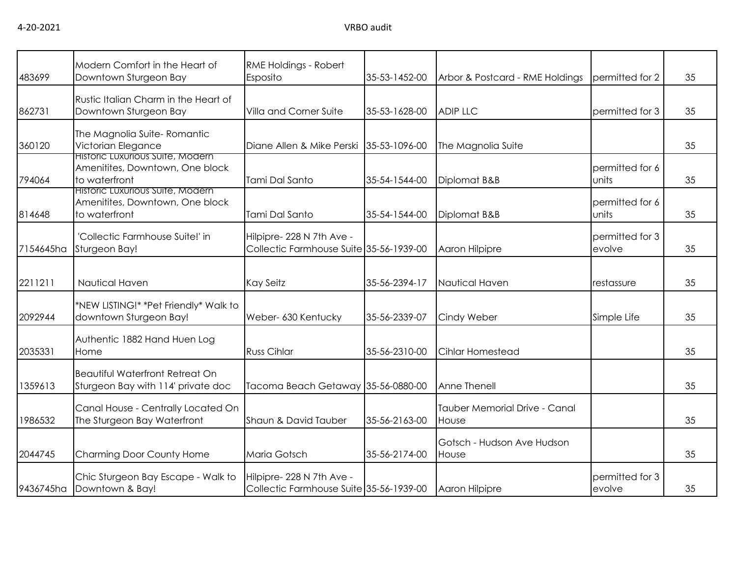| 483699    | Modern Comfort in the Heart of<br>Downtown Sturgeon Bay                              | RME Holdings - Robert<br>Esposito                                    | 35-53-1452-00 | Arbor & Postcard - RME Holdings        | permitted for 2           | 35 |
|-----------|--------------------------------------------------------------------------------------|----------------------------------------------------------------------|---------------|----------------------------------------|---------------------------|----|
| 862731    | Rustic Italian Charm in the Heart of<br>Downtown Sturgeon Bay                        | Villa and Corner Suite                                               | 35-53-1628-00 | <b>ADIP LLC</b>                        | permitted for 3           | 35 |
| 360120    | The Magnolia Suite-Romantic<br>Victorian Elegance                                    | Diane Allen & Mike Perski                                            | 35-53-1096-00 | The Magnolia Suite                     |                           | 35 |
| 794064    | Historic Luxurious Suite, Modern<br>Amenitites, Downtown, One block<br>to waterfront | Tami Dal Santo                                                       | 35-54-1544-00 | Diplomat B&B                           | permitted for 6<br>units  | 35 |
| 814648    | Historic Luxurious Suite, Modern<br>Amenitites, Downtown, One block<br>to waterfront | Tami Dal Santo                                                       | 35-54-1544-00 | Diplomat B&B                           | permitted for 6<br>units  | 35 |
| 7154645ha | 'Collectic Farmhouse Suite!' in<br>Sturgeon Bay!                                     | Hilpipre- 228 N 7th Ave -<br>Collectic Farmhouse Suite 35-56-1939-00 |               | Aaron Hilpipre                         | permitted for 3<br>evolve | 35 |
| 2211211   | Nautical Haven                                                                       | <b>Kay Seitz</b>                                                     | 35-56-2394-17 | Nautical Haven                         | restassure                | 35 |
| 2092944   | *NEW LISTING!* *Pet Friendly* Walk to<br>downtown Sturgeon Bay!                      | Weber- 630 Kentucky                                                  | 35-56-2339-07 | Cindy Weber                            | Simple Life               | 35 |
| 2035331   | Authentic 1882 Hand Huen Log<br>Home                                                 | <b>Russ Cihlar</b>                                                   | 35-56-2310-00 | Cihlar Homestead                       |                           | 35 |
| 1359613   | <b>Beautiful Waterfront Retreat On</b><br>Sturgeon Bay with 114' private doc         | Tacoma Beach Getaway 35-56-0880-00                                   |               | Anne Thenell                           |                           | 35 |
| 1986532   | Canal House - Centrally Located On<br>The Sturgeon Bay Waterfront                    | Shaun & David Tauber                                                 | 35-56-2163-00 | Tauber Memorial Drive - Canal<br>House |                           | 35 |
| 2044745   | Charming Door County Home                                                            | <b>Maria Gotsch</b>                                                  | 35-56-2174-00 | Gotsch - Hudson Ave Hudson<br>House    |                           | 35 |
| 9436745ha | Chic Sturgeon Bay Escape - Walk to<br>Downtown & Bay!                                | Hilpipre- 228 N 7th Ave -<br>Collectic Farmhouse Suite 35-56-1939-00 |               | Aaron Hilpipre                         | permitted for 3<br>evolve | 35 |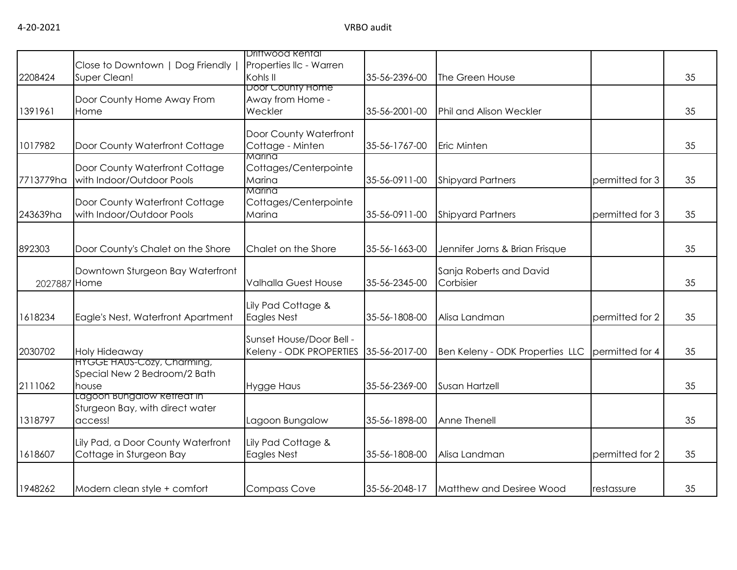|              |                                    | <b>Driftwood Rental</b>     |               |                                 |                 |    |
|--------------|------------------------------------|-----------------------------|---------------|---------------------------------|-----------------|----|
|              | Close to Downtown   Dog Friendly   | Properties IIc - Warren     |               |                                 |                 |    |
| 2208424      | Super Clean!                       | Kohls II                    | 35-56-2396-00 | The Green House                 |                 | 35 |
|              |                                    | Door County Home            |               |                                 |                 |    |
|              | Door County Home Away From         | Away from Home -            |               |                                 |                 |    |
| 1391961      | Home                               | Weckler                     | 35-56-2001-00 | Phil and Alison Weckler         |                 | 35 |
|              |                                    | Door County Waterfront      |               |                                 |                 |    |
| 1017982      | Door County Waterfront Cottage     | Cottage - Minten            | 35-56-1767-00 | <b>Eric Minten</b>              |                 | 35 |
|              |                                    | Marina                      |               |                                 |                 |    |
|              | Door County Waterfront Cottage     | Cottages/Centerpointe       |               |                                 |                 |    |
| 7713779ha    | with Indoor/Outdoor Pools          | Marina                      | 35-56-0911-00 | <b>Shipyard Partners</b>        | permitted for 3 | 35 |
|              |                                    | Marina                      |               |                                 |                 |    |
|              | Door County Waterfront Cottage     | Cottages/Centerpointe       |               |                                 |                 |    |
| 243639ha     | with Indoor/Outdoor Pools          | Marina                      | 35-56-0911-00 | <b>Shipyard Partners</b>        | permitted for 3 | 35 |
|              |                                    |                             |               |                                 |                 |    |
| 892303       | Door County's Chalet on the Shore  | Chalet on the Shore         | 35-56-1663-00 | Jennifer Jorns & Brian Frisque  |                 | 35 |
|              |                                    |                             |               |                                 |                 |    |
|              | Downtown Sturgeon Bay Waterfront   |                             |               | Sanja Roberts and David         |                 |    |
| 2027887 Home |                                    | <b>Valhalla Guest House</b> | 35-56-2345-00 | Corbisier                       |                 | 35 |
|              |                                    |                             |               |                                 |                 |    |
|              |                                    | Lily Pad Cottage &          |               |                                 |                 |    |
| 1618234      | Eagle's Nest, Waterfront Apartment | Eagles Nest                 | 35-56-1808-00 | Alisa Landman                   | permitted for 2 | 35 |
|              |                                    | Sunset House/Door Bell -    |               |                                 |                 |    |
| 2030702      | <b>Holy Hideaway</b>               | Keleny - ODK PROPERTIES     | 35-56-2017-00 | Ben Keleny - ODK Properties LLC | permitted for 4 | 35 |
|              | <b>HYGGE HAUS-COZY, Charming,</b>  |                             |               |                                 |                 |    |
|              | Special New 2 Bedroom/2 Bath       |                             |               |                                 |                 |    |
| 2111062      | house                              | <b>Hygge Haus</b>           | 35-56-2369-00 | Susan Hartzell                  |                 | 35 |
|              | Lagoon Bungalow Retreat in         |                             |               |                                 |                 |    |
|              | Sturgeon Bay, with direct water    |                             |               |                                 |                 |    |
| 1318797      | access!                            | Lagoon Bungalow             | 35-56-1898-00 | Anne Thenell                    |                 | 35 |
|              | Lily Pad, a Door County Waterfront | Lily Pad Cottage &          |               |                                 |                 |    |
| 1618607      | Cottage in Sturgeon Bay            | <b>Eagles Nest</b>          | 35-56-1808-00 | Alisa Landman                   | permitted for 2 | 35 |
|              |                                    |                             |               |                                 |                 |    |
|              |                                    |                             |               |                                 |                 |    |
| 1948262      | Modern clean style + comfort       | <b>Compass Cove</b>         | 35-56-2048-17 | Matthew and Desiree Wood        | restassure      | 35 |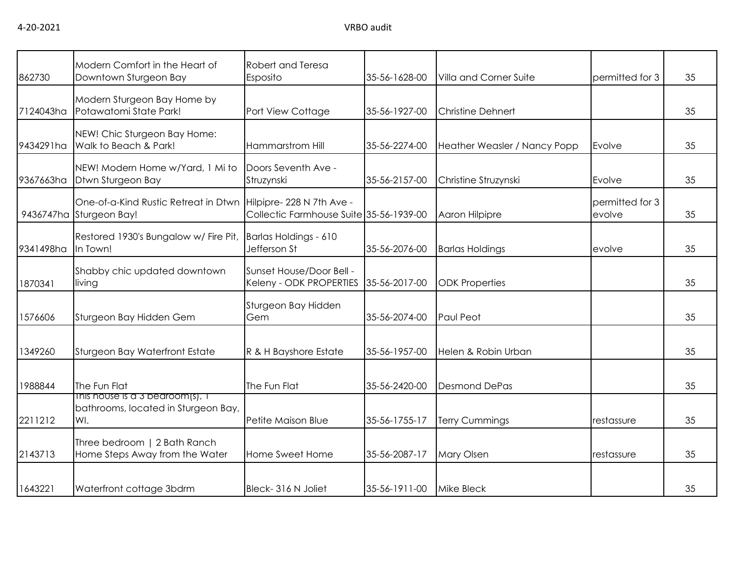| 862730    | Modern Comfort in the Heart of<br>Downtown Sturgeon Bay                        | Robert and Teresa<br>Esposito                       | 35-56-1628-00 | Villa and Corner Suite       | permitted for 3           | 35 |
|-----------|--------------------------------------------------------------------------------|-----------------------------------------------------|---------------|------------------------------|---------------------------|----|
| 7124043ha | Modern Sturgeon Bay Home by<br>Potawatomi State Park!                          | Port View Cottage                                   | 35-56-1927-00 | <b>Christine Dehnert</b>     |                           | 35 |
| 9434291ha | NEW! Chic Sturgeon Bay Home:<br>Walk to Beach & Park!                          | Hammarstrom Hill                                    | 35-56-2274-00 | Heather Weasler / Nancy Popp | Evolve                    | 35 |
| 9367663ha | NEW! Modern Home w/Yard, 1 Mi to<br>Dtwn Sturgeon Bay                          | Doors Seventh Ave -<br>Struzynski                   | 35-56-2157-00 | Christine Struzynski         | Evolve                    | 35 |
| 9436747ha | One-of-a-Kind Rustic Retreat in Dtwn Hilpipre-228 N 7th Ave -<br>Sturgeon Bay! | Collectic Farmhouse Suite 35-56-1939-00             |               | Aaron Hilpipre               | permitted for 3<br>evolve | 35 |
| 9341498ha | Restored 1930's Bungalow w/ Fire Pit,<br>In Town!                              | Barlas Holdings - 610<br>Jefferson St               | 35-56-2076-00 | <b>Barlas Holdings</b>       | evolve                    | 35 |
| 1870341   | Shabby chic updated downtown<br>living                                         | Sunset House/Door Bell -<br>Keleny - ODK PROPERTIES | 35-56-2017-00 | <b>ODK Properties</b>        |                           | 35 |
| 1576606   | Sturgeon Bay Hidden Gem                                                        | Sturgeon Bay Hidden<br>Gem                          | 35-56-2074-00 | Paul Peot                    |                           | 35 |
| 1349260   | Sturgeon Bay Waterfront Estate                                                 | R & H Bayshore Estate                               | 35-56-1957-00 | Helen & Robin Urban          |                           | 35 |
| 1988844   | The Fun Flat                                                                   | The Fun Flat                                        | 35-56-2420-00 | <b>Desmond DePas</b>         |                           | 35 |
| 2211212   | This house is a 3 bedroom(s), I<br>bathrooms, located in Sturgeon Bay,<br>WI.  | Petite Maison Blue                                  | 35-56-1755-17 | <b>Terry Cummings</b>        | restassure                | 35 |
| 2143713   | Three bedroom   2 Bath Ranch<br>Home Steps Away from the Water                 | Home Sweet Home                                     | 35-56-2087-17 | <b>Mary Olsen</b>            | restassure                | 35 |
| 1643221   | Waterfront cottage 3bdrm                                                       | Bleck-316 N Joliet                                  | 35-56-1911-00 | <b>Mike Bleck</b>            |                           | 35 |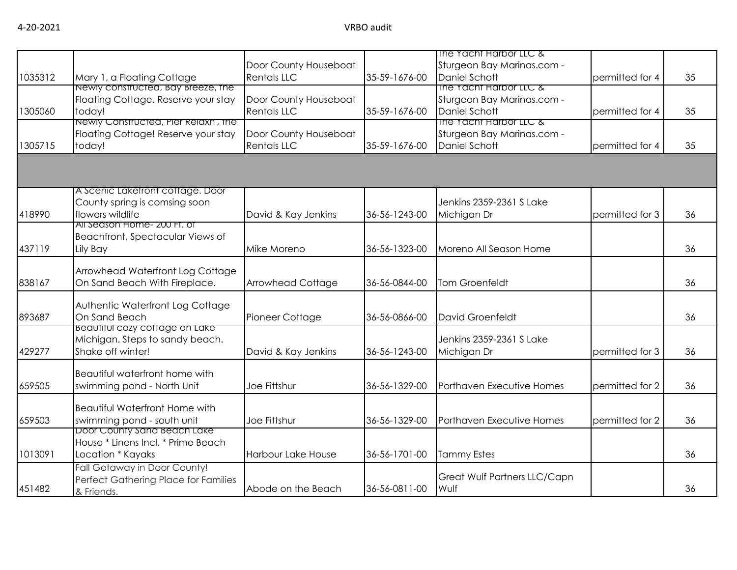|                                       |                                                                                                                                                                                                                                                                                                                                                                                                                                                                                                                                                                                                                                                                                                                                                          |                                                                                                                                                                                                                                                                |                                                                                                                                                       |                                                                                                                                                                                                                                                                                                                                                                                                                   | 35                                                                                                             |
|---------------------------------------|----------------------------------------------------------------------------------------------------------------------------------------------------------------------------------------------------------------------------------------------------------------------------------------------------------------------------------------------------------------------------------------------------------------------------------------------------------------------------------------------------------------------------------------------------------------------------------------------------------------------------------------------------------------------------------------------------------------------------------------------------------|----------------------------------------------------------------------------------------------------------------------------------------------------------------------------------------------------------------------------------------------------------------|-------------------------------------------------------------------------------------------------------------------------------------------------------|-------------------------------------------------------------------------------------------------------------------------------------------------------------------------------------------------------------------------------------------------------------------------------------------------------------------------------------------------------------------------------------------------------------------|----------------------------------------------------------------------------------------------------------------|
|                                       |                                                                                                                                                                                                                                                                                                                                                                                                                                                                                                                                                                                                                                                                                                                                                          |                                                                                                                                                                                                                                                                |                                                                                                                                                       |                                                                                                                                                                                                                                                                                                                                                                                                                   |                                                                                                                |
|                                       |                                                                                                                                                                                                                                                                                                                                                                                                                                                                                                                                                                                                                                                                                                                                                          |                                                                                                                                                                                                                                                                |                                                                                                                                                       |                                                                                                                                                                                                                                                                                                                                                                                                                   |                                                                                                                |
|                                       |                                                                                                                                                                                                                                                                                                                                                                                                                                                                                                                                                                                                                                                                                                                                                          |                                                                                                                                                                                                                                                                |                                                                                                                                                       |                                                                                                                                                                                                                                                                                                                                                                                                                   |                                                                                                                |
|                                       |                                                                                                                                                                                                                                                                                                                                                                                                                                                                                                                                                                                                                                                                                                                                                          |                                                                                                                                                                                                                                                                |                                                                                                                                                       |                                                                                                                                                                                                                                                                                                                                                                                                                   | 35                                                                                                             |
|                                       |                                                                                                                                                                                                                                                                                                                                                                                                                                                                                                                                                                                                                                                                                                                                                          |                                                                                                                                                                                                                                                                |                                                                                                                                                       |                                                                                                                                                                                                                                                                                                                                                                                                                   |                                                                                                                |
|                                       |                                                                                                                                                                                                                                                                                                                                                                                                                                                                                                                                                                                                                                                                                                                                                          |                                                                                                                                                                                                                                                                |                                                                                                                                                       |                                                                                                                                                                                                                                                                                                                                                                                                                   |                                                                                                                |
|                                       |                                                                                                                                                                                                                                                                                                                                                                                                                                                                                                                                                                                                                                                                                                                                                          |                                                                                                                                                                                                                                                                |                                                                                                                                                       |                                                                                                                                                                                                                                                                                                                                                                                                                   | 35                                                                                                             |
|                                       |                                                                                                                                                                                                                                                                                                                                                                                                                                                                                                                                                                                                                                                                                                                                                          |                                                                                                                                                                                                                                                                |                                                                                                                                                       |                                                                                                                                                                                                                                                                                                                                                                                                                   |                                                                                                                |
|                                       |                                                                                                                                                                                                                                                                                                                                                                                                                                                                                                                                                                                                                                                                                                                                                          |                                                                                                                                                                                                                                                                |                                                                                                                                                       |                                                                                                                                                                                                                                                                                                                                                                                                                   |                                                                                                                |
|                                       |                                                                                                                                                                                                                                                                                                                                                                                                                                                                                                                                                                                                                                                                                                                                                          |                                                                                                                                                                                                                                                                |                                                                                                                                                       |                                                                                                                                                                                                                                                                                                                                                                                                                   |                                                                                                                |
|                                       |                                                                                                                                                                                                                                                                                                                                                                                                                                                                                                                                                                                                                                                                                                                                                          |                                                                                                                                                                                                                                                                |                                                                                                                                                       |                                                                                                                                                                                                                                                                                                                                                                                                                   |                                                                                                                |
|                                       |                                                                                                                                                                                                                                                                                                                                                                                                                                                                                                                                                                                                                                                                                                                                                          |                                                                                                                                                                                                                                                                |                                                                                                                                                       |                                                                                                                                                                                                                                                                                                                                                                                                                   | 36                                                                                                             |
|                                       |                                                                                                                                                                                                                                                                                                                                                                                                                                                                                                                                                                                                                                                                                                                                                          |                                                                                                                                                                                                                                                                |                                                                                                                                                       |                                                                                                                                                                                                                                                                                                                                                                                                                   |                                                                                                                |
|                                       |                                                                                                                                                                                                                                                                                                                                                                                                                                                                                                                                                                                                                                                                                                                                                          |                                                                                                                                                                                                                                                                |                                                                                                                                                       |                                                                                                                                                                                                                                                                                                                                                                                                                   |                                                                                                                |
|                                       |                                                                                                                                                                                                                                                                                                                                                                                                                                                                                                                                                                                                                                                                                                                                                          |                                                                                                                                                                                                                                                                |                                                                                                                                                       |                                                                                                                                                                                                                                                                                                                                                                                                                   | 36                                                                                                             |
|                                       |                                                                                                                                                                                                                                                                                                                                                                                                                                                                                                                                                                                                                                                                                                                                                          |                                                                                                                                                                                                                                                                |                                                                                                                                                       |                                                                                                                                                                                                                                                                                                                                                                                                                   |                                                                                                                |
|                                       |                                                                                                                                                                                                                                                                                                                                                                                                                                                                                                                                                                                                                                                                                                                                                          |                                                                                                                                                                                                                                                                |                                                                                                                                                       |                                                                                                                                                                                                                                                                                                                                                                                                                   |                                                                                                                |
|                                       |                                                                                                                                                                                                                                                                                                                                                                                                                                                                                                                                                                                                                                                                                                                                                          |                                                                                                                                                                                                                                                                |                                                                                                                                                       |                                                                                                                                                                                                                                                                                                                                                                                                                   | 36                                                                                                             |
|                                       |                                                                                                                                                                                                                                                                                                                                                                                                                                                                                                                                                                                                                                                                                                                                                          |                                                                                                                                                                                                                                                                |                                                                                                                                                       |                                                                                                                                                                                                                                                                                                                                                                                                                   |                                                                                                                |
|                                       |                                                                                                                                                                                                                                                                                                                                                                                                                                                                                                                                                                                                                                                                                                                                                          |                                                                                                                                                                                                                                                                |                                                                                                                                                       |                                                                                                                                                                                                                                                                                                                                                                                                                   |                                                                                                                |
|                                       |                                                                                                                                                                                                                                                                                                                                                                                                                                                                                                                                                                                                                                                                                                                                                          |                                                                                                                                                                                                                                                                |                                                                                                                                                       |                                                                                                                                                                                                                                                                                                                                                                                                                   | 36                                                                                                             |
|                                       |                                                                                                                                                                                                                                                                                                                                                                                                                                                                                                                                                                                                                                                                                                                                                          |                                                                                                                                                                                                                                                                |                                                                                                                                                       |                                                                                                                                                                                                                                                                                                                                                                                                                   |                                                                                                                |
|                                       |                                                                                                                                                                                                                                                                                                                                                                                                                                                                                                                                                                                                                                                                                                                                                          |                                                                                                                                                                                                                                                                |                                                                                                                                                       |                                                                                                                                                                                                                                                                                                                                                                                                                   |                                                                                                                |
|                                       |                                                                                                                                                                                                                                                                                                                                                                                                                                                                                                                                                                                                                                                                                                                                                          |                                                                                                                                                                                                                                                                |                                                                                                                                                       |                                                                                                                                                                                                                                                                                                                                                                                                                   | 36                                                                                                             |
|                                       |                                                                                                                                                                                                                                                                                                                                                                                                                                                                                                                                                                                                                                                                                                                                                          |                                                                                                                                                                                                                                                                |                                                                                                                                                       |                                                                                                                                                                                                                                                                                                                                                                                                                   |                                                                                                                |
| <b>Beautiful waterfront home with</b> |                                                                                                                                                                                                                                                                                                                                                                                                                                                                                                                                                                                                                                                                                                                                                          |                                                                                                                                                                                                                                                                |                                                                                                                                                       |                                                                                                                                                                                                                                                                                                                                                                                                                   |                                                                                                                |
|                                       |                                                                                                                                                                                                                                                                                                                                                                                                                                                                                                                                                                                                                                                                                                                                                          |                                                                                                                                                                                                                                                                |                                                                                                                                                       |                                                                                                                                                                                                                                                                                                                                                                                                                   | 36                                                                                                             |
|                                       |                                                                                                                                                                                                                                                                                                                                                                                                                                                                                                                                                                                                                                                                                                                                                          |                                                                                                                                                                                                                                                                |                                                                                                                                                       |                                                                                                                                                                                                                                                                                                                                                                                                                   |                                                                                                                |
| <b>Beautiful Waterfront Home with</b> |                                                                                                                                                                                                                                                                                                                                                                                                                                                                                                                                                                                                                                                                                                                                                          |                                                                                                                                                                                                                                                                |                                                                                                                                                       |                                                                                                                                                                                                                                                                                                                                                                                                                   |                                                                                                                |
|                                       | Joe Fittshur                                                                                                                                                                                                                                                                                                                                                                                                                                                                                                                                                                                                                                                                                                                                             | 36-56-1329-00                                                                                                                                                                                                                                                  | Porthaven Executive Homes                                                                                                                             | permitted for 2                                                                                                                                                                                                                                                                                                                                                                                                   | 36                                                                                                             |
| Door County sand Beach Lake           |                                                                                                                                                                                                                                                                                                                                                                                                                                                                                                                                                                                                                                                                                                                                                          |                                                                                                                                                                                                                                                                |                                                                                                                                                       |                                                                                                                                                                                                                                                                                                                                                                                                                   |                                                                                                                |
| House * Linens Incl. * Prime Beach    |                                                                                                                                                                                                                                                                                                                                                                                                                                                                                                                                                                                                                                                                                                                                                          |                                                                                                                                                                                                                                                                |                                                                                                                                                       |                                                                                                                                                                                                                                                                                                                                                                                                                   |                                                                                                                |
| Location * Kayaks                     | Harbour Lake House                                                                                                                                                                                                                                                                                                                                                                                                                                                                                                                                                                                                                                                                                                                                       | 36-56-1701-00                                                                                                                                                                                                                                                  | <b>Tammy Estes</b>                                                                                                                                    |                                                                                                                                                                                                                                                                                                                                                                                                                   | 36                                                                                                             |
|                                       |                                                                                                                                                                                                                                                                                                                                                                                                                                                                                                                                                                                                                                                                                                                                                          |                                                                                                                                                                                                                                                                |                                                                                                                                                       |                                                                                                                                                                                                                                                                                                                                                                                                                   |                                                                                                                |
|                                       |                                                                                                                                                                                                                                                                                                                                                                                                                                                                                                                                                                                                                                                                                                                                                          |                                                                                                                                                                                                                                                                | Great Wulf Partners LLC/Capn                                                                                                                          |                                                                                                                                                                                                                                                                                                                                                                                                                   |                                                                                                                |
|                                       | Abode on the Beach                                                                                                                                                                                                                                                                                                                                                                                                                                                                                                                                                                                                                                                                                                                                       | 36-56-0811-00                                                                                                                                                                                                                                                  | Wulf                                                                                                                                                  |                                                                                                                                                                                                                                                                                                                                                                                                                   | 36                                                                                                             |
|                                       | Mary 1, a Floating Cottage<br>Newly constructed, Bay Breeze, the<br>Floating Cottage. Reserve your stay<br>today!<br>Newly Constructed, Pier Relaxn', the<br>Floating Cottage! Reserve your stay<br>today!<br>A Scenic Laketront cottage. Door<br>County spring is comsing soon<br>flowers wildlife<br>All Season Home- 200 Ft. of<br>Beachfront, Spectacular Views of<br>Lily Bay<br>Arrowhead Waterfront Log Cottage<br>On Sand Beach With Fireplace.<br>Authentic Waterfront Log Cottage<br>On Sand Beach<br>Beautiful cozy coffage on Lake<br>Michigan. Steps to sandy beach.<br>Shake off winter!<br>swimming pond - North Unit<br>swimming pond - south unit<br>Fall Getaway in Door County!<br>Perfect Gathering Place for Families<br>& Friends. | Door County Houseboat<br><b>Rentals LLC</b><br>Door County Houseboat<br><b>Rentals LLC</b><br>Door County Houseboat<br><b>Rentals LLC</b><br>David & Kay Jenkins<br>Mike Moreno<br>Arrowhead Cottage<br>Pioneer Cottage<br>David & Kay Jenkins<br>Joe Fittshur | 35-59-1676-00<br>35-59-1676-00<br>35-59-1676-00<br>36-56-1243-00<br>36-56-1323-00<br>36-56-0844-00<br>36-56-0866-00<br>36-56-1243-00<br>36-56-1329-00 | The Yacht Harbor LLC &<br>Sturgeon Bay Marinas.com -<br>Daniel Schott<br>The Yacht Harbor LLC &<br>Sturgeon Bay Marinas.com -<br>Daniel Schott<br>The Yacht Harbor LLC &<br>Sturgeon Bay Marinas.com -<br>Daniel Schott<br>Jenkins 2359-2361 S Lake<br>Michigan Dr<br>Moreno All Season Home<br><b>Tom Groenfeldt</b><br>David Groenfeldt<br>Jenkins 2359-2361 S Lake<br>Michigan Dr<br>Porthaven Executive Homes | permitted for 4<br>permitted for 4<br>permitted for 4<br>permitted for 3<br>permitted for 3<br>permitted for 2 |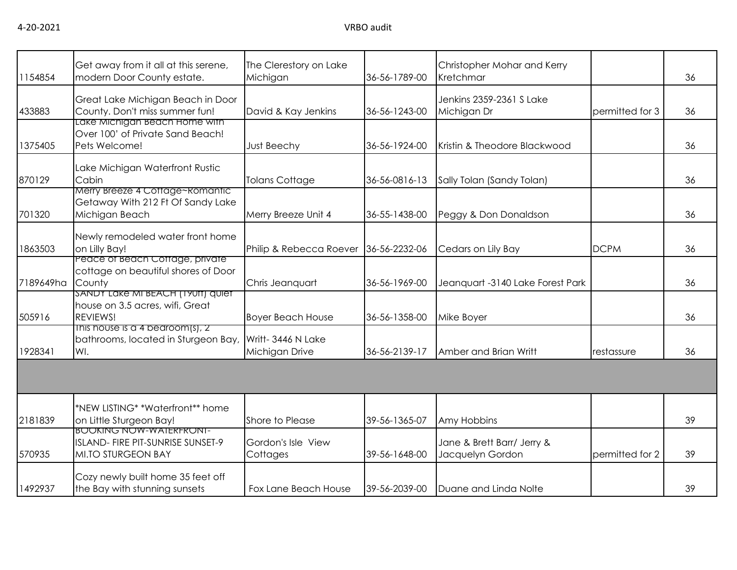| 1154854   | Get away from it all at this serene,<br>modern Door County estate.                               | The Clerestory on Lake<br>Michigan    | 36-56-1789-00 | Christopher Mohar and Kerry<br>Kretchmar       |                 | 36 |
|-----------|--------------------------------------------------------------------------------------------------|---------------------------------------|---------------|------------------------------------------------|-----------------|----|
| 433883    | Great Lake Michigan Beach in Door<br>County. Don't miss summer fun!                              | David & Kay Jenkins                   | 36-56-1243-00 | Jenkins 2359-2361 S Lake<br>Michigan Dr        | permitted for 3 | 36 |
| 1375405   | Lake Michigan Beach Home with<br>Over 100' of Private Sand Beach!<br>Pets Welcome!               | <b>Just Beechy</b>                    | 36-56-1924-00 | Kristin & Theodore Blackwood                   |                 | 36 |
| 870129    | Lake Michigan Waterfront Rustic<br>Cabin                                                         | <b>Tolans Cottage</b>                 | 36-56-0816-13 | Sally Tolan (Sandy Tolan)                      |                 | 36 |
| 701320    | Merry Breeze 4 Cottage~Romantic<br>Getaway With 212 Ft Of Sandy Lake<br>Michigan Beach           | Merry Breeze Unit 4                   | 36-55-1438-00 | Peggy & Don Donaldson                          |                 | 36 |
| 1863503   | Newly remodeled water front home<br>on Lilly Bay!                                                | Philip & Rebecca Roever 36-56-2232-06 |               | Cedars on Lily Bay                             | <b>DCPM</b>     | 36 |
| 7189649ha | Peace of Beach Coffage, private<br>cottage on beautiful shores of Door<br>County                 | Chris Jeanquart                       | 36-56-1969-00 | Jeanquart -3140 Lake Forest Park               |                 | 36 |
| 505916    | SANDY LAKE MI BEACH (19011) QUIET<br>house on 3.5 acres, wifi, Great<br>REVIEWS!                 | <b>Boyer Beach House</b>              | 36-56-1358-00 | Mike Boyer                                     |                 | 36 |
| 1928341   | This house is a 4 bedroom(s), 2<br>bathrooms, located in Sturgeon Bay,<br>WI.                    | Writt- 3446 N Lake<br>Michigan Drive  | 36-56-2139-17 | Amber and Brian Writt                          | restassure      | 36 |
|           |                                                                                                  |                                       |               |                                                |                 |    |
| 2181839   | *NEW LISTING* *Waterfront** home<br>on Little Sturgeon Bay!                                      | Shore to Please                       | 39-56-1365-07 | Amy Hobbins                                    |                 | 39 |
| 570935    | <b>BOOKING NOW-WATERFRONT-</b><br>ISLAND- FIRE PIT-SUNRISE SUNSET-9<br><b>MI.TO STURGEON BAY</b> | Gordon's Isle View<br>Cottages        | 39-56-1648-00 | Jane & Brett Barr/ Jerry &<br>Jacquelyn Gordon | permitted for 2 | 39 |
| 1492937   | Cozy newly built home 35 feet off<br>the Bay with stunning sunsets                               | Fox Lane Beach House                  | 39-56-2039-00 | Duane and Linda Nolte                          |                 | 39 |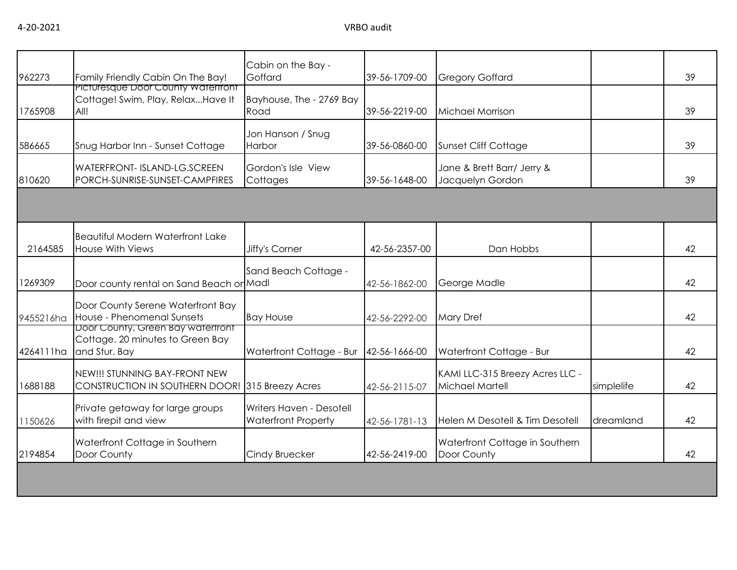| 962273    | Family Friendly Cabin On The Bay!                                                      | Cabin on the Bay -<br>Goffard                          | 39-56-1709-00 | <b>Gregory Goffard</b>                             |            | 39 |
|-----------|----------------------------------------------------------------------------------------|--------------------------------------------------------|---------------|----------------------------------------------------|------------|----|
| 1765908   | Picturesque Door County Watertront<br>Cottage! Swim, Play, RelaxHave It<br>All!        | Bayhouse, The - 2769 Bay<br>Road                       | 39-56-2219-00 | Michael Morrison                                   |            | 39 |
| 586665    | Snug Harbor Inn - Sunset Cottage                                                       | Jon Hanson / Snug<br>Harbor                            | 39-56-0860-00 | Sunset Cliff Cottage                               |            | 39 |
| 810620    | <b>WATERFRONT- ISLAND-LG.SCREEN</b><br>PORCH-SUNRISE-SUNSET-CAMPFIRES                  | Gordon's Isle View<br>Cottages                         | 39-56-1648-00 | Jane & Brett Barr/ Jerry &<br>Jacquelyn Gordon     |            | 39 |
|           |                                                                                        |                                                        |               |                                                    |            |    |
| 2164585   | <b>Beautiful Modern Waterfront Lake</b><br><b>House With Views</b>                     | Jiffy's Corner                                         | 42-56-2357-00 | Dan Hobbs                                          |            | 42 |
| 1269309   | Door county rental on Sand Beach or Madl                                               | Sand Beach Cottage -                                   | 42-56-1862-00 | George Madle                                       |            | 42 |
| 9455216ha | Door County Serene Waterfront Bay<br>House - Phenomenal Sunsets                        | <b>Bay House</b>                                       | 42-56-2292-00 | <b>Mary Dref</b>                                   |            | 42 |
| 4264111ha | Door County, Green Bay watertront<br>Cottage. 20 minutes to Green Bay<br>and Stur. Bay | Waterfront Cottage - Bur                               | 42-56-1666-00 | Waterfront Cottage - Bur                           |            | 42 |
| 1688188   | NEW!!! STUNNING BAY-FRONT NEW<br>CONSTRUCTION IN SOUTHERN DOOR! 315 Breezy Acres       |                                                        | 42-56-2115-07 | KAMI LLC-315 Breezy Acres LLC -<br>Michael Martell | simplelife | 42 |
| 1150626   | Private getaway for large groups<br>with firepit and view                              | Writers Haven - Desotell<br><b>Waterfront Property</b> | 42-56-1781-13 | Helen M Desotell & Tim Desotell                    | dreamland  | 42 |
| 2194854   | Waterfront Cottage in Southern<br>Door County                                          | Cindy Bruecker                                         | 42-56-2419-00 | Waterfront Cottage in Southern<br>Door County      |            | 42 |
|           |                                                                                        |                                                        |               |                                                    |            |    |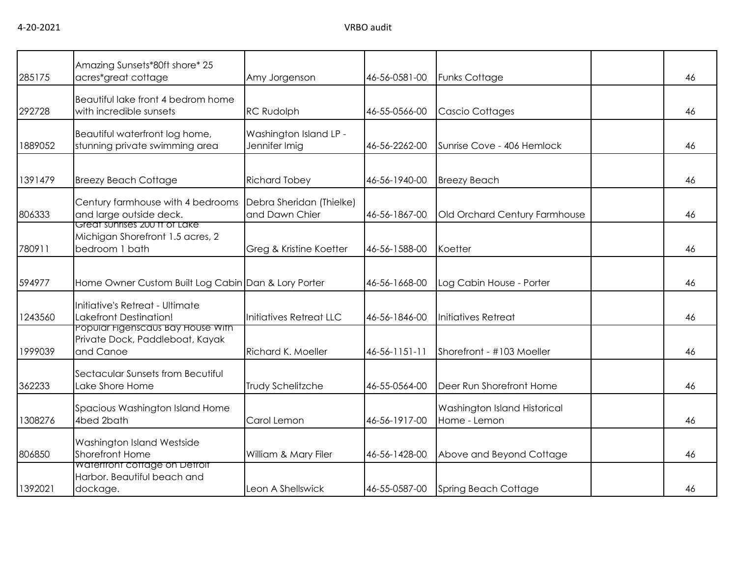| 285175  | Amazing Sunsets*80ft shore* 25<br>acres*great cottage                               | Amy Jorgenson                              | 46-56-0581-00 | <b>Funks Cottage</b>                         | 46 |
|---------|-------------------------------------------------------------------------------------|--------------------------------------------|---------------|----------------------------------------------|----|
| 292728  | Beautiful lake front 4 bedrom home<br>with incredible sunsets                       | <b>RC Rudolph</b>                          | 46-55-0566-00 | Cascio Cottages                              | 46 |
| 1889052 | Beautiful waterfront log home,<br>stunning private swimming area                    | Washington Island LP -<br>Jennifer Imig    | 46-56-2262-00 | Sunrise Cove - 406 Hemlock                   | 46 |
| 1391479 | <b>Breezy Beach Cottage</b>                                                         | <b>Richard Tobey</b>                       | 46-56-1940-00 | <b>Breezy Beach</b>                          | 46 |
| 806333  | Century farmhouse with 4 bedrooms<br>and large outside deck.                        | Debra Sheridan (Thielke)<br>and Dawn Chier | 46-56-1867-00 | Old Orchard Century Farmhouse                | 46 |
| 780911  | Great sunrises 200 ff of Lake<br>Michigan Shorefront 1.5 acres, 2<br>bedroom 1 bath | Greg & Kristine Koetter                    | 46-56-1588-00 | Koetter                                      | 46 |
| 594977  | Home Owner Custom Built Log Cabin Dan & Lory Porter                                 |                                            | 46-56-1668-00 | Log Cabin House - Porter                     | 46 |
| 1243560 | Initiative's Retreat - Ultimate<br><b>Lakefront Destination!</b>                    | Initiatives Retreat LLC                    | 46-56-1846-00 | Initiatives Retreat                          | 46 |
| 1999039 | Popular Figenscaus Bay House With<br>Private Dock, Paddleboat, Kayak<br>and Canoe   | <b>Richard K. Moeller</b>                  | 46-56-1151-11 | Shorefront - #103 Moeller                    | 46 |
| 362233  | Sectacular Sunsets from Becutiful<br>Lake Shore Home                                | Trudy Schelitzche                          | 46-55-0564-00 | Deer Run Shorefront Home                     | 46 |
| 1308276 | Spacious Washington Island Home<br>4bed 2bath                                       | Carol Lemon                                | 46-56-1917-00 | Washington Island Historical<br>Home - Lemon | 46 |
| 806850  | Washington Island Westside<br>Shorefront Home                                       | William & Mary Filer                       | 46-56-1428-00 | Above and Beyond Cottage                     | 46 |
| 1392021 | <b>Watertront cottage on Detroit</b><br>Harbor. Beautiful beach and<br>dockage.     | Leon A Shellswick                          | 46-55-0587-00 | <b>Spring Beach Cottage</b>                  | 46 |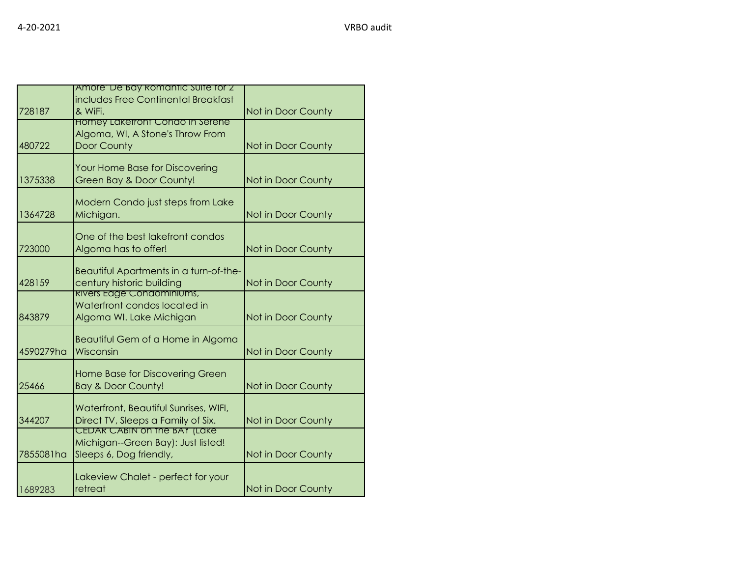|           | Amore De Bay Romantic Suite for 2      |                    |
|-----------|----------------------------------------|--------------------|
|           |                                        |                    |
|           | includes Free Continental Breakfast    |                    |
| 728187    | & WiFi.                                | Not in Door County |
|           | <b>Homey Laketront Condo In Serene</b> |                    |
|           | Algoma, WI, A Stone's Throw From       |                    |
|           |                                        |                    |
| 480722    | Door County                            | Not in Door County |
|           |                                        |                    |
|           | Your Home Base for Discovering         |                    |
| 1375338   | Green Bay & Door County!               | Not in Door County |
|           |                                        |                    |
|           | Modern Condo just steps from Lake      |                    |
|           |                                        |                    |
| 1364728   | Michigan.                              | Not in Door County |
|           |                                        |                    |
|           | One of the best lakefront condos       |                    |
| 723000    | Algoma has to offer!                   | Not in Door County |
|           |                                        |                    |
|           | Beautiful Apartments in a turn-of-the- |                    |
|           |                                        |                    |
| 428159    | century historic building              | Not in Door County |
|           | <b>Rivers Edge Condominiums,</b>       |                    |
|           | Waterfront condos located in           |                    |
| 843879    | Algoma WI. Lake Michigan               | Not in Door County |
|           |                                        |                    |
|           | Beautiful Gem of a Home in Algoma      |                    |
|           |                                        |                    |
| 4590279ha | Wisconsin                              | Not in Door County |
|           |                                        |                    |
|           | Home Base for Discovering Green        |                    |
| 25466     | <b>Bay &amp; Door County!</b>          | Not in Door County |
|           |                                        |                    |
|           | Waterfront, Beautiful Sunrises, WIFI,  |                    |
|           |                                        |                    |
| 344207    | Direct TV, Sleeps a Family of Six.     | Not in Door County |
|           | <b>CEDAR CABIN ON THE BAY (LAKE)</b>   |                    |
|           | Michigan--Green Bay): Just listed!     |                    |
| 7855081ha | Sleeps 6, Dog friendly,                | Not in Door County |
|           |                                        |                    |
|           | Lakeview Chalet - perfect for your     |                    |
|           |                                        |                    |
| 1689283   | retreat                                | Not in Door County |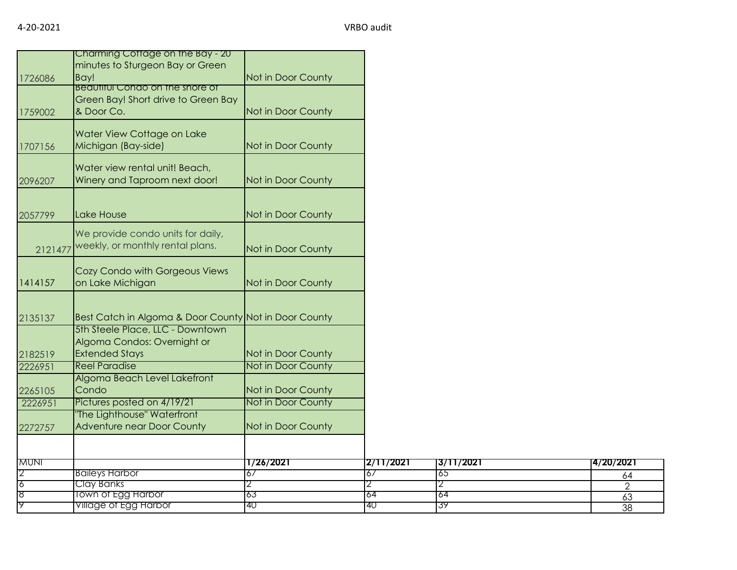|             | Charming Cottage on the Bay - 20<br>minutes to Sturgeon Bay or Green                        |                    |           |           |                |
|-------------|---------------------------------------------------------------------------------------------|--------------------|-----------|-----------|----------------|
| 1726086     | Bay!                                                                                        | Not in Door County |           |           |                |
| 1759002     | <b>Beautiful Condo on the shore of</b><br>Green Bay! Short drive to Green Bay<br>& Door Co. | Not in Door County |           |           |                |
| 1707156     | Water View Cottage on Lake<br>Michigan (Bay-side)                                           | Not in Door County |           |           |                |
| 2096207     | Water view rental unit! Beach,<br>Winery and Taproom next door!                             | Not in Door County |           |           |                |
| 2057799     | Lake House                                                                                  | Not in Door County |           |           |                |
| 2121477     | We provide condo units for daily,<br>weekly, or monthly rental plans.                       | Not in Door County |           |           |                |
| 1414157     | Cozy Condo with Gorgeous Views<br>on Lake Michigan                                          | Not in Door County |           |           |                |
| 2135137     | Best Catch in Algoma & Door County Not in Door County                                       |                    |           |           |                |
| 2182519     | 5th Steele Place, LLC - Downtown<br>Algoma Condos: Overnight or<br><b>Extended Stays</b>    | Not in Door County |           |           |                |
| 2226951     | <b>Reel Paradise</b>                                                                        | Not in Door County |           |           |                |
| 2265105     | Algoma Beach Level Lakefront<br>Condo                                                       | Not in Door County |           |           |                |
| 2226951     | Pictures posted on 4/19/21                                                                  | Not in Door County |           |           |                |
|             | The Lighthouse" Waterfront<br><b>Adventure near Door County</b>                             | Not in Door County |           |           |                |
| 2272757     |                                                                                             |                    |           |           |                |
| <b>MUNI</b> |                                                                                             | 1/26/2021          | 2/11/2021 | 3/11/2021 | 4/20/2021      |
|             | <b>Baileys Harbor</b>                                                                       | 67                 | 6/        | 65        | 64             |
| 6<br>8      | Clay Banks                                                                                  | 2                  | 2         | 2<br>64   | $\overline{2}$ |
| 19          | <b>Town of Egg Harbor</b><br>Village of Egg Harbor                                          | 63<br>40           | 64<br>40  | 39        | 63             |
|             |                                                                                             |                    |           |           | 38             |